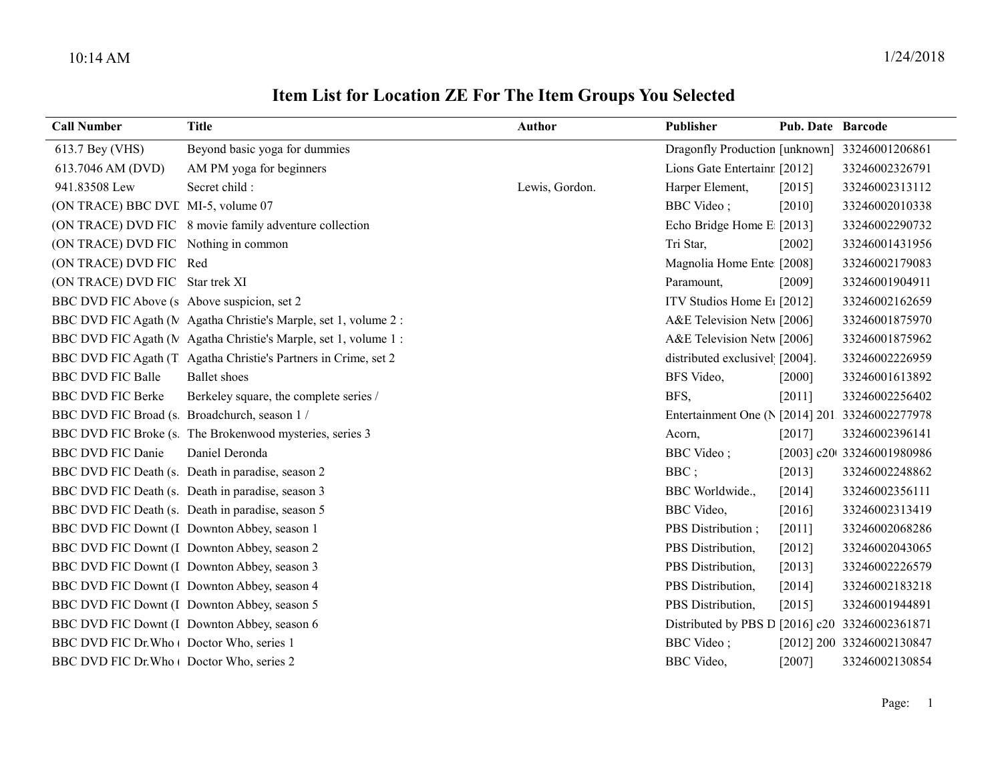## Item List for Location ZE For The Item Groups You Selected

| <b>Call Number</b>                            | <b>Title</b>                                                    | <b>Author</b>  | Publisher                                      | Pub. Date Barcode |                            |
|-----------------------------------------------|-----------------------------------------------------------------|----------------|------------------------------------------------|-------------------|----------------------------|
| 613.7 Bey (VHS)                               | Beyond basic yoga for dummies                                   |                | Dragonfly Production [unknown] 33246001206861  |                   |                            |
| 613.7046 AM (DVD)                             | AM PM yoga for beginners                                        |                | Lions Gate Entertainr [2012]                   |                   | 33246002326791             |
| 941.83508 Lew                                 | Secret child :                                                  | Lewis, Gordon. | Harper Element,                                | [2015]            | 33246002313112             |
| (ON TRACE) BBC DVI MI-5, volume 07            |                                                                 |                | <b>BBC</b> Video;                              | $[2010]$          | 33246002010338             |
|                                               | (ON TRACE) DVD FIC 8 movie family adventure collection          |                | Echo Bridge Home E [2013]                      |                   | 33246002290732             |
| (ON TRACE) DVD FIC Nothing in common          |                                                                 |                | Tri Star,                                      | $[2002]$          | 33246001431956             |
| (ON TRACE) DVD FIC Red                        |                                                                 |                | Magnolia Home Ente [2008]                      |                   | 33246002179083             |
| (ON TRACE) DVD FIC Star trek XI               |                                                                 |                | Paramount,                                     | [2009]            | 33246001904911             |
| BBC DVD FIC Above (s Above suspicion, set 2)  |                                                                 |                | ITV Studios Home E <sub>1</sub> [2012]         |                   | 33246002162659             |
|                                               | BBC DVD FIC Agath (MAgatha Christie's Marple, set 1, volume 2:  |                | A&E Television Netw [2006]                     |                   | 33246001875970             |
|                                               | BBC DVD FIC Agath (MAgatha Christie's Marple, set 1, volume 1:  |                | A&E Television Netw [2006]                     |                   | 33246001875962             |
|                                               | BBC DVD FIC Agath (T Agatha Christie's Partners in Crime, set 2 |                | distributed exclusivel [2004].                 |                   | 33246002226959             |
| <b>BBC DVD FIC Balle</b>                      | <b>Ballet</b> shoes                                             |                | BFS Video,                                     | $[2000]$          | 33246001613892             |
| <b>BBC DVD FIC Berke</b>                      | Berkeley square, the complete series /                          |                | BFS.                                           | [2011]            | 33246002256402             |
| BBC DVD FIC Broad (s. Broadchurch, season 1 / |                                                                 |                | Entertainment One (N [2014] 201 33246002277978 |                   |                            |
|                                               | BBC DVD FIC Broke (s. The Brokenwood mysteries, series 3        |                | Acorn,                                         | [2017]            | 33246002396141             |
| <b>BBC DVD FIC Danie</b>                      | Daniel Deronda                                                  |                | <b>BBC</b> Video;                              |                   | [2003] c20t 33246001980986 |
|                                               | BBC DVD FIC Death (s. Death in paradise, season 2               |                | BBC;                                           | [2013]            | 33246002248862             |
|                                               | BBC DVD FIC Death (s. Death in paradise, season 3               |                | BBC Worldwide.,                                | [2014]            | 33246002356111             |
|                                               | BBC DVD FIC Death (s. Death in paradise, season 5               |                | BBC Video,                                     | [2016]            | 33246002313419             |
|                                               | BBC DVD FIC Downt (I Downton Abbey, season 1                    |                | PBS Distribution;                              | [2011]            | 33246002068286             |
|                                               | BBC DVD FIC Downt (I Downton Abbey, season 2                    |                | PBS Distribution,                              | [2012]            | 33246002043065             |
|                                               | BBC DVD FIC Downt (I Downton Abbey, season 3                    |                | PBS Distribution,                              | [2013]            | 33246002226579             |
|                                               | BBC DVD FIC Downt (I Downton Abbey, season 4                    |                | PBS Distribution,                              | [2014]            | 33246002183218             |
|                                               | BBC DVD FIC Downt (I Downton Abbey, season 5                    |                | PBS Distribution,                              | [2015]            | 33246001944891             |
|                                               | BBC DVD FIC Downt (I Downton Abbey, season 6                    |                | Distributed by PBS D [2016] c20 33246002361871 |                   |                            |
| BBC DVD FIC Dr. Who   Doctor Who, series 1    |                                                                 |                | <b>BBC</b> Video;                              |                   | [2012] 200. 33246002130847 |
| BBC DVD FIC Dr. Who   Doctor Who, series 2    |                                                                 |                | <b>BBC</b> Video,                              | [2007]            | 33246002130854             |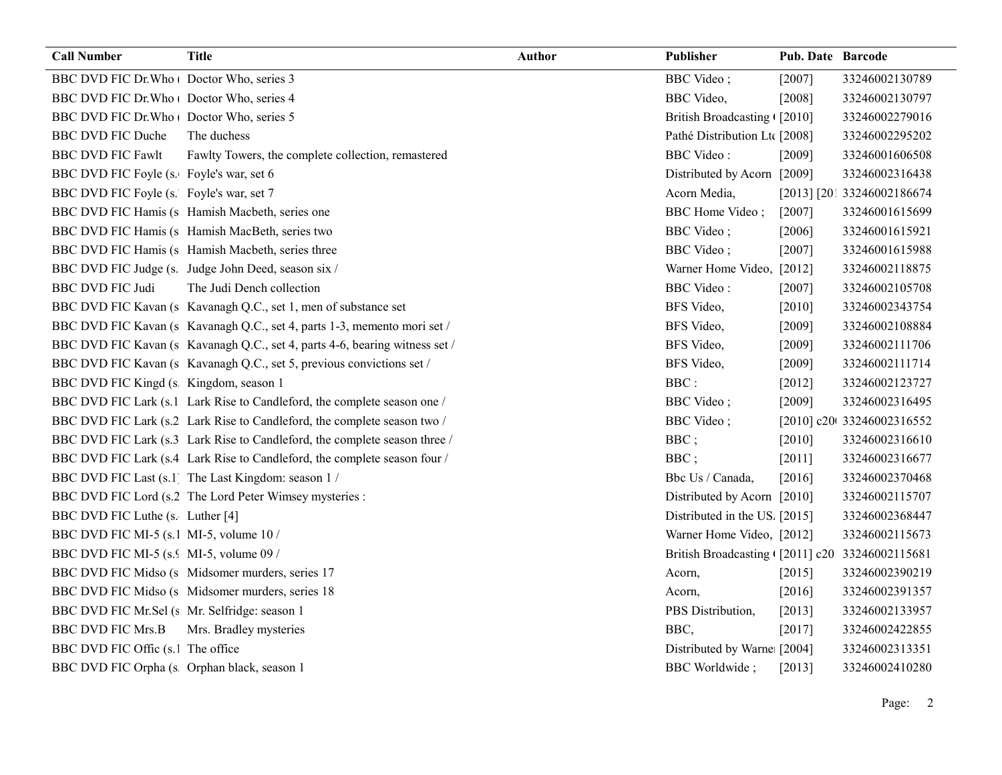| <b>Call Number</b>                            | <b>Title</b>                                                                | <b>Author</b> | Publisher                                      | Pub. Date Barcode |                            |
|-----------------------------------------------|-----------------------------------------------------------------------------|---------------|------------------------------------------------|-------------------|----------------------------|
| BBC DVD FIC Dr. Who   Doctor Who, series 3    |                                                                             |               | <b>BBC</b> Video;                              | [2007]            | 33246002130789             |
| BBC DVD FIC Dr. Who   Doctor Who, series 4    |                                                                             |               | <b>BBC</b> Video,                              | [2008]            | 33246002130797             |
| BBC DVD FIC Dr. Who   Doctor Who, series 5    |                                                                             |               | British Broadcasting ([2010]                   |                   | 33246002279016             |
| <b>BBC DVD FIC Duche</b>                      | The duchess                                                                 |               | Pathé Distribution Ltt [2008]                  |                   | 33246002295202             |
| <b>BBC DVD FIC Fawlt</b>                      | Fawlty Towers, the complete collection, remastered                          |               | <b>BBC</b> Video:                              | [2009]            | 33246001606508             |
| BBC DVD FIC Foyle (s. Foyle's war, set 6      |                                                                             |               | Distributed by Acorn [2009]                    |                   | 33246002316438             |
| BBC DVD FIC Foyle (s. Foyle's war, set 7      |                                                                             |               | Acorn Media,                                   |                   | [2013] [201 33246002186674 |
|                                               | BBC DVD FIC Hamis (s Hamish Macbeth, series one                             |               | <b>BBC</b> Home Video;                         | $[2007]$          | 33246001615699             |
|                                               | BBC DVD FIC Hamis (s Hamish MacBeth, series two                             |               | <b>BBC</b> Video;                              | [2006]            | 33246001615921             |
|                                               | BBC DVD FIC Hamis (s Hamish Macbeth, series three                           |               | <b>BBC</b> Video;                              | [2007]            | 33246001615988             |
|                                               | BBC DVD FIC Judge (s. Judge John Deed, season six /                         |               | Warner Home Video, [2012]                      |                   | 33246002118875             |
| <b>BBC DVD FIC Judi</b>                       | The Judi Dench collection                                                   |               | <b>BBC</b> Video:                              | [2007]            | 33246002105708             |
|                                               | BBC DVD FIC Kavan (s Kavanagh Q.C., set 1, men of substance set             |               | BFS Video,                                     | [2010]            | 33246002343754             |
|                                               | BBC DVD FIC Kavan (s Kavanagh Q.C., set 4, parts 1-3, memento mori set /    |               | BFS Video,                                     | [2009]            | 33246002108884             |
|                                               | BBC DVD FIC Kavan (s Kavanagh Q.C., set 4, parts 4-6, bearing witness set / |               | BFS Video,                                     | [2009]            | 33246002111706             |
|                                               | BBC DVD FIC Kavan (s Kavanagh Q.C., set 5, previous convictions set /       |               | BFS Video,                                     | [2009]            | 33246002111714             |
| BBC DVD FIC Kingd (s Kingdom, season 1        |                                                                             |               | BBC:                                           | [2012]            | 33246002123727             |
|                                               | BBC DVD FIC Lark (s.1 Lark Rise to Candleford, the complete season one /    |               | <b>BBC</b> Video;                              | [2009]            | 33246002316495             |
|                                               | BBC DVD FIC Lark (s.2 Lark Rise to Candleford, the complete season two /    |               | <b>BBC</b> Video;                              |                   | [2010] c20t 33246002316552 |
|                                               | BBC DVD FIC Lark (s.3 Lark Rise to Candleford, the complete season three /  |               | BBC;                                           | $[2010]$          | 33246002316610             |
|                                               | BBC DVD FIC Lark (s.4 Lark Rise to Candleford, the complete season four /   |               | BBC;                                           | [2011]            | 33246002316677             |
|                                               | BBC DVD FIC Last (s.1) The Last Kingdom: season 1 /                         |               | Bbc Us / Canada,                               | [2016]            | 33246002370468             |
|                                               | BBC DVD FIC Lord (s.2 The Lord Peter Wimsey mysteries :                     |               | Distributed by Acorn [2010]                    |                   | 33246002115707             |
| BBC DVD FIC Luthe (s. Luther [4]              |                                                                             |               | Distributed in the US. [2015]                  |                   | 33246002368447             |
| BBC DVD FIC MI-5 (s.1 MI-5, volume 10 /       |                                                                             |               | Warner Home Video, [2012]                      |                   | 33246002115673             |
| BBC DVD FIC MI-5 (s. MI-5, volume 09 /        |                                                                             |               | British Broadcasting (2011] c20 33246002115681 |                   |                            |
|                                               | BBC DVD FIC Midso (s Midsomer murders, series 17                            |               | Acorn,                                         | $[2015]$          | 33246002390219             |
|                                               | BBC DVD FIC Midso (s Midsomer murders, series 18                            |               | Acorn,                                         | [2016]            | 33246002391357             |
| BBC DVD FIC Mr.Sel (s Mr. Selfridge: season 1 |                                                                             |               | PBS Distribution,                              | [2013]            | 33246002133957             |
| <b>BBC DVD FIC Mrs.B</b>                      | Mrs. Bradley mysteries                                                      |               | BBC,                                           | [2017]            | 33246002422855             |
| BBC DVD FIC Offic (s.1 The office             |                                                                             |               | Distributed by Warne [2004]                    |                   | 33246002313351             |
| BBC DVD FIC Orpha (s Orphan black, season 1   |                                                                             |               | <b>BBC</b> Worldwide;                          | [2013]            | 33246002410280             |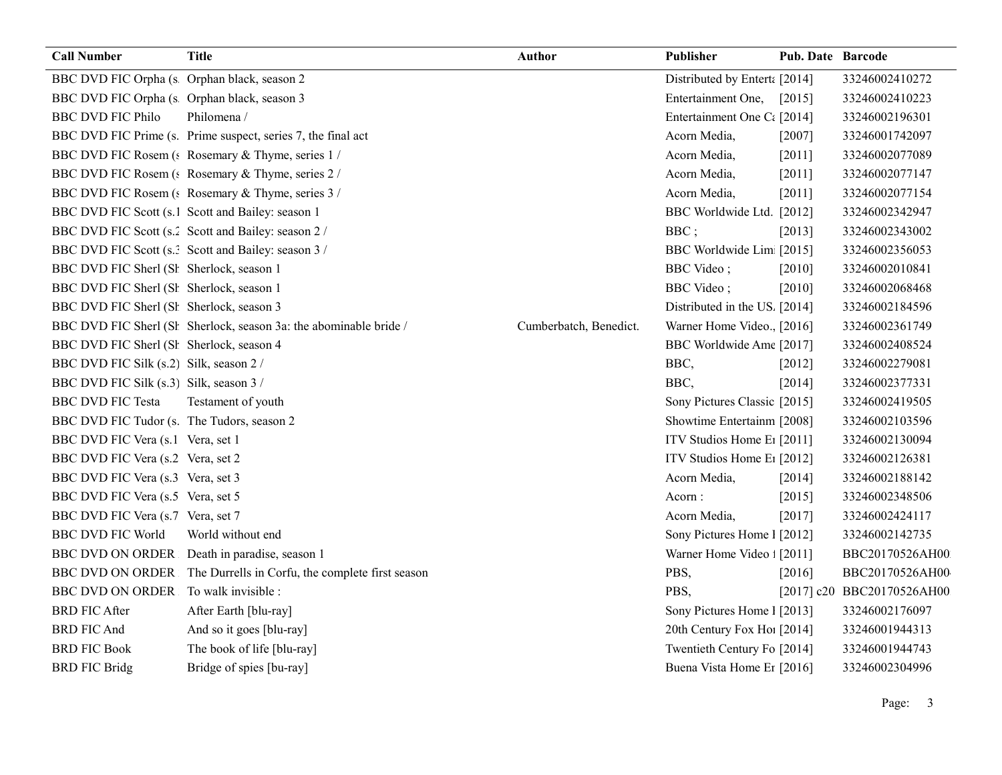| <b>Call Number</b>                          | <b>Title</b>                                                      | <b>Author</b>          | Publisher                              | <b>Pub. Date Barcode</b> |                            |
|---------------------------------------------|-------------------------------------------------------------------|------------------------|----------------------------------------|--------------------------|----------------------------|
| BBC DVD FIC Orpha (s Orphan black, season 2 |                                                                   |                        | Distributed by Enterta [2014]          |                          | 33246002410272             |
| BBC DVD FIC Orpha (s Orphan black, season 3 |                                                                   |                        | Entertainment One,                     | [2015]                   | 33246002410223             |
| <b>BBC DVD FIC Philo</b>                    | Philomena /                                                       |                        | Entertainment One Ct [2014]            |                          | 33246002196301             |
|                                             | BBC DVD FIC Prime (s. Prime suspect, series 7, the final act      |                        | Acorn Media,                           | $[2007]$                 | 33246001742097             |
|                                             | BBC DVD FIC Rosem (s Rosemary & Thyme, series 1/                  |                        | Acorn Media,                           | [2011]                   | 33246002077089             |
|                                             | BBC DVD FIC Rosem (: Rosemary & Thyme, series 2 /                 |                        | Acorn Media,                           | [2011]                   | 33246002077147             |
|                                             | BBC DVD FIC Rosem (: Rosemary & Thyme, series 3 /                 |                        | Acorn Media,                           | [2011]                   | 33246002077154             |
|                                             | BBC DVD FIC Scott (s.1 Scott and Bailey: season 1                 |                        | BBC Worldwide Ltd. [2012]              |                          | 33246002342947             |
|                                             | BBC DVD FIC Scott (s.2 Scott and Bailey: season 2 /               |                        | BBC;                                   | [2013]                   | 33246002343002             |
|                                             | BBC DVD FIC Scott (s.: Scott and Bailey: season 3 /               |                        | BBC Worldwide Lim [2015]               |                          | 33246002356053             |
| BBC DVD FIC Sherl (Sł Sherlock, season 1    |                                                                   |                        | <b>BBC</b> Video;                      | $[2010]$                 | 33246002010841             |
| BBC DVD FIC Sherl (Sł Sherlock, season 1    |                                                                   |                        | <b>BBC</b> Video;                      | $[2010]$                 | 33246002068468             |
| BBC DVD FIC Sherl (Sł Sherlock, season 3    |                                                                   |                        | Distributed in the US. [2014]          |                          | 33246002184596             |
|                                             | BBC DVD FIC Sherl (Sł Sherlock, season 3a: the abominable bride / | Cumberbatch, Benedict. | Warner Home Video., [2016]             |                          | 33246002361749             |
| BBC DVD FIC Sherl (Sł Sherlock, season 4    |                                                                   |                        | BBC Worldwide Ame [2017]               |                          | 33246002408524             |
| BBC DVD FIC Silk (s.2) Silk, season 2 /     |                                                                   |                        | BBC,                                   | $[2012]$                 | 33246002279081             |
| BBC DVD FIC Silk (s.3) Silk, season 3 /     |                                                                   |                        | BBC,                                   | [2014]                   | 33246002377331             |
| <b>BBC DVD FIC Testa</b>                    | Testament of youth                                                |                        | Sony Pictures Classic [2015]           |                          | 33246002419505             |
| BBC DVD FIC Tudor (s. The Tudors, season 2  |                                                                   |                        | Showtime Entertainm [2008]             |                          | 33246002103596             |
| BBC DVD FIC Vera (s.1 Vera, set 1           |                                                                   |                        | ITV Studios Home E <sub>1</sub> [2011] |                          | 33246002130094             |
| BBC DVD FIC Vera (s.2 Vera, set 2           |                                                                   |                        | ITV Studios Home E <sub>1</sub> [2012] |                          | 33246002126381             |
| BBC DVD FIC Vera (s.3 Vera, set 3           |                                                                   |                        | Acorn Media,                           | [2014]                   | 33246002188142             |
| BBC DVD FIC Vera (s.5 Vera, set 5           |                                                                   |                        | Acorn:                                 | [2015]                   | 33246002348506             |
| BBC DVD FIC Vera (s.7 Vera, set 7           |                                                                   |                        | Acorn Media,                           | [2017]                   | 33246002424117             |
| <b>BBC DVD FIC World</b>                    | World without end                                                 |                        | Sony Pictures Home 1 [2012]            |                          | 33246002142735             |
| <b>BBC DVD ON ORDER</b>                     | Death in paradise, season 1                                       |                        | Warner Home Video : [2011]             |                          | BBC20170526AH00            |
| <b>BBC DVD ON ORDER</b>                     | The Durrells in Corfu, the complete first season                  |                        | PBS,                                   | [2016]                   | BBC20170526AH00            |
| BBC DVD ON ORDER To walk invisible :        |                                                                   |                        | PBS,                                   |                          | [2017] c20 BBC20170526AH00 |
| <b>BRD FIC After</b>                        | After Earth [blu-ray]                                             |                        | Sony Pictures Home 1 [2013]            |                          | 33246002176097             |
| <b>BRD FIC And</b>                          | And so it goes [blu-ray]                                          |                        | 20th Century Fox Ho! [2014]            |                          | 33246001944313             |
| <b>BRD FIC Book</b>                         | The book of life [blu-ray]                                        |                        | Twentieth Century Fo [2014]            |                          | 33246001944743             |
| <b>BRD FIC Bridg</b>                        | Bridge of spies [bu-ray]                                          |                        | Buena Vista Home Er [2016]             |                          | 33246002304996             |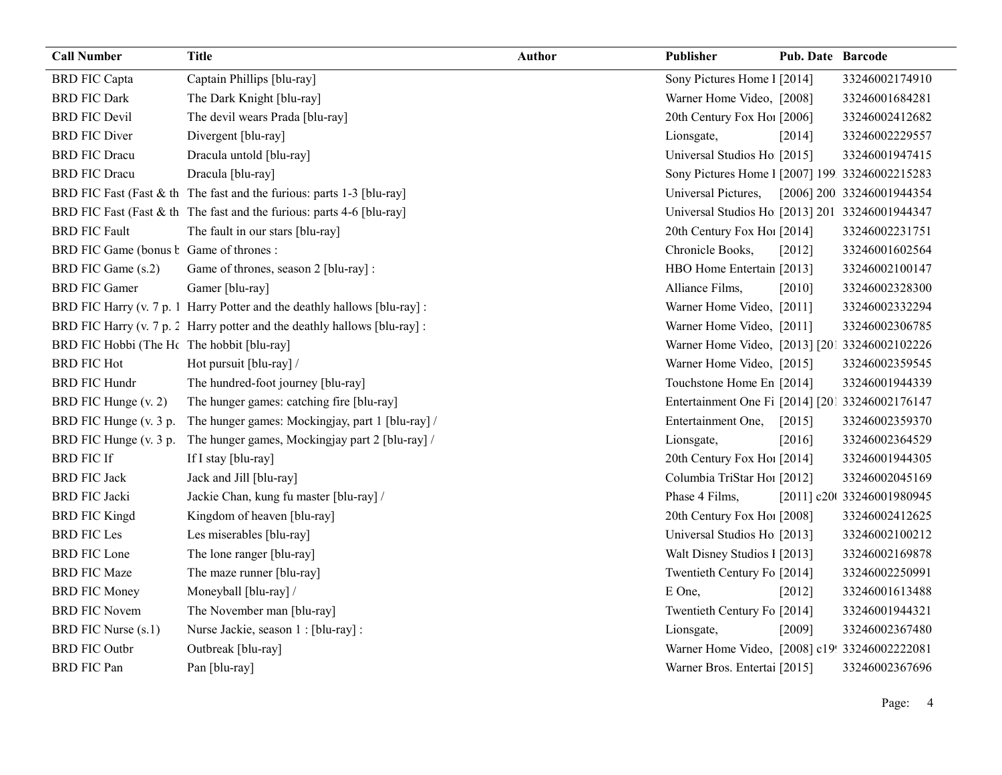| <b>Call Number</b>                             | <b>Title</b>                                                              | <b>Author</b> | Publisher                                       | <b>Pub. Date Barcode</b> |                            |
|------------------------------------------------|---------------------------------------------------------------------------|---------------|-------------------------------------------------|--------------------------|----------------------------|
| <b>BRD FIC Capta</b>                           | Captain Phillips [blu-ray]                                                |               | Sony Pictures Home 1 [2014]                     |                          | 33246002174910             |
| <b>BRD FIC Dark</b>                            | The Dark Knight [blu-ray]                                                 |               | Warner Home Video, [2008]                       |                          | 33246001684281             |
| <b>BRD FIC Devil</b>                           | The devil wears Prada [blu-ray]                                           |               | 20th Century Fox Ho! [2006]                     |                          | 33246002412682             |
| <b>BRD FIC Diver</b>                           | Divergent [blu-ray]                                                       |               | Lionsgate,                                      | [2014]                   | 33246002229557             |
| <b>BRD FIC Dracu</b>                           | Dracula untold [blu-ray]                                                  |               | Universal Studios Ho [2015]                     |                          | 33246001947415             |
| <b>BRD FIC Dracu</b>                           | Dracula [blu-ray]                                                         |               | Sony Pictures Home 1 [2007] 199 33246002215283  |                          |                            |
|                                                | BRD FIC Fast (Fast & th The fast and the furious: parts 1-3 [blu-ray]     |               | Universal Pictures,                             |                          | [2006] 200 33246001944354  |
|                                                | BRD FIC Fast (Fast & th The fast and the furious: parts 4-6 [blu-ray]     |               | Universal Studios Ho [2013] 201 33246001944347  |                          |                            |
| <b>BRD FIC Fault</b>                           | The fault in our stars [blu-ray]                                          |               | 20th Century Fox Ho! [2014]                     |                          | 33246002231751             |
| BRD FIC Game (bonus <i>b</i> Game of thrones : |                                                                           |               | Chronicle Books,                                | [2012]                   | 33246001602564             |
| BRD FIC Game (s.2)                             | Game of thrones, season 2 [blu-ray] :                                     |               | HBO Home Entertain [2013]                       |                          | 33246002100147             |
| <b>BRD FIC Gamer</b>                           | Gamer [blu-ray]                                                           |               | Alliance Films,                                 | $[2010]$                 | 33246002328300             |
|                                                | BRD FIC Harry (v. 7 p. 1 Harry Potter and the deathly hallows [blu-ray] : |               | Warner Home Video, [2011]                       |                          | 33246002332294             |
|                                                | BRD FIC Harry (v. 7 p. 2 Harry potter and the deathly hallows [blu-ray] : |               | Warner Home Video, [2011]                       |                          | 33246002306785             |
| BRD FIC Hobbi (The Hc The hobbit [blu-ray]     |                                                                           |               | Warner Home Video, [2013] [201 33246002102226   |                          |                            |
| <b>BRD FIC Hot</b>                             | Hot pursuit [blu-ray] /                                                   |               | Warner Home Video, [2015]                       |                          | 33246002359545             |
| <b>BRD FIC Hundr</b>                           | The hundred-foot journey [blu-ray]                                        |               | Touchstone Home En [2014]                       |                          | 33246001944339             |
| BRD FIC Hunge (v. 2)                           | The hunger games: catching fire [blu-ray]                                 |               | Entertainment One Fi [2014] [201 33246002176147 |                          |                            |
| BRD FIC Hunge (v. 3 p.                         | The hunger games: Mockingjay, part 1 [blu-ray] /                          |               | Entertainment One,                              | [2015]                   | 33246002359370             |
| BRD FIC Hunge (v. 3 p.                         | The hunger games, Mockingjay part 2 [blu-ray] /                           |               | Lionsgate,                                      | [2016]                   | 33246002364529             |
| <b>BRD FIC If</b>                              | If I stay [blu-ray]                                                       |               | 20th Century Fox Ho! [2014]                     |                          | 33246001944305             |
| <b>BRD FIC Jack</b>                            | Jack and Jill [blu-ray]                                                   |               | Columbia TriStar Hoi [2012]                     |                          | 33246002045169             |
| <b>BRD FIC Jacki</b>                           | Jackie Chan, kung fu master [blu-ray] /                                   |               | Phase 4 Films,                                  |                          | [2011] c20t 33246001980945 |
| <b>BRD FIC Kingd</b>                           | Kingdom of heaven [blu-ray]                                               |               | 20th Century Fox Ho! [2008]                     |                          | 33246002412625             |
| <b>BRD FIC Les</b>                             | Les miserables [blu-ray]                                                  |               | Universal Studios Ho [2013]                     |                          | 33246002100212             |
| <b>BRD FIC Lone</b>                            | The lone ranger [blu-ray]                                                 |               | Walt Disney Studios 1 [2013]                    |                          | 33246002169878             |
| <b>BRD FIC Maze</b>                            | The maze runner [blu-ray]                                                 |               | Twentieth Century Fo [2014]                     |                          | 33246002250991             |
| <b>BRD FIC Money</b>                           | Moneyball [blu-ray] /                                                     |               | E One,                                          | [2012]                   | 33246001613488             |
| <b>BRD FIC Novem</b>                           | The November man [blu-ray]                                                |               | Twentieth Century Fo [2014]                     |                          | 33246001944321             |
| BRD FIC Nurse (s.1)                            | Nurse Jackie, season 1 : [blu-ray] :                                      |               | Lionsgate,                                      | [2009]                   | 33246002367480             |
| <b>BRD FIC Outbr</b>                           | Outbreak [blu-ray]                                                        |               | Warner Home Video, [2008] c19! 33246002222081   |                          |                            |
| <b>BRD FIC Pan</b>                             | Pan [blu-ray]                                                             |               | Warner Bros. Entertai [2015]                    |                          | 33246002367696             |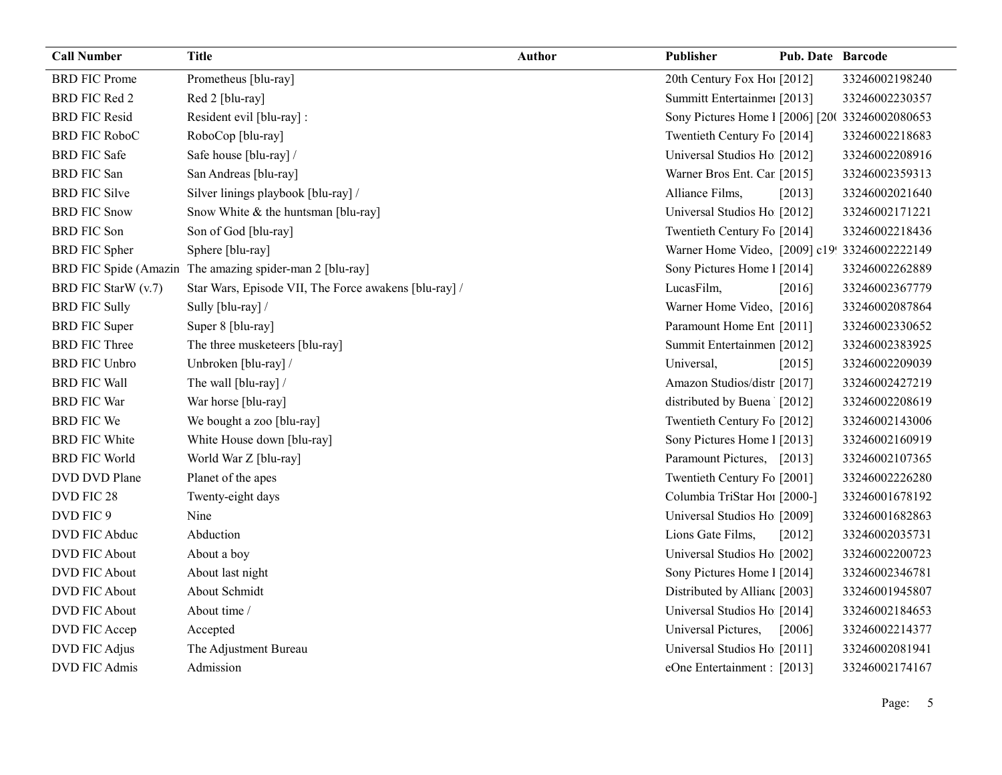| <b>Call Number</b>   | <b>Title</b>                                             | Author | Publisher                                      | <b>Pub. Date Barcode</b> |                |
|----------------------|----------------------------------------------------------|--------|------------------------------------------------|--------------------------|----------------|
| <b>BRD FIC Prome</b> | Prometheus [blu-ray]                                     |        | 20th Century Fox Ho! [2012]                    |                          | 33246002198240 |
| <b>BRD FIC Red 2</b> | Red 2 [blu-ray]                                          |        | Summitt Entertainme: [2013]                    |                          | 33246002230357 |
| <b>BRD FIC Resid</b> | Resident evil [blu-ray] :                                |        | Sony Pictures Home 1 [2006] [20(33246002080653 |                          |                |
| <b>BRD FIC RoboC</b> | RoboCop [blu-ray]                                        |        | Twentieth Century Fo [2014]                    |                          | 33246002218683 |
| <b>BRD FIC Safe</b>  | Safe house [blu-ray] /                                   |        | Universal Studios Ho [2012]                    |                          | 33246002208916 |
| <b>BRD FIC San</b>   | San Andreas [blu-ray]                                    |        | Warner Bros Ent. Car [2015]                    |                          | 33246002359313 |
| <b>BRD FIC Silve</b> | Silver linings playbook [blu-ray] /                      |        | Alliance Films,                                | [2013]                   | 33246002021640 |
| <b>BRD FIC Snow</b>  | Snow White & the huntsman [blu-ray]                      |        | Universal Studios Ho [2012]                    |                          | 33246002171221 |
| <b>BRD FIC Son</b>   | Son of God [blu-ray]                                     |        | Twentieth Century Fo [2014]                    |                          | 33246002218436 |
| <b>BRD FIC Spher</b> | Sphere [blu-ray]                                         |        | Warner Home Video, [2009] c19! 33246002222149  |                          |                |
|                      | BRD FIC Spide (Amazin The amazing spider-man 2 [blu-ray] |        | Sony Pictures Home 1 [2014]                    |                          | 33246002262889 |
| BRD FIC StarW (v.7)  | Star Wars, Episode VII, The Force awakens [blu-ray] /    |        | LucasFilm,                                     | [2016]                   | 33246002367779 |
| <b>BRD FIC Sully</b> | Sully [blu-ray] /                                        |        | Warner Home Video, [2016]                      |                          | 33246002087864 |
| <b>BRD FIC Super</b> | Super 8 [blu-ray]                                        |        | Paramount Home Ent [2011]                      |                          | 33246002330652 |
| <b>BRD FIC Three</b> | The three musketeers [blu-ray]                           |        | Summit Entertainmen [2012]                     |                          | 33246002383925 |
| <b>BRD FIC Unbro</b> | Unbroken [blu-ray] /                                     |        | Universal,                                     | $[2015]$                 | 33246002209039 |
| <b>BRD FIC Wall</b>  | The wall [blu-ray] /                                     |        | Amazon Studios/distr [2017]                    |                          | 33246002427219 |
| <b>BRD FIC War</b>   | War horse [blu-ray]                                      |        | distributed by Buena [2012]                    |                          | 33246002208619 |
| <b>BRD FIC We</b>    | We bought a zoo [blu-ray]                                |        | Twentieth Century Fo [2012]                    |                          | 33246002143006 |
| <b>BRD FIC White</b> | White House down [blu-ray]                               |        | Sony Pictures Home 1 [2013]                    |                          | 33246002160919 |
| <b>BRD FIC World</b> | World War Z [blu-ray]                                    |        | Paramount Pictures, [2013]                     |                          | 33246002107365 |
| DVD DVD Plane        | Planet of the apes                                       |        | Twentieth Century Fo [2001]                    |                          | 33246002226280 |
| DVD FIC 28           | Twenty-eight days                                        |        | Columbia TriStar Ho1 [2000-]                   |                          | 33246001678192 |
| DVD FIC 9            | Nine                                                     |        | Universal Studios Ho [2009]                    |                          | 33246001682863 |
| DVD FIC Abduc        | Abduction                                                |        | Lions Gate Films,                              | $[2012]$                 | 33246002035731 |
| <b>DVD FIC About</b> | About a boy                                              |        | Universal Studios Ho [2002]                    |                          | 33246002200723 |
| <b>DVD FIC About</b> | About last night                                         |        | Sony Pictures Home 1 [2014]                    |                          | 33246002346781 |
| <b>DVD FIC About</b> | About Schmidt                                            |        | Distributed by Allian [2003]                   |                          | 33246001945807 |
| <b>DVD FIC About</b> | About time /                                             |        | Universal Studios Ho [2014]                    |                          | 33246002184653 |
| DVD FIC Accep        | Accepted                                                 |        | Universal Pictures,                            | $[2006]$                 | 33246002214377 |
| DVD FIC Adjus        | The Adjustment Bureau                                    |        | Universal Studios Ho [2011]                    |                          | 33246002081941 |
| <b>DVD FIC Admis</b> | Admission                                                |        | eOne Entertainment : [2013]                    |                          | 33246002174167 |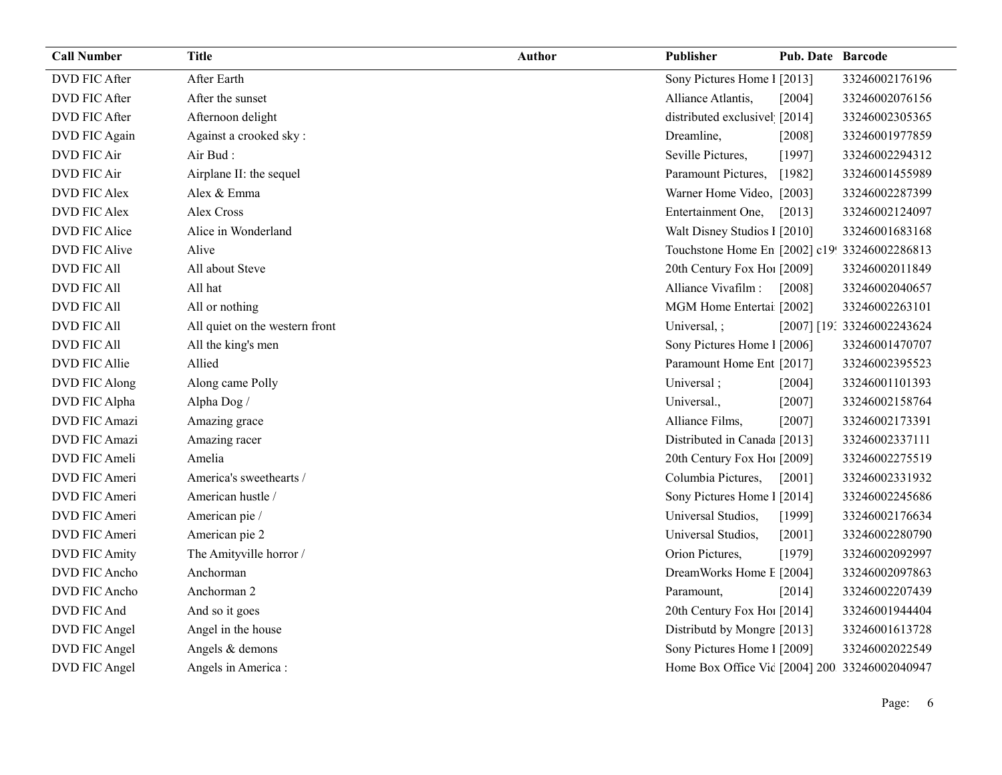| <b>Call Number</b>   | <b>Title</b>                   | <b>Author</b> | Publisher                                     | <b>Pub. Date Barcode</b> |                            |
|----------------------|--------------------------------|---------------|-----------------------------------------------|--------------------------|----------------------------|
| <b>DVD FIC After</b> | After Earth                    |               | Sony Pictures Home 1 [2013]                   |                          | 33246002176196             |
| <b>DVD FIC After</b> | After the sunset               |               | Alliance Atlantis,                            | [2004]                   | 33246002076156             |
| <b>DVD FIC After</b> | Afternoon delight              |               | distributed exclusivel [2014]                 |                          | 33246002305365             |
| DVD FIC Again        | Against a crooked sky:         |               | Dreamline,                                    | [2008]                   | 33246001977859             |
| DVD FIC Air          | Air Bud:                       |               | Seville Pictures,                             | [1997]                   | 33246002294312             |
| <b>DVD FIC Air</b>   | Airplane II: the sequel        |               | Paramount Pictures,                           | [1982]                   | 33246001455989             |
| <b>DVD FIC Alex</b>  | Alex & Emma                    |               | Warner Home Video, [2003]                     |                          | 33246002287399             |
| <b>DVD FIC Alex</b>  | Alex Cross                     |               | Entertainment One,                            | $[2013]$                 | 33246002124097             |
| DVD FIC Alice        | Alice in Wonderland            |               | Walt Disney Studios 1 [2010]                  |                          | 33246001683168             |
| <b>DVD FIC Alive</b> | Alive                          |               | Touchstone Home En [2002] c19! 33246002286813 |                          |                            |
| <b>DVD FIC All</b>   | All about Steve                |               | 20th Century Fox Ho! [2009]                   |                          | 33246002011849             |
| <b>DVD FIC All</b>   | All hat                        |               | Alliance Vivafilm :                           | [2008]                   | 33246002040657             |
| <b>DVD FIC All</b>   | All or nothing                 |               | MGM Home Entertai [2002]                      |                          | 33246002263101             |
| <b>DVD FIC All</b>   | All quiet on the western front |               | Universal, ;                                  |                          | [2007] [19: 33246002243624 |
| <b>DVD FIC All</b>   | All the king's men             |               | Sony Pictures Home 1 [2006]                   |                          | 33246001470707             |
| DVD FIC Allie        | Allied                         |               | Paramount Home Ent [2017]                     |                          | 33246002395523             |
| DVD FIC Along        | Along came Polly               |               | Universal;                                    | [2004]                   | 33246001101393             |
| DVD FIC Alpha        | Alpha Dog /                    |               | Universal.,                                   | [2007]                   | 33246002158764             |
| DVD FIC Amazi        | Amazing grace                  |               | Alliance Films,                               | [2007]                   | 33246002173391             |
| DVD FIC Amazi        | Amazing racer                  |               | Distributed in Canada [2013]                  |                          | 33246002337111             |
| DVD FIC Ameli        | Amelia                         |               | 20th Century Fox Ho! [2009]                   |                          | 33246002275519             |
| DVD FIC Ameri        | America's sweethearts /        |               | Columbia Pictures,                            | $[2001]$                 | 33246002331932             |
| DVD FIC Ameri        | American hustle /              |               | Sony Pictures Home 1 [2014]                   |                          | 33246002245686             |
| DVD FIC Ameri        | American pie /                 |               | Universal Studios,                            | [1999]                   | 33246002176634             |
| DVD FIC Ameri        | American pie 2                 |               | Universal Studios,                            | [2001]                   | 33246002280790             |
| <b>DVD FIC Amity</b> | The Amityville horror /        |               | Orion Pictures,                               | [1979]                   | 33246002092997             |
| DVD FIC Ancho        | Anchorman                      |               | DreamWorks Home E [2004]                      |                          | 33246002097863             |
| DVD FIC Ancho        | Anchorman 2                    |               | Paramount,                                    | [2014]                   | 33246002207439             |
| DVD FIC And          | And so it goes                 |               | 20th Century Fox Ho! [2014]                   |                          | 33246001944404             |
| DVD FIC Angel        | Angel in the house             |               | Distributd by Mongre [2013]                   |                          | 33246001613728             |
| DVD FIC Angel        | Angels & demons                |               | Sony Pictures Home 1 [2009]                   |                          | 33246002022549             |
| DVD FIC Angel        | Angels in America :            |               | Home Box Office Vic [2004] 200 33246002040947 |                          |                            |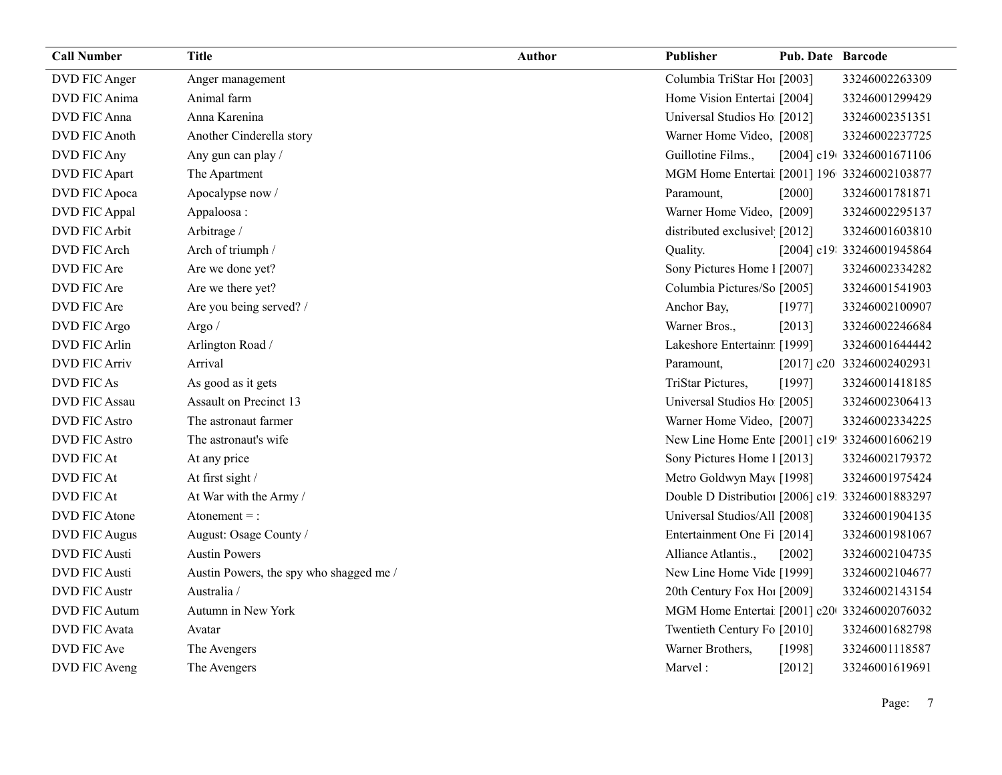| <b>Call Number</b>   | <b>Title</b>                            | Author | Publisher                                        | <b>Pub. Date Barcode</b> |                            |
|----------------------|-----------------------------------------|--------|--------------------------------------------------|--------------------------|----------------------------|
| DVD FIC Anger        | Anger management                        |        | Columbia TriStar Ho1 [2003]                      |                          | 33246002263309             |
| DVD FIC Anima        | Animal farm                             |        | Home Vision Entertai [2004]                      |                          | 33246001299429             |
| DVD FIC Anna         | Anna Karenina                           |        | Universal Studios Ho [2012]                      |                          | 33246002351351             |
| <b>DVD FIC Anoth</b> | Another Cinderella story                |        | Warner Home Video, [2008]                        |                          | 33246002237725             |
| DVD FIC Any          | Any gun can play /                      |        | Guillotine Films.,                               |                          | [2004] c19(33246001671106  |
| DVD FIC Apart        | The Apartment                           |        | MGM Home Entertai [2001] 196 33246002103877      |                          |                            |
| DVD FIC Apoca        | Apocalypse now /                        |        | Paramount,                                       | [2000]                   | 33246001781871             |
| DVD FIC Appal        | Appaloosa:                              |        | Warner Home Video, [2009]                        |                          | 33246002295137             |
| <b>DVD FIC Arbit</b> | Arbitrage /                             |        | distributed exclusivel [2012]                    |                          | 33246001603810             |
| <b>DVD FIC Arch</b>  | Arch of triumph /                       |        | Quality.                                         |                          | [2004] c19: 33246001945864 |
| DVD FIC Are          | Are we done yet?                        |        | Sony Pictures Home 1 [2007]                      |                          | 33246002334282             |
| DVD FIC Are          | Are we there yet?                       |        | Columbia Pictures/So [2005]                      |                          | 33246001541903             |
| DVD FIC Are          | Are you being served? /                 |        | Anchor Bay,                                      | [1977]                   | 33246002100907             |
| DVD FIC Argo         | Argo $/$                                |        | Warner Bros.,                                    | [2013]                   | 33246002246684             |
| DVD FIC Arlin        | Arlington Road /                        |        | Lakeshore Entertainn [1999]                      |                          | 33246001644442             |
| <b>DVD FIC Arriv</b> | Arrival                                 |        | Paramount,                                       |                          | [2017] c20 33246002402931  |
| DVD FIC As           | As good as it gets                      |        | TriStar Pictures,                                | [1997]                   | 33246001418185             |
| <b>DVD FIC Assau</b> | Assault on Precinct 13                  |        | Universal Studios Ho [2005]                      |                          | 33246002306413             |
| <b>DVD FIC Astro</b> | The astronaut farmer                    |        | Warner Home Video, [2007]                        |                          | 33246002334225             |
| <b>DVD FIC Astro</b> | The astronaut's wife                    |        | New Line Home Ente [2001] c19! 33246001606219    |                          |                            |
| <b>DVD FIC At</b>    | At any price                            |        | Sony Pictures Home 1 [2013]                      |                          | 33246002179372             |
| <b>DVD FIC At</b>    | At first sight /                        |        | Metro Goldwyn May([1998]                         |                          | 33246001975424             |
| <b>DVD FIC At</b>    | At War with the Army /                  |        | Double D Distributio: [2006] c19: 33246001883297 |                          |                            |
| DVD FIC Atone        | Atonement $=$ :                         |        | Universal Studios/All [2008]                     |                          | 33246001904135             |
| <b>DVD FIC Augus</b> | August: Osage County /                  |        | Entertainment One Fi [2014]                      |                          | 33246001981067             |
| <b>DVD FIC Austi</b> | <b>Austin Powers</b>                    |        | Alliance Atlantis.,                              | [2002]                   | 33246002104735             |
| <b>DVD FIC Austi</b> | Austin Powers, the spy who shagged me / |        | New Line Home Vide [1999]                        |                          | 33246002104677             |
| <b>DVD FIC Austr</b> | Australia /                             |        | 20th Century Fox Ho! [2009]                      |                          | 33246002143154             |
| <b>DVD FIC Autum</b> | Autumn in New York                      |        | MGM Home Entertai [2001] c20 33246002076032      |                          |                            |
| DVD FIC Avata        | Avatar                                  |        | Twentieth Century Fo [2010]                      |                          | 33246001682798             |
| DVD FIC Ave          | The Avengers                            |        | Warner Brothers,                                 | [1998]                   | 33246001118587             |
| DVD FIC Aveng        | The Avengers                            |        | Marvel:                                          | [2012]                   | 33246001619691             |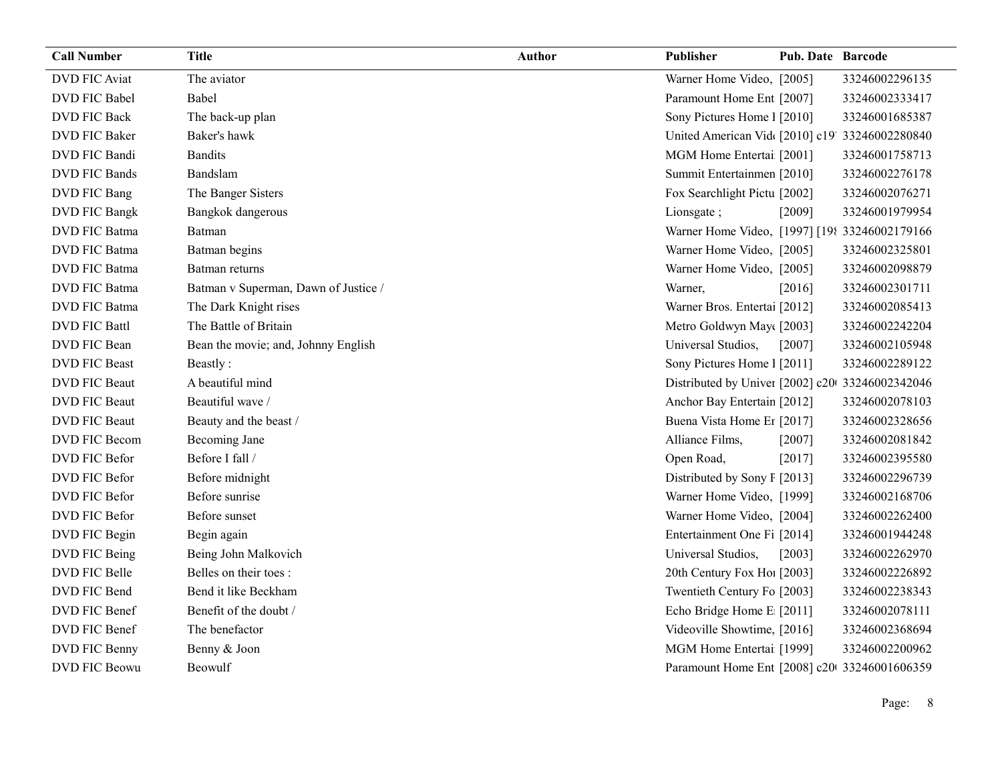| <b>Call Number</b>   | <b>Title</b>                         | <b>Author</b> | Publisher                                       | <b>Pub. Date Barcode</b> |                |
|----------------------|--------------------------------------|---------------|-------------------------------------------------|--------------------------|----------------|
| <b>DVD FIC Aviat</b> | The aviator                          |               | Warner Home Video, [2005]                       |                          | 33246002296135 |
| DVD FIC Babel        | Babel                                |               | Paramount Home Ent [2007]                       |                          | 33246002333417 |
| <b>DVD FIC Back</b>  | The back-up plan                     |               | Sony Pictures Home 1 [2010]                     |                          | 33246001685387 |
| DVD FIC Baker        | Baker's hawk                         |               | United American Vid [2010] c19' 33246002280840  |                          |                |
| DVD FIC Bandi        | <b>Bandits</b>                       |               | MGM Home Entertai [2001]                        |                          | 33246001758713 |
| <b>DVD FIC Bands</b> | Bandslam                             |               | Summit Entertainmen [2010]                      |                          | 33246002276178 |
| DVD FIC Bang         | The Banger Sisters                   |               | Fox Searchlight Pictu [2002]                    |                          | 33246002076271 |
| DVD FIC Bangk        | Bangkok dangerous                    |               | Lionsgate;                                      | $[2009]$                 | 33246001979954 |
| DVD FIC Batma        | Batman                               |               | Warner Home Video, [1997] [198 33246002179166   |                          |                |
| DVD FIC Batma        | Batman begins                        |               | Warner Home Video, [2005]                       |                          | 33246002325801 |
| DVD FIC Batma        | Batman returns                       |               | Warner Home Video, [2005]                       |                          | 33246002098879 |
| DVD FIC Batma        | Batman v Superman, Dawn of Justice / |               | Warner,                                         | [2016]                   | 33246002301711 |
| DVD FIC Batma        | The Dark Knight rises                |               | Warner Bros. Entertai [2012]                    |                          | 33246002085413 |
| <b>DVD FIC Battl</b> | The Battle of Britain                |               | Metro Goldwyn May([2003]                        |                          | 33246002242204 |
| DVD FIC Bean         | Bean the movie; and, Johnny English  |               | Universal Studios,                              | [2007]                   | 33246002105948 |
| <b>DVD FIC Beast</b> | Beastly:                             |               | Sony Pictures Home 1 [2011]                     |                          | 33246002289122 |
| DVD FIC Beaut        | A beautiful mind                     |               | Distributed by Univer [2002] c20 33246002342046 |                          |                |
| <b>DVD FIC Beaut</b> | Beautiful wave /                     |               | Anchor Bay Entertain [2012]                     |                          | 33246002078103 |
| <b>DVD FIC Beaut</b> | Beauty and the beast /               |               | Buena Vista Home Et [2017]                      |                          | 33246002328656 |
| DVD FIC Becom        | Becoming Jane                        |               | Alliance Films,                                 | $[2007]$                 | 33246002081842 |
| DVD FIC Befor        | Before I fall /                      |               | Open Road,                                      | $[2017]$                 | 33246002395580 |
| DVD FIC Befor        | Before midnight                      |               | Distributed by Sony F [2013]                    |                          | 33246002296739 |
| DVD FIC Befor        | Before sunrise                       |               | Warner Home Video, [1999]                       |                          | 33246002168706 |
| DVD FIC Befor        | Before sunset                        |               | Warner Home Video, [2004]                       |                          | 33246002262400 |
| DVD FIC Begin        | Begin again                          |               | Entertainment One Fi [2014]                     |                          | 33246001944248 |
| DVD FIC Being        | Being John Malkovich                 |               | Universal Studios,                              | [2003]                   | 33246002262970 |
| DVD FIC Belle        | Belles on their toes:                |               | 20th Century Fox Ho! [2003]                     |                          | 33246002226892 |
| DVD FIC Bend         | Bend it like Beckham                 |               | Twentieth Century Fo [2003]                     |                          | 33246002238343 |
| DVD FIC Benef        | Benefit of the doubt /               |               | Echo Bridge Home E [2011]                       |                          | 33246002078111 |
| DVD FIC Benef        | The benefactor                       |               | Videoville Showtime, [2016]                     |                          | 33246002368694 |
| DVD FIC Benny        | Benny & Joon                         |               | MGM Home Entertai [1999]                        |                          | 33246002200962 |
| DVD FIC Beowu        | Beowulf                              |               | Paramount Home Ent [2008] c20 33246001606359    |                          |                |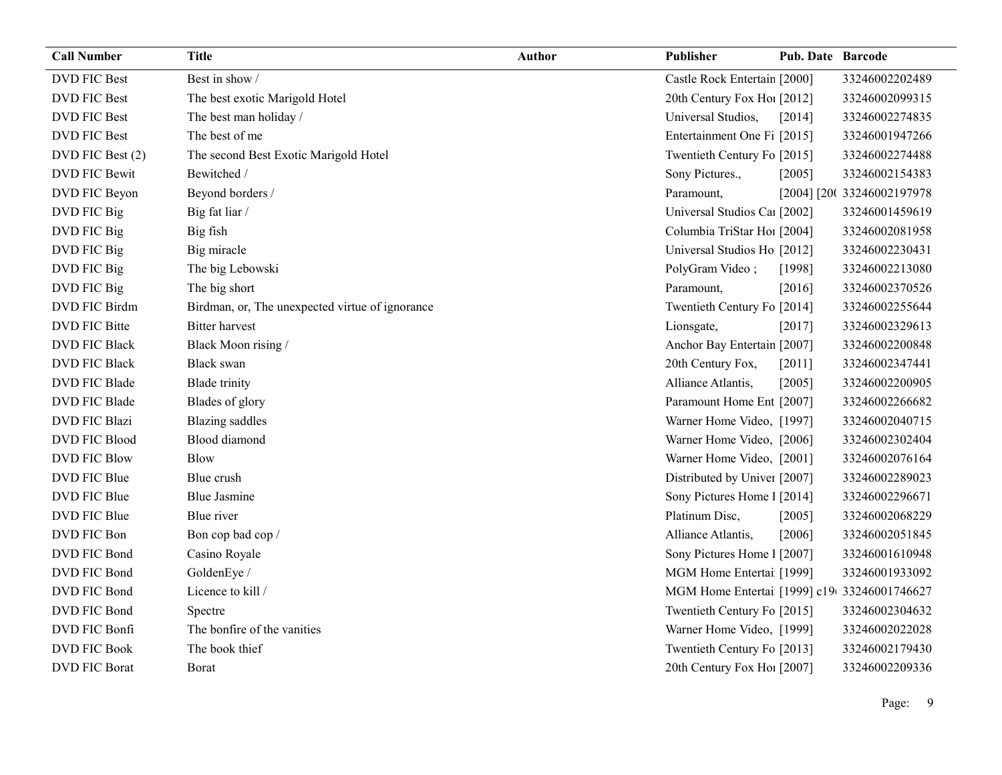| <b>DVD FIC Best</b><br>Best in show /<br>Castle Rock Entertain [2000]<br>33246002202489<br><b>DVD FIC Best</b><br>The best exotic Marigold Hotel<br>20th Century Fox Ho! [2012]<br>33246002099315<br>Universal Studios,<br><b>DVD FIC Best</b><br>The best man holiday /<br>[2014]<br>33246002274835<br>The best of me<br>Entertainment One Fi [2015]<br><b>DVD FIC Best</b><br>33246001947266<br>The second Best Exotic Marigold Hotel<br>Twentieth Century Fo [2015]<br>DVD FIC Best (2)<br>33246002274488<br>Sony Pictures.,<br><b>DVD FIC Bewit</b><br>Bewitched /<br>33246002154383<br>[2005]<br>Beyond borders /<br>DVD FIC Beyon<br>Paramount,<br>[2004] [200 33246002197978 |  |
|-------------------------------------------------------------------------------------------------------------------------------------------------------------------------------------------------------------------------------------------------------------------------------------------------------------------------------------------------------------------------------------------------------------------------------------------------------------------------------------------------------------------------------------------------------------------------------------------------------------------------------------------------------------------------------------|--|
|                                                                                                                                                                                                                                                                                                                                                                                                                                                                                                                                                                                                                                                                                     |  |
|                                                                                                                                                                                                                                                                                                                                                                                                                                                                                                                                                                                                                                                                                     |  |
|                                                                                                                                                                                                                                                                                                                                                                                                                                                                                                                                                                                                                                                                                     |  |
|                                                                                                                                                                                                                                                                                                                                                                                                                                                                                                                                                                                                                                                                                     |  |
|                                                                                                                                                                                                                                                                                                                                                                                                                                                                                                                                                                                                                                                                                     |  |
|                                                                                                                                                                                                                                                                                                                                                                                                                                                                                                                                                                                                                                                                                     |  |
|                                                                                                                                                                                                                                                                                                                                                                                                                                                                                                                                                                                                                                                                                     |  |
| DVD FIC Big<br>Big fat liar /<br>Universal Studios Car [2002]<br>33246001459619                                                                                                                                                                                                                                                                                                                                                                                                                                                                                                                                                                                                     |  |
| DVD FIC Big<br>Big fish<br>Columbia TriStar Hoi [2004]<br>33246002081958                                                                                                                                                                                                                                                                                                                                                                                                                                                                                                                                                                                                            |  |
| Universal Studios Ho [2012]<br>DVD FIC Big<br>Big miracle<br>33246002230431                                                                                                                                                                                                                                                                                                                                                                                                                                                                                                                                                                                                         |  |
| DVD FIC Big<br>The big Lebowski<br>PolyGram Video;<br>33246002213080<br>[1998]                                                                                                                                                                                                                                                                                                                                                                                                                                                                                                                                                                                                      |  |
| DVD FIC Big<br>The big short<br>33246002370526<br>Paramount,<br>$[2016]$                                                                                                                                                                                                                                                                                                                                                                                                                                                                                                                                                                                                            |  |
| DVD FIC Birdm<br>Birdman, or, The unexpected virtue of ignorance<br>Twentieth Century Fo [2014]<br>33246002255644                                                                                                                                                                                                                                                                                                                                                                                                                                                                                                                                                                   |  |
| <b>Bitter harvest</b><br>DVD FIC Bitte<br>33246002329613<br>Lionsgate,<br>$[2017]$                                                                                                                                                                                                                                                                                                                                                                                                                                                                                                                                                                                                  |  |
| <b>DVD FIC Black</b><br>Black Moon rising /<br>Anchor Bay Entertain [2007]<br>33246002200848                                                                                                                                                                                                                                                                                                                                                                                                                                                                                                                                                                                        |  |
| 20th Century Fox,<br><b>DVD FIC Black</b><br><b>Black swan</b><br>[2011]<br>33246002347441                                                                                                                                                                                                                                                                                                                                                                                                                                                                                                                                                                                          |  |
| DVD FIC Blade<br><b>Blade</b> trinity<br>Alliance Atlantis,<br>[2005]<br>33246002200905                                                                                                                                                                                                                                                                                                                                                                                                                                                                                                                                                                                             |  |
| DVD FIC Blade<br>Blades of glory<br>Paramount Home Ent [2007]<br>33246002266682                                                                                                                                                                                                                                                                                                                                                                                                                                                                                                                                                                                                     |  |
| <b>DVD FIC Blazi</b><br><b>Blazing</b> saddles<br>Warner Home Video, [1997]<br>33246002040715                                                                                                                                                                                                                                                                                                                                                                                                                                                                                                                                                                                       |  |
| <b>Blood</b> diamond<br><b>DVD FIC Blood</b><br>Warner Home Video, [2006]<br>33246002302404                                                                                                                                                                                                                                                                                                                                                                                                                                                                                                                                                                                         |  |
| Warner Home Video, [2001]<br><b>DVD FIC Blow</b><br><b>Blow</b><br>33246002076164                                                                                                                                                                                                                                                                                                                                                                                                                                                                                                                                                                                                   |  |
| DVD FIC Blue<br>Blue crush<br>Distributed by Univer [2007]<br>33246002289023                                                                                                                                                                                                                                                                                                                                                                                                                                                                                                                                                                                                        |  |
| Sony Pictures Home 1 [2014]<br>DVD FIC Blue<br><b>Blue Jasmine</b><br>33246002296671                                                                                                                                                                                                                                                                                                                                                                                                                                                                                                                                                                                                |  |
| DVD FIC Blue<br>Blue river<br>Platinum Disc,<br>33246002068229<br>[2005]                                                                                                                                                                                                                                                                                                                                                                                                                                                                                                                                                                                                            |  |
| DVD FIC Bon<br>Bon cop bad cop /<br>Alliance Atlantis,<br>[2006]<br>33246002051845                                                                                                                                                                                                                                                                                                                                                                                                                                                                                                                                                                                                  |  |
| DVD FIC Bond<br>Casino Royale<br>Sony Pictures Home 1 [2007]<br>33246001610948                                                                                                                                                                                                                                                                                                                                                                                                                                                                                                                                                                                                      |  |
| GoldenEye /<br>DVD FIC Bond<br>MGM Home Entertai [1999]<br>33246001933092                                                                                                                                                                                                                                                                                                                                                                                                                                                                                                                                                                                                           |  |
| Licence to kill /<br>DVD FIC Bond<br>MGM Home Entertai [1999] c19 33246001746627                                                                                                                                                                                                                                                                                                                                                                                                                                                                                                                                                                                                    |  |
| DVD FIC Bond<br>Twentieth Century Fo [2015]<br>33246002304632<br>Spectre                                                                                                                                                                                                                                                                                                                                                                                                                                                                                                                                                                                                            |  |
| The bonfire of the vanities<br>Warner Home Video, [1999]<br>DVD FIC Bonfi<br>33246002022028                                                                                                                                                                                                                                                                                                                                                                                                                                                                                                                                                                                         |  |
| The book thief<br><b>DVD FIC Book</b><br>Twentieth Century Fo [2013]<br>33246002179430                                                                                                                                                                                                                                                                                                                                                                                                                                                                                                                                                                                              |  |
| 33246002209336<br><b>DVD FIC Borat</b><br>20th Century Fox Ho! [2007]<br>Borat                                                                                                                                                                                                                                                                                                                                                                                                                                                                                                                                                                                                      |  |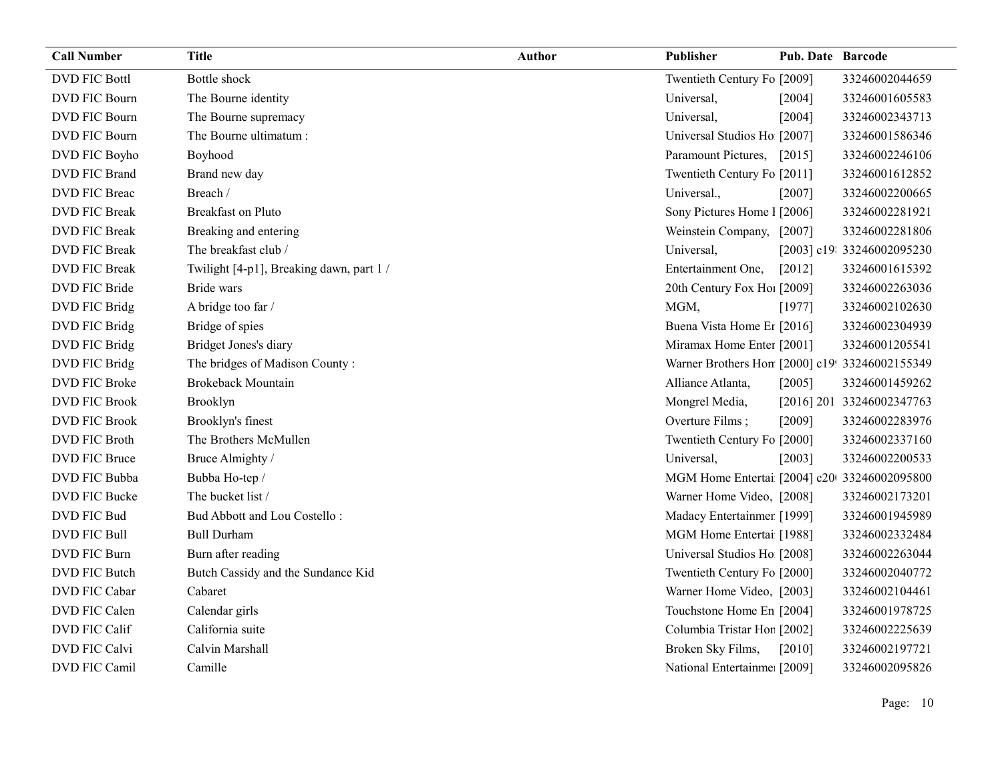| <b>Call Number</b>   | <b>Title</b>                             | Author | Publisher                                      | <b>Pub. Date Barcode</b> |                            |
|----------------------|------------------------------------------|--------|------------------------------------------------|--------------------------|----------------------------|
| <b>DVD FIC Bottl</b> | Bottle shock                             |        | Twentieth Century Fo [2009]                    |                          | 33246002044659             |
| <b>DVD FIC Bourn</b> | The Bourne identity                      |        | Universal,                                     | $[2004]$                 | 33246001605583             |
| DVD FIC Bourn        | The Bourne supremacy                     |        | Universal,                                     | [2004]                   | 33246002343713             |
| <b>DVD FIC Bourn</b> | The Bourne ultimatum:                    |        | Universal Studios Ho [2007]                    |                          | 33246001586346             |
| DVD FIC Boyho        | Boyhood                                  |        | Paramount Pictures, [2015]                     |                          | 33246002246106             |
| <b>DVD FIC Brand</b> | Brand new day                            |        | Twentieth Century Fo [2011]                    |                          | 33246001612852             |
| DVD FIC Breac        | Breach /                                 |        | Universal.,                                    | $[2007]$                 | 33246002200665             |
| <b>DVD FIC Break</b> | <b>Breakfast on Pluto</b>                |        | Sony Pictures Home 1 [2006]                    |                          | 33246002281921             |
| <b>DVD FIC Break</b> | Breaking and entering                    |        | Weinstein Company, [2007]                      |                          | 33246002281806             |
| <b>DVD FIC Break</b> | The breakfast club /                     |        | Universal,                                     |                          | [2003] c19: 33246002095230 |
| <b>DVD FIC Break</b> | Twilight [4-p1], Breaking dawn, part 1 / |        | Entertainment One,                             | $[2012]$                 | 33246001615392             |
| DVD FIC Bride        | Bride wars                               |        | 20th Century Fox Ho! [2009]                    |                          | 33246002263036             |
| DVD FIC Bridg        | A bridge too far /                       |        | MGM,                                           | [1977]                   | 33246002102630             |
| DVD FIC Bridg        | Bridge of spies                          |        | Buena Vista Home Er [2016]                     |                          | 33246002304939             |
| DVD FIC Bridg        | Bridget Jones's diary                    |        | Miramax Home Enter [2001]                      |                          | 33246001205541             |
| DVD FIC Bridg        | The bridges of Madison County:           |        | Warner Brothers Hon [2000] c19! 33246002155349 |                          |                            |
| <b>DVD FIC Broke</b> | <b>Brokeback Mountain</b>                |        | Alliance Atlanta,                              | $[2005]$                 | 33246001459262             |
| <b>DVD FIC Brook</b> | Brooklyn                                 |        | Mongrel Media,                                 |                          | [2016] 201 33246002347763  |
| <b>DVD FIC Brook</b> | Brooklyn's finest                        |        | Overture Films;                                | [2009]                   | 33246002283976             |
| DVD FIC Broth        | The Brothers McMullen                    |        | Twentieth Century Fo [2000]                    |                          | 33246002337160             |
| <b>DVD FIC Bruce</b> | Bruce Almighty /                         |        | Universal,                                     | [2003]                   | 33246002200533             |
| DVD FIC Bubba        | Bubba Ho-tep /                           |        | MGM Home Entertai [2004] c20 33246002095800    |                          |                            |
| DVD FIC Bucke        | The bucket list /                        |        | Warner Home Video, [2008]                      |                          | 33246002173201             |
| DVD FIC Bud          | Bud Abbott and Lou Costello:             |        | Madacy Entertainmer [1999]                     |                          | 33246001945989             |
| <b>DVD FIC Bull</b>  | <b>Bull Durham</b>                       |        | MGM Home Entertai [1988]                       |                          | 33246002332484             |
| DVD FIC Burn         | Burn after reading                       |        | Universal Studios Ho [2008]                    |                          | 33246002263044             |
| DVD FIC Butch        | Butch Cassidy and the Sundance Kid       |        | Twentieth Century Fo [2000]                    |                          | 33246002040772             |
| <b>DVD FIC Cabar</b> | Cabaret                                  |        | Warner Home Video, [2003]                      |                          | 33246002104461             |
| DVD FIC Calen        | Calendar girls                           |        | Touchstone Home En [2004]                      |                          | 33246001978725             |
| DVD FIC Calif        | California suite                         |        | Columbia Tristar Hor [2002]                    |                          | 33246002225639             |
| DVD FIC Calvi        | Calvin Marshall                          |        | Broken Sky Films,                              | [2010]                   | 33246002197721             |
| DVD FIC Camil        | Camille                                  |        | National Entertainme: [2009]                   |                          | 33246002095826             |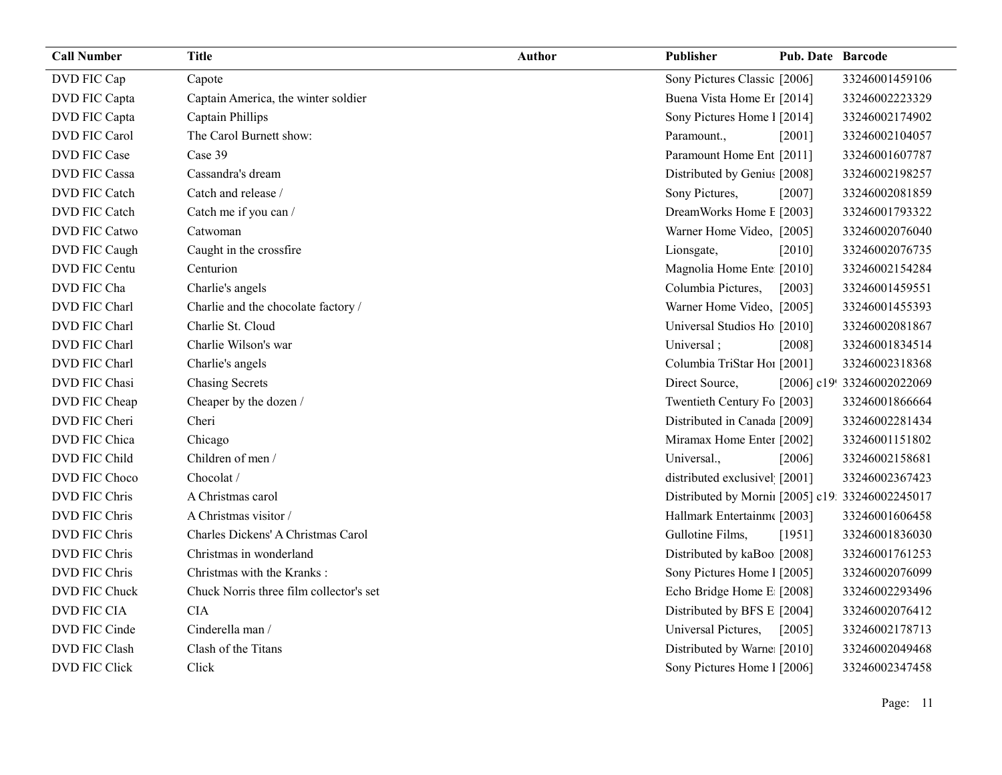| <b>Call Number</b>   | <b>Title</b>                            | <b>Author</b> | Publisher                                        | <b>Pub. Date Barcode</b> |                            |
|----------------------|-----------------------------------------|---------------|--------------------------------------------------|--------------------------|----------------------------|
| DVD FIC Cap          | Capote                                  |               | Sony Pictures Classic [2006]                     |                          | 33246001459106             |
| DVD FIC Capta        | Captain America, the winter soldier     |               | Buena Vista Home Er [2014]                       |                          | 33246002223329             |
| DVD FIC Capta        | Captain Phillips                        |               | Sony Pictures Home 1 [2014]                      |                          | 33246002174902             |
| <b>DVD FIC Carol</b> | The Carol Burnett show:                 |               | Paramount.,                                      | [2001]                   | 33246002104057             |
| <b>DVD FIC Case</b>  | Case 39                                 |               | Paramount Home Ent [2011]                        |                          | 33246001607787             |
| <b>DVD FIC Cassa</b> | Cassandra's dream                       |               | Distributed by Genius [2008]                     |                          | 33246002198257             |
| DVD FIC Catch        | Catch and release /                     |               | Sony Pictures,                                   | [2007]                   | 33246002081859             |
| DVD FIC Catch        | Catch me if you can /                   |               | DreamWorks Home E [2003]                         |                          | 33246001793322             |
| <b>DVD FIC Catwo</b> | Catwoman                                |               | Warner Home Video, [2005]                        |                          | 33246002076040             |
| DVD FIC Caugh        | Caught in the crossfire                 |               | Lionsgate,                                       | $[2010]$                 | 33246002076735             |
| DVD FIC Centu        | Centurion                               |               | Magnolia Home Ente [2010]                        |                          | 33246002154284             |
| DVD FIC Cha          | Charlie's angels                        |               | Columbia Pictures,                               | $[2003]$                 | 33246001459551             |
| DVD FIC Charl        | Charlie and the chocolate factory /     |               | Warner Home Video, [2005]                        |                          | 33246001455393             |
| DVD FIC Charl        | Charlie St. Cloud                       |               | Universal Studios Ho [2010]                      |                          | 33246002081867             |
| DVD FIC Charl        | Charlie Wilson's war                    |               | Universal;                                       | [2008]                   | 33246001834514             |
| DVD FIC Charl        | Charlie's angels                        |               | Columbia TriStar Hoi [2001]                      |                          | 33246002318368             |
| DVD FIC Chasi        | <b>Chasing Secrets</b>                  |               | Direct Source,                                   |                          | [2006] c19! 33246002022069 |
| DVD FIC Cheap        | Cheaper by the dozen /                  |               | Twentieth Century Fo [2003]                      |                          | 33246001866664             |
| DVD FIC Cheri        | Cheri                                   |               | Distributed in Canada [2009]                     |                          | 33246002281434             |
| DVD FIC Chica        | Chicago                                 |               | Miramax Home Enter [2002]                        |                          | 33246001151802             |
| DVD FIC Child        | Children of men /                       |               | Universal.,                                      | [2006]                   | 33246002158681             |
| DVD FIC Choco        | Chocolat /                              |               | distributed exclusivel [2001]                    |                          | 33246002367423             |
| <b>DVD FIC Chris</b> | A Christmas carol                       |               | Distributed by Mornii [2005] c19: 33246002245017 |                          |                            |
| DVD FIC Chris        | A Christmas visitor /                   |               | Hallmark Entertainm [2003]                       |                          | 33246001606458             |
| DVD FIC Chris        | Charles Dickens' A Christmas Carol      |               | Gullotine Films,                                 | [1951]                   | 33246001836030             |
| DVD FIC Chris        | Christmas in wonderland                 |               | Distributed by kaBoo [2008]                      |                          | 33246001761253             |
| <b>DVD FIC Chris</b> | Christmas with the Kranks:              |               | Sony Pictures Home 1 [2005]                      |                          | 33246002076099             |
| DVD FIC Chuck        | Chuck Norris three film collector's set |               | Echo Bridge Home E [2008]                        |                          | 33246002293496             |
| DVD FIC CIA          | <b>CIA</b>                              |               | Distributed by BFS E [2004]                      |                          | 33246002076412             |
| DVD FIC Cinde        | Cinderella man /                        |               | Universal Pictures,                              | $[2005]$                 | 33246002178713             |
| <b>DVD FIC Clash</b> | Clash of the Titans                     |               | Distributed by Warne: [2010]                     |                          | 33246002049468             |
| <b>DVD FIC Click</b> | Click                                   |               | Sony Pictures Home 1 [2006]                      |                          | 33246002347458             |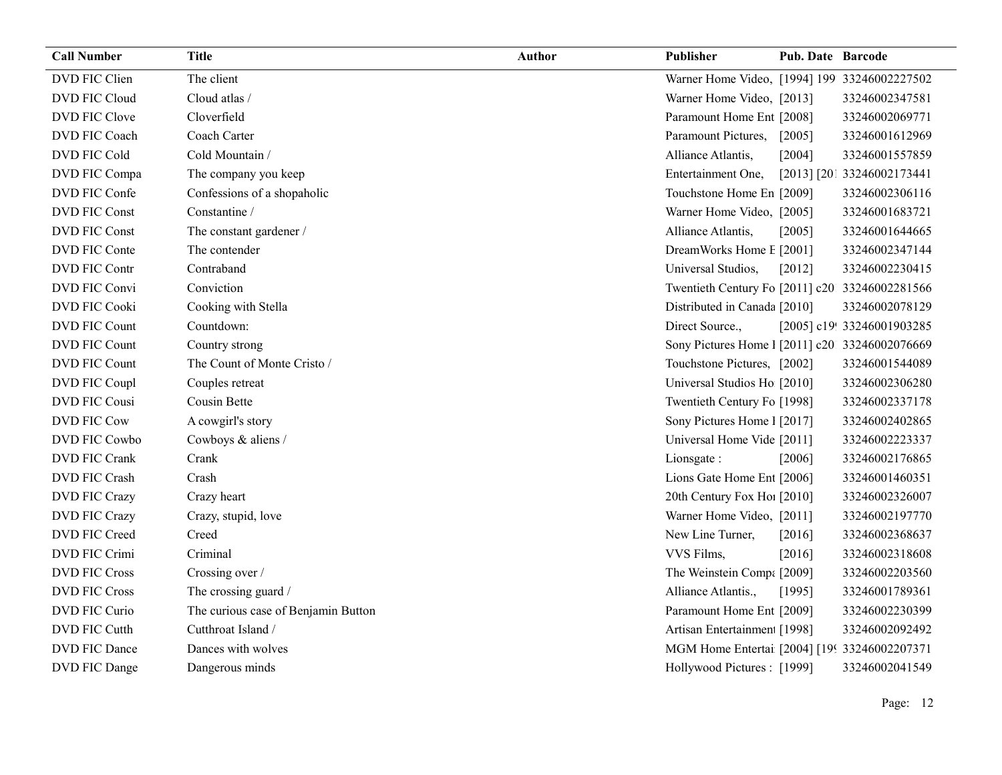| <b>Call Number</b>   | Title                               | <b>Author</b> | Publisher                                      | <b>Pub. Date Barcode</b> |                            |
|----------------------|-------------------------------------|---------------|------------------------------------------------|--------------------------|----------------------------|
| DVD FIC Clien        | The client                          |               | Warner Home Video, [1994] 199 33246002227502   |                          |                            |
| DVD FIC Cloud        | Cloud atlas /                       |               | Warner Home Video, [2013]                      |                          | 33246002347581             |
| DVD FIC Clove        | Cloverfield                         |               | Paramount Home Ent [2008]                      |                          | 33246002069771             |
| DVD FIC Coach        | Coach Carter                        |               | Paramount Pictures,                            | [2005]                   | 33246001612969             |
| DVD FIC Cold         | Cold Mountain /                     |               | Alliance Atlantis,                             | [2004]                   | 33246001557859             |
| DVD FIC Compa        | The company you keep                |               | Entertainment One,                             |                          | [2013] [201 33246002173441 |
| DVD FIC Confe        | Confessions of a shopaholic         |               | Touchstone Home En [2009]                      |                          | 33246002306116             |
| <b>DVD FIC Const</b> | Constantine /                       |               | Warner Home Video, [2005]                      |                          | 33246001683721             |
| <b>DVD FIC Const</b> | The constant gardener /             |               | Alliance Atlantis,                             | [2005]                   | 33246001644665             |
| DVD FIC Conte        | The contender                       |               | DreamWorks Home E [2001]                       |                          | 33246002347144             |
| DVD FIC Contr        | Contraband                          |               | Universal Studios,                             | [2012]                   | 33246002230415             |
| DVD FIC Convi        | Conviction                          |               | Twentieth Century Fo [2011] c20 33246002281566 |                          |                            |
| <b>DVD FIC Cooki</b> | Cooking with Stella                 |               | Distributed in Canada [2010]                   |                          | 33246002078129             |
| DVD FIC Count        | Countdown:                          |               | Direct Source.,                                |                          | [2005] c19! 33246001903285 |
| DVD FIC Count        | Country strong                      |               | Sony Pictures Home 1 [2011] c20 33246002076669 |                          |                            |
| DVD FIC Count        | The Count of Monte Cristo /         |               | Touchstone Pictures, [2002]                    |                          | 33246001544089             |
| DVD FIC Coupl        | Couples retreat                     |               | Universal Studios Ho [2010]                    |                          | 33246002306280             |
| <b>DVD FIC Cousi</b> | Cousin Bette                        |               | Twentieth Century Fo [1998]                    |                          | 33246002337178             |
| <b>DVD FIC Cow</b>   | A cowgirl's story                   |               | Sony Pictures Home 1 [2017]                    |                          | 33246002402865             |
| DVD FIC Cowbo        | Cowboys & aliens /                  |               | Universal Home Vide [2011]                     |                          | 33246002223337             |
| DVD FIC Crank        | Crank                               |               | Lionsgate:                                     | [2006]                   | 33246002176865             |
| DVD FIC Crash        | Crash                               |               | Lions Gate Home Ent [2006]                     |                          | 33246001460351             |
| DVD FIC Crazy        | Crazy heart                         |               | 20th Century Fox Ho! [2010]                    |                          | 33246002326007             |
| <b>DVD FIC Crazy</b> | Crazy, stupid, love                 |               | Warner Home Video, [2011]                      |                          | 33246002197770             |
| DVD FIC Creed        | Creed                               |               | New Line Turner,                               | [2016]                   | 33246002368637             |
| DVD FIC Crimi        | Criminal                            |               | VVS Films,                                     | [2016]                   | 33246002318608             |
| <b>DVD FIC Cross</b> | Crossing over /                     |               | The Weinstein Comp: [2009]                     |                          | 33246002203560             |
| <b>DVD FIC Cross</b> | The crossing guard /                |               | Alliance Atlantis.,                            | [1995]                   | 33246001789361             |
| DVD FIC Curio        | The curious case of Benjamin Button |               | Paramount Home Ent [2009]                      |                          | 33246002230399             |
| DVD FIC Cutth        | Cutthroat Island /                  |               | Artisan Entertainmen [1998]                    |                          | 33246002092492             |
| DVD FIC Dance        | Dances with wolves                  |               | MGM Home Entertai [2004] [199 33246002207371   |                          |                            |
| DVD FIC Dange        | Dangerous minds                     |               | Hollywood Pictures: [1999]                     |                          | 33246002041549             |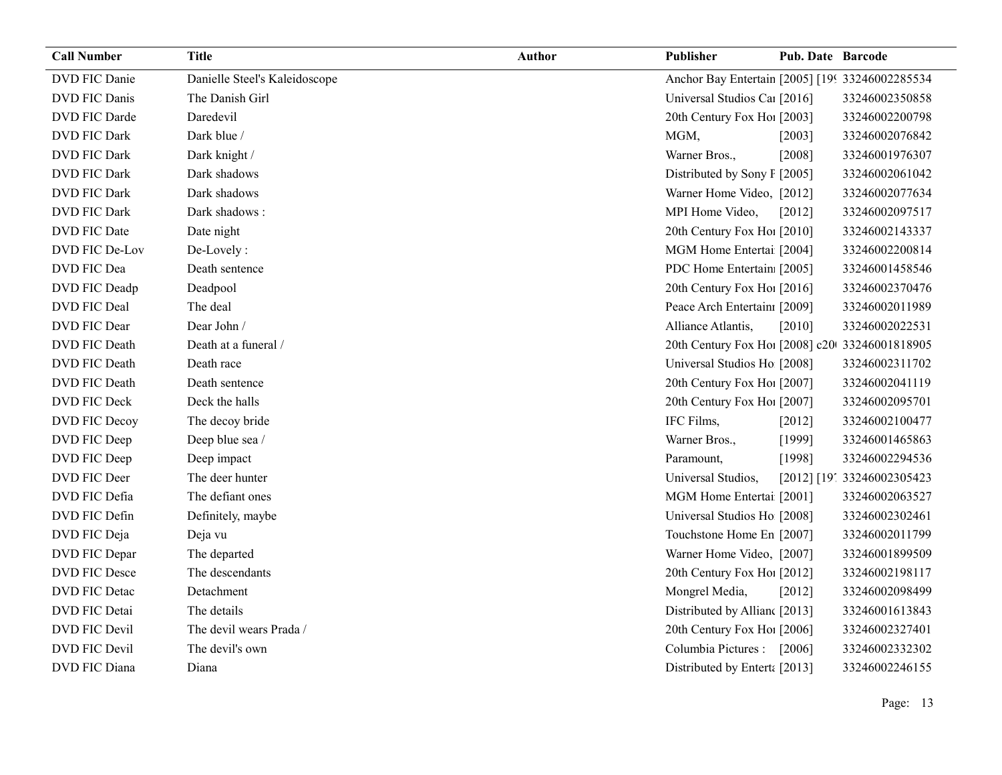| <b>Call Number</b>   | Title                         | <b>Author</b> | <b>Publisher</b>                                | Pub. Date Barcode |                            |
|----------------------|-------------------------------|---------------|-------------------------------------------------|-------------------|----------------------------|
| <b>DVD FIC Danie</b> | Danielle Steel's Kaleidoscope |               | Anchor Bay Entertain [2005] [199 33246002285534 |                   |                            |
| <b>DVD FIC Danis</b> | The Danish Girl               |               | Universal Studios Cal [2016]                    |                   | 33246002350858             |
| DVD FIC Darde        | Daredevil                     |               | 20th Century Fox Ho! [2003]                     |                   | 33246002200798             |
| <b>DVD FIC Dark</b>  | Dark blue /                   |               | MGM,                                            | [2003]            | 33246002076842             |
| <b>DVD FIC Dark</b>  | Dark knight /                 |               | Warner Bros.,                                   | $[2008]$          | 33246001976307             |
| <b>DVD FIC Dark</b>  | Dark shadows                  |               | Distributed by Sony F [2005]                    |                   | 33246002061042             |
| <b>DVD FIC Dark</b>  | Dark shadows                  |               | Warner Home Video, [2012]                       |                   | 33246002077634             |
| <b>DVD FIC Dark</b>  | Dark shadows:                 |               | MPI Home Video,                                 | $[2012]$          | 33246002097517             |
| <b>DVD FIC Date</b>  | Date night                    |               | 20th Century Fox Hol [2010]                     |                   | 33246002143337             |
| DVD FIC De-Lov       | De-Lovely:                    |               | MGM Home Entertai [2004]                        |                   | 33246002200814             |
| DVD FIC Dea          | Death sentence                |               | PDC Home Entertain [2005]                       |                   | 33246001458546             |
| DVD FIC Deadp        | Deadpool                      |               | 20th Century Fox Ho! [2016]                     |                   | 33246002370476             |
| DVD FIC Deal         | The deal                      |               | Peace Arch Entertain [2009]                     |                   | 33246002011989             |
| <b>DVD FIC Dear</b>  | Dear John /                   |               | Alliance Atlantis,                              | [2010]            | 33246002022531             |
| DVD FIC Death        | Death at a funeral /          |               | 20th Century Fox Ho! [2008] c20 33246001818905  |                   |                            |
| DVD FIC Death        | Death race                    |               | Universal Studios Ho [2008]                     |                   | 33246002311702             |
| DVD FIC Death        | Death sentence                |               | 20th Century Fox Ho! [2007]                     |                   | 33246002041119             |
| DVD FIC Deck         | Deck the halls                |               | 20th Century Fox Ho! [2007]                     |                   | 33246002095701             |
| <b>DVD FIC Decoy</b> | The decoy bride               |               | IFC Films,                                      | $[2012]$          | 33246002100477             |
| DVD FIC Deep         | Deep blue sea /               |               | Warner Bros.,                                   | [1999]            | 33246001465863             |
| DVD FIC Deep         | Deep impact                   |               | Paramount,                                      | [1998]            | 33246002294536             |
| DVD FIC Deer         | The deer hunter               |               | Universal Studios,                              |                   | [2012] [19] 33246002305423 |
| DVD FIC Defia        | The defiant ones              |               | MGM Home Entertai [2001]                        |                   | 33246002063527             |
| DVD FIC Defin        | Definitely, maybe             |               | Universal Studios Ho [2008]                     |                   | 33246002302461             |
| DVD FIC Deja         | Deja vu                       |               | Touchstone Home En [2007]                       |                   | 33246002011799             |
| DVD FIC Depar        | The departed                  |               | Warner Home Video, [2007]                       |                   | 33246001899509             |
| DVD FIC Desce        | The descendants               |               | 20th Century Fox Ho! [2012]                     |                   | 33246002198117             |
| <b>DVD FIC Detac</b> | Detachment                    |               | Mongrel Media,                                  | [2012]            | 33246002098499             |
| <b>DVD FIC Detai</b> | The details                   |               | Distributed by Allian [2013]                    |                   | 33246001613843             |
| DVD FIC Devil        | The devil wears Prada /       |               | 20th Century Fox Ho! [2006]                     |                   | 33246002327401             |
| <b>DVD FIC Devil</b> | The devil's own               |               | Columbia Pictures : [2006]                      |                   | 33246002332302             |
| DVD FIC Diana        | Diana                         |               | Distributed by Entert: [2013]                   |                   | 33246002246155             |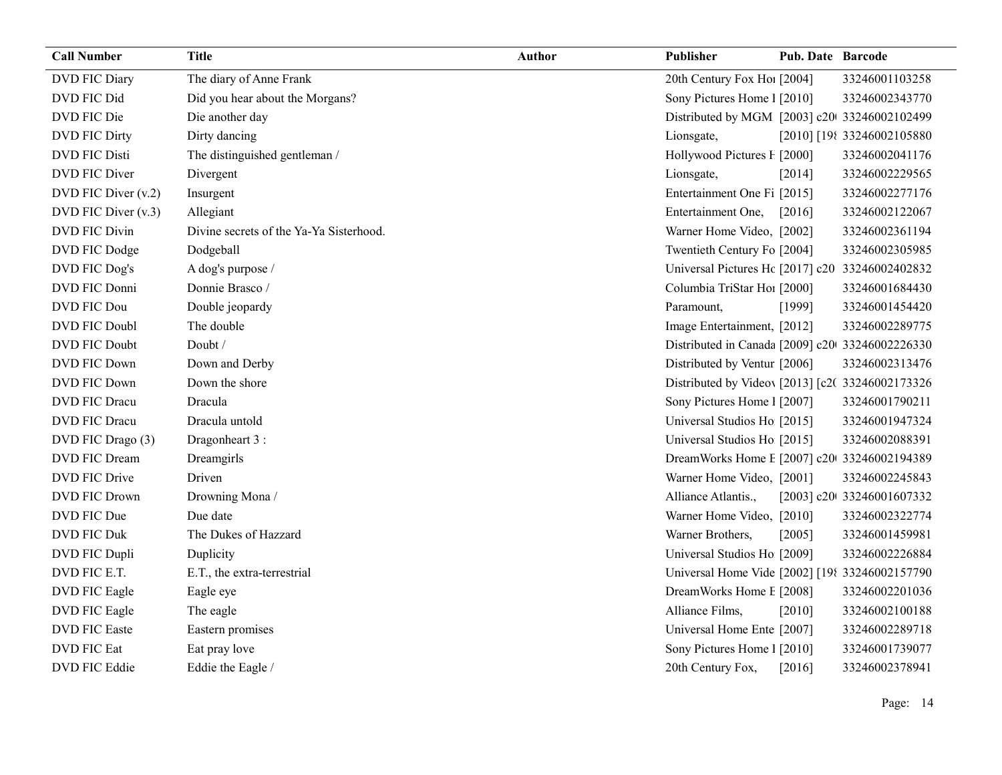| <b>Call Number</b>   | Title                                   | <b>Author</b> | Publisher                                        | <b>Pub. Date Barcode</b> |                            |
|----------------------|-----------------------------------------|---------------|--------------------------------------------------|--------------------------|----------------------------|
| DVD FIC Diary        | The diary of Anne Frank                 |               | 20th Century Fox Ho! [2004]                      |                          | 33246001103258             |
| DVD FIC Did          | Did you hear about the Morgans?         |               | Sony Pictures Home 1 [2010]                      |                          | 33246002343770             |
| DVD FIC Die          | Die another day                         |               | Distributed by MGM [2003] c20 33246002102499     |                          |                            |
| <b>DVD FIC Dirty</b> | Dirty dancing                           |               | Lionsgate,                                       |                          | [2010] [198 33246002105880 |
| <b>DVD FIC Disti</b> | The distinguished gentleman /           |               | Hollywood Pictures F [2000]                      |                          | 33246002041176             |
| <b>DVD FIC Diver</b> | Divergent                               |               | Lionsgate,                                       | [2014]                   | 33246002229565             |
| DVD FIC Diver (v.2)  | Insurgent                               |               | Entertainment One Fi [2015]                      |                          | 33246002277176             |
| DVD FIC Diver (v.3)  | Allegiant                               |               | Entertainment One,                               | $[2016]$                 | 33246002122067             |
| <b>DVD FIC Divin</b> | Divine secrets of the Ya-Ya Sisterhood. |               | Warner Home Video, [2002]                        |                          | 33246002361194             |
| DVD FIC Dodge        | Dodgeball                               |               | Twentieth Century Fo [2004]                      |                          | 33246002305985             |
| DVD FIC Dog's        | A dog's purpose /                       |               | Universal Pictures Hc [2017] c20 33246002402832  |                          |                            |
| DVD FIC Donni        | Donnie Brasco /                         |               | Columbia TriStar Ho1 [2000]                      |                          | 33246001684430             |
| <b>DVD FIC Dou</b>   | Double jeopardy                         |               | Paramount,                                       | [1999]                   | 33246001454420             |
| DVD FIC Doubl        | The double                              |               | Image Entertainment, [2012]                      |                          | 33246002289775             |
| <b>DVD FIC Doubt</b> | Doubt /                                 |               | Distributed in Canada [2009] c20 33246002226330  |                          |                            |
| DVD FIC Down         | Down and Derby                          |               | Distributed by Ventur [2006]                     |                          | 33246002313476             |
| DVD FIC Down         | Down the shore                          |               | Distributed by Videov [2013] [c2( 33246002173326 |                          |                            |
| <b>DVD FIC Dracu</b> | Dracula                                 |               | Sony Pictures Home 1 [2007]                      |                          | 33246001790211             |
| <b>DVD FIC Dracu</b> | Dracula untold                          |               | Universal Studios Ho [2015]                      |                          | 33246001947324             |
| DVD FIC Drago (3)    | Dragonheart 3 :                         |               | Universal Studios Ho [2015]                      |                          | 33246002088391             |
| <b>DVD FIC Dream</b> | Dreamgirls                              |               | DreamWorks Home E [2007] c20 33246002194389      |                          |                            |
| <b>DVD FIC Drive</b> | Driven                                  |               | Warner Home Video, [2001]                        |                          | 33246002245843             |
| <b>DVD FIC Drown</b> | Drowning Mona /                         |               | Alliance Atlantis.,                              |                          | [2003] c20t 33246001607332 |
| DVD FIC Due          | Due date                                |               | Warner Home Video, [2010]                        |                          | 33246002322774             |
| <b>DVD FIC Duk</b>   | The Dukes of Hazzard                    |               | Warner Brothers,                                 | [2005]                   | 33246001459981             |
| DVD FIC Dupli        | Duplicity                               |               | Universal Studios Ho [2009]                      |                          | 33246002226884             |
| DVD FIC E.T.         | E.T., the extra-terrestrial             |               | Universal Home Vide [2002] [198 33246002157790   |                          |                            |
| <b>DVD FIC Eagle</b> | Eagle eye                               |               | DreamWorks Home E [2008]                         |                          | 33246002201036             |
| DVD FIC Eagle        | The eagle                               |               | Alliance Films,                                  | [2010]                   | 33246002100188             |
| <b>DVD FIC Easte</b> | Eastern promises                        |               | Universal Home Ente [2007]                       |                          | 33246002289718             |
| <b>DVD FIC Eat</b>   | Eat pray love                           |               | Sony Pictures Home 1 [2010]                      |                          | 33246001739077             |
| DVD FIC Eddie        | Eddie the Eagle /                       |               | 20th Century Fox,                                | [2016]                   | 33246002378941             |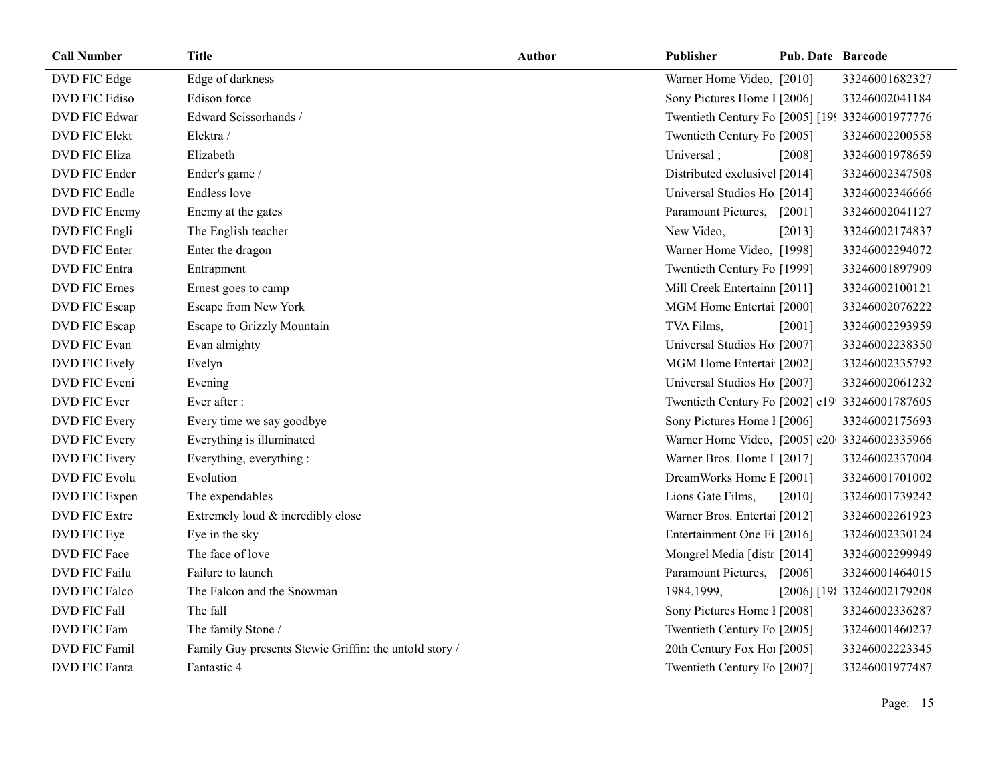| <b>Call Number</b>   | Title                                                  | <b>Author</b> | <b>Publisher</b>                                | <b>Pub. Date Barcode</b> |                             |
|----------------------|--------------------------------------------------------|---------------|-------------------------------------------------|--------------------------|-----------------------------|
| DVD FIC Edge         | Edge of darkness                                       |               | Warner Home Video, [2010]                       |                          | 33246001682327              |
| DVD FIC Ediso        | Edison force                                           |               | Sony Pictures Home 1 [2006]                     |                          | 33246002041184              |
| <b>DVD FIC Edwar</b> | Edward Scissorhands /                                  |               | Twentieth Century Fo [2005] [199 33246001977776 |                          |                             |
| <b>DVD FIC Elekt</b> | Elektra /                                              |               | Twentieth Century Fo [2005]                     |                          | 33246002200558              |
| <b>DVD FIC Eliza</b> | Elizabeth                                              |               | Universal;                                      | [2008]                   | 33246001978659              |
| DVD FIC Ender        | Ender's game /                                         |               | Distributed exclusive [2014]                    |                          | 33246002347508              |
| DVD FIC Endle        | <b>Endless</b> love                                    |               | Universal Studios Ho [2014]                     |                          | 33246002346666              |
| DVD FIC Enemy        | Enemy at the gates                                     |               | Paramount Pictures,                             | $[2001]$                 | 33246002041127              |
| DVD FIC Engli        | The English teacher                                    |               | New Video,                                      | [2013]                   | 33246002174837              |
| DVD FIC Enter        | Enter the dragon                                       |               | Warner Home Video, [1998]                       |                          | 33246002294072              |
| <b>DVD FIC Entra</b> | Entrapment                                             |               | Twentieth Century Fo [1999]                     |                          | 33246001897909              |
| <b>DVD FIC Ernes</b> | Ernest goes to camp                                    |               | Mill Creek Entertainn [2011]                    |                          | 33246002100121              |
| DVD FIC Escap        | Escape from New York                                   |               | MGM Home Entertai [2000]                        |                          | 33246002076222              |
| DVD FIC Escap        | Escape to Grizzly Mountain                             |               | TVA Films,                                      | [2001]                   | 33246002293959              |
| DVD FIC Evan         | Evan almighty                                          |               | Universal Studios Ho [2007]                     |                          | 33246002238350              |
| DVD FIC Evely        | Evelyn                                                 |               | MGM Home Entertai [2002]                        |                          | 33246002335792              |
| DVD FIC Eveni        | Evening                                                |               | Universal Studios Ho [2007]                     |                          | 33246002061232              |
| DVD FIC Ever         | Ever after :                                           |               | Twentieth Century Fo [2002] c19! 33246001787605 |                          |                             |
| DVD FIC Every        | Every time we say goodbye                              |               | Sony Pictures Home 1 [2006]                     |                          | 33246002175693              |
| DVD FIC Every        | Everything is illuminated                              |               | Warner Home Video, [2005] c20 33246002335966    |                          |                             |
| DVD FIC Every        | Everything, everything:                                |               | Warner Bros. Home I [2017]                      |                          | 33246002337004              |
| DVD FIC Evolu        | Evolution                                              |               | DreamWorks Home E [2001]                        |                          | 33246001701002              |
| DVD FIC Expen        | The expendables                                        |               | Lions Gate Films,                               | [2010]                   | 33246001739242              |
| <b>DVD FIC Extre</b> | Extremely loud & incredibly close                      |               | Warner Bros. Entertai [2012]                    |                          | 33246002261923              |
| DVD FIC Eye          | Eye in the sky                                         |               | Entertainment One Fi [2016]                     |                          | 33246002330124              |
| DVD FIC Face         | The face of love                                       |               | Mongrel Media [distr [2014]                     |                          | 33246002299949              |
| <b>DVD FIC Failu</b> | Failure to launch                                      |               | Paramount Pictures,                             | [2006]                   | 33246001464015              |
| DVD FIC Falco        | The Falcon and the Snowman                             |               | 1984,1999,                                      |                          | [2006] [198 33246002179208] |
| DVD FIC Fall         | The fall                                               |               | Sony Pictures Home 1 [2008]                     |                          | 33246002336287              |
| DVD FIC Fam          | The family Stone /                                     |               | Twentieth Century Fo [2005]                     |                          | 33246001460237              |
| <b>DVD FIC Famil</b> | Family Guy presents Stewie Griffin: the untold story / |               | 20th Century Fox Ho! [2005]                     |                          | 33246002223345              |
| <b>DVD FIC Fanta</b> | Fantastic 4                                            |               | Twentieth Century Fo [2007]                     |                          | 33246001977487              |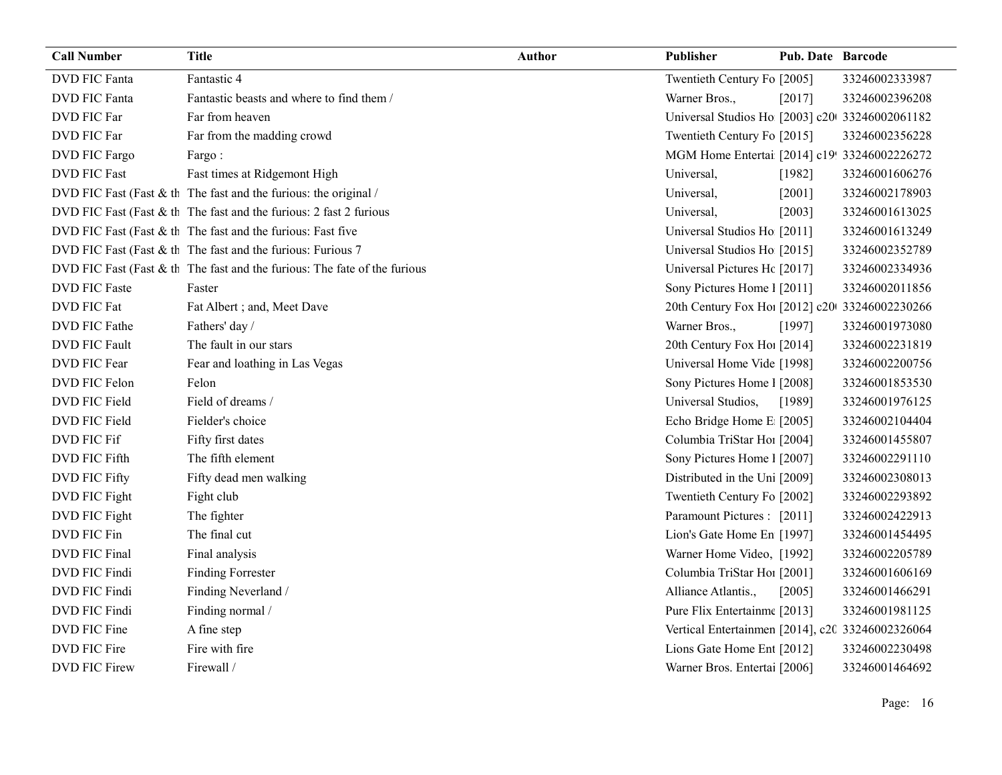| <b>Call Number</b>   | <b>Title</b>                                                                | Author | Publisher                                        | <b>Pub. Date Barcode</b> |                |
|----------------------|-----------------------------------------------------------------------------|--------|--------------------------------------------------|--------------------------|----------------|
| <b>DVD</b> FIC Fanta | Fantastic 4                                                                 |        | Twentieth Century Fo [2005]                      |                          | 33246002333987 |
| <b>DVD FIC Fanta</b> | Fantastic beasts and where to find them /                                   |        | Warner Bros.,                                    | [2017]                   | 33246002396208 |
| DVD FIC Far          | Far from heaven                                                             |        | Universal Studios Ho [2003] c20 33246002061182   |                          |                |
| DVD FIC Far          | Far from the madding crowd                                                  |        | Twentieth Century Fo [2015]                      |                          | 33246002356228 |
| DVD FIC Fargo        | Fargo:                                                                      |        | MGM Home Entertai [2014] c19! 33246002226272     |                          |                |
| <b>DVD FIC Fast</b>  | Fast times at Ridgemont High                                                |        | Universal,                                       | [1982]                   | 33246001606276 |
|                      | DVD FIC Fast (Fast & th The fast and the furious: the original /            |        | Universal,                                       | [2001]                   | 33246002178903 |
|                      | DVD FIC Fast (Fast $&$ th The fast and the furious: 2 fast 2 furious        |        | Universal,                                       | [2003]                   | 33246001613025 |
|                      | DVD FIC Fast (Fast & th The fast and the furious: Fast five                 |        | Universal Studios Ho [2011]                      |                          | 33246001613249 |
|                      | DVD FIC Fast (Fast & th The fast and the furious: Furious 7                 |        | Universal Studios Ho [2015]                      |                          | 33246002352789 |
|                      | DVD FIC Fast (Fast $&$ th The fast and the furious: The fate of the furious |        | Universal Pictures Hc [2017]                     |                          | 33246002334936 |
| <b>DVD FIC Faste</b> | Faster                                                                      |        | Sony Pictures Home 1 [2011]                      |                          | 33246002011856 |
| DVD FIC Fat          | Fat Albert ; and, Meet Dave                                                 |        | 20th Century Fox Ho! [2012] c20 33246002230266   |                          |                |
| DVD FIC Fathe        | Fathers' day /                                                              |        | Warner Bros.,                                    | [1997]                   | 33246001973080 |
| DVD FIC Fault        | The fault in our stars                                                      |        | 20th Century Fox Ho! [2014]                      |                          | 33246002231819 |
| DVD FIC Fear         | Fear and loathing in Las Vegas                                              |        | Universal Home Vide [1998]                       |                          | 33246002200756 |
| DVD FIC Felon        | Felon                                                                       |        | Sony Pictures Home 1 [2008]                      |                          | 33246001853530 |
| DVD FIC Field        | Field of dreams /                                                           |        | Universal Studios,                               | [1989]                   | 33246001976125 |
| DVD FIC Field        | Fielder's choice                                                            |        | Echo Bridge Home E [2005]                        |                          | 33246002104404 |
| DVD FIC Fif          | Fifty first dates                                                           |        | Columbia TriStar Hoi [2004]                      |                          | 33246001455807 |
| DVD FIC Fifth        | The fifth element                                                           |        | Sony Pictures Home 1 [2007]                      |                          | 33246002291110 |
| <b>DVD FIC Fifty</b> | Fifty dead men walking                                                      |        | Distributed in the Uni [2009]                    |                          | 33246002308013 |
| DVD FIC Fight        | Fight club                                                                  |        | Twentieth Century Fo [2002]                      |                          | 33246002293892 |
| DVD FIC Fight        | The fighter                                                                 |        | Paramount Pictures : [2011]                      |                          | 33246002422913 |
| DVD FIC Fin          | The final cut                                                               |        | Lion's Gate Home En [1997]                       |                          | 33246001454495 |
| <b>DVD FIC Final</b> | Final analysis                                                              |        | Warner Home Video, [1992]                        |                          | 33246002205789 |
| DVD FIC Findi        | <b>Finding Forrester</b>                                                    |        | Columbia TriStar Hoi [2001]                      |                          | 33246001606169 |
| DVD FIC Findi        | Finding Neverland /                                                         |        | Alliance Atlantis.,                              | [2005]                   | 33246001466291 |
| DVD FIC Findi        | Finding normal /                                                            |        | Pure Flix Entertainme [2013]                     |                          | 33246001981125 |
| DVD FIC Fine         | A fine step                                                                 |        | Vertical Entertainmen [2014], c20 33246002326064 |                          |                |
| DVD FIC Fire         | Fire with fire                                                              |        | Lions Gate Home Ent [2012]                       |                          | 33246002230498 |
| <b>DVD FIC Firew</b> | Firewall /                                                                  |        | Warner Bros. Entertai [2006]                     |                          | 33246001464692 |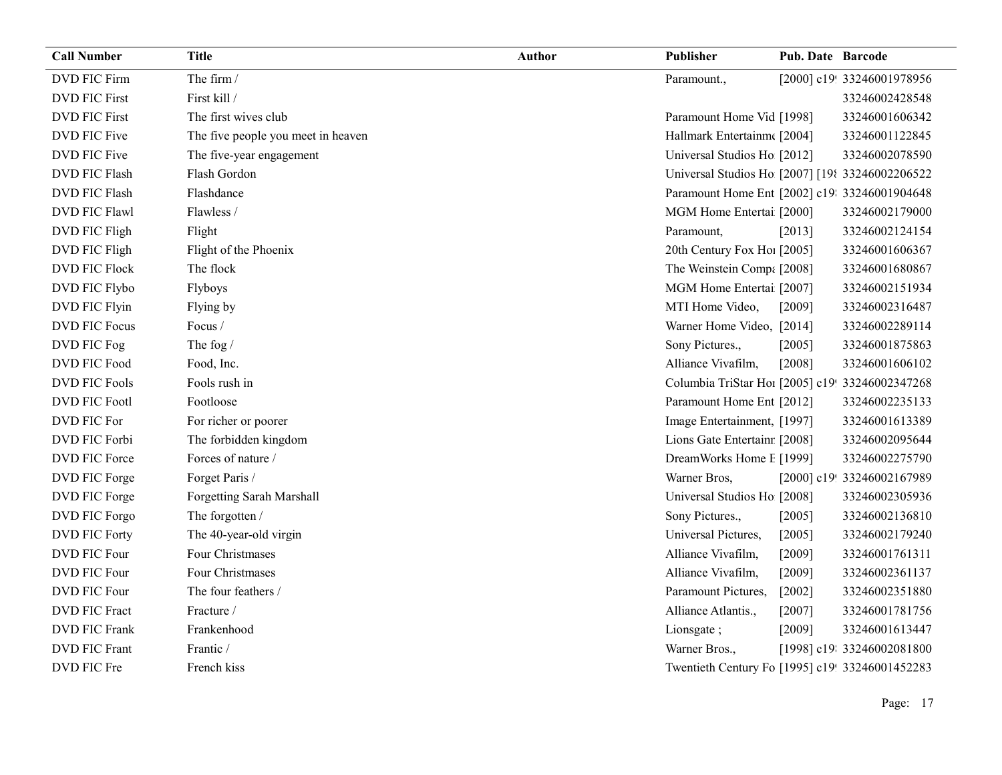| <b>Call Number</b>   | <b>Title</b>                       | <b>Author</b> | Publisher                                       | <b>Pub. Date Barcode</b> |                            |
|----------------------|------------------------------------|---------------|-------------------------------------------------|--------------------------|----------------------------|
| DVD FIC Firm         | The firm /                         |               | Paramount.,                                     |                          | [2000] c19! 33246001978956 |
| <b>DVD FIC First</b> | First kill /                       |               |                                                 |                          | 33246002428548             |
| <b>DVD FIC First</b> | The first wives club               |               | Paramount Home Vid [1998]                       |                          | 33246001606342             |
| DVD FIC Five         | The five people you meet in heaven |               | Hallmark Entertainm([2004]                      |                          | 33246001122845             |
| DVD FIC Five         | The five-year engagement           |               | Universal Studios Ho [2012]                     |                          | 33246002078590             |
| <b>DVD FIC Flash</b> | Flash Gordon                       |               | Universal Studios Ho [2007] [198 33246002206522 |                          |                            |
| <b>DVD FIC Flash</b> | Flashdance                         |               | Paramount Home Ent [2002] c19: 33246001904648   |                          |                            |
| <b>DVD FIC Flawl</b> | Flawless /                         |               | MGM Home Entertai [2000]                        |                          | 33246002179000             |
| DVD FIC Fligh        | Flight                             |               | Paramount,                                      | [2013]                   | 33246002124154             |
| DVD FIC Fligh        | Flight of the Phoenix              |               | 20th Century Fox Hol [2005]                     |                          | 33246001606367             |
| DVD FIC Flock        | The flock                          |               | The Weinstein Comp: [2008]                      |                          | 33246001680867             |
| DVD FIC Flybo        | Flyboys                            |               | MGM Home Entertai [2007]                        |                          | 33246002151934             |
| DVD FIC Flyin        | Flying by                          |               | MTI Home Video,                                 | [2009]                   | 33246002316487             |
| <b>DVD FIC Focus</b> | Focus /                            |               | Warner Home Video, [2014]                       |                          | 33246002289114             |
| DVD FIC Fog          | The fog /                          |               | Sony Pictures.,                                 | [2005]                   | 33246001875863             |
| DVD FIC Food         | Food, Inc.                         |               | Alliance Vivafilm,                              | [2008]                   | 33246001606102             |
| DVD FIC Fools        | Fools rush in                      |               | Columbia TriStar Hoi [2005] c19! 33246002347268 |                          |                            |
| <b>DVD FIC Footl</b> | Footloose                          |               | Paramount Home Ent [2012]                       |                          | 33246002235133             |
| DVD FIC For          | For richer or poorer               |               | Image Entertainment, [1997]                     |                          | 33246001613389             |
| DVD FIC Forbi        | The forbidden kingdom              |               | Lions Gate Entertainr [2008]                    |                          | 33246002095644             |
| DVD FIC Force        | Forces of nature /                 |               | DreamWorks Home I [1999]                        |                          | 33246002275790             |
| DVD FIC Forge        | Forget Paris /                     |               | Warner Bros,                                    |                          | [2000] c19! 33246002167989 |
| DVD FIC Forge        | Forgetting Sarah Marshall          |               | Universal Studios Ho [2008]                     |                          | 33246002305936             |
| DVD FIC Forgo        | The forgotten /                    |               | Sony Pictures.,                                 | $[2005]$                 | 33246002136810             |
| <b>DVD FIC Forty</b> | The 40-year-old virgin             |               | Universal Pictures,                             | $[2005]$                 | 33246002179240             |
| DVD FIC Four         | Four Christmases                   |               | Alliance Vivafilm,                              | [2009]                   | 33246001761311             |
| DVD FIC Four         | Four Christmases                   |               | Alliance Vivafilm,                              | [2009]                   | 33246002361137             |
| DVD FIC Four         | The four feathers /                |               | Paramount Pictures,                             | $[2002]$                 | 33246002351880             |
| <b>DVD FIC Fract</b> | Fracture /                         |               | Alliance Atlantis.,                             | $[2007]$                 | 33246001781756             |
| <b>DVD FIC Frank</b> | Frankenhood                        |               | Lionsgate;                                      | $[2009]$                 | 33246001613447             |
| <b>DVD FIC Frant</b> | Frantic /                          |               | Warner Bros.,                                   |                          | [1998] c19: 33246002081800 |
| DVD FIC Fre          | French kiss                        |               | Twentieth Century Fo [1995] c19! 33246001452283 |                          |                            |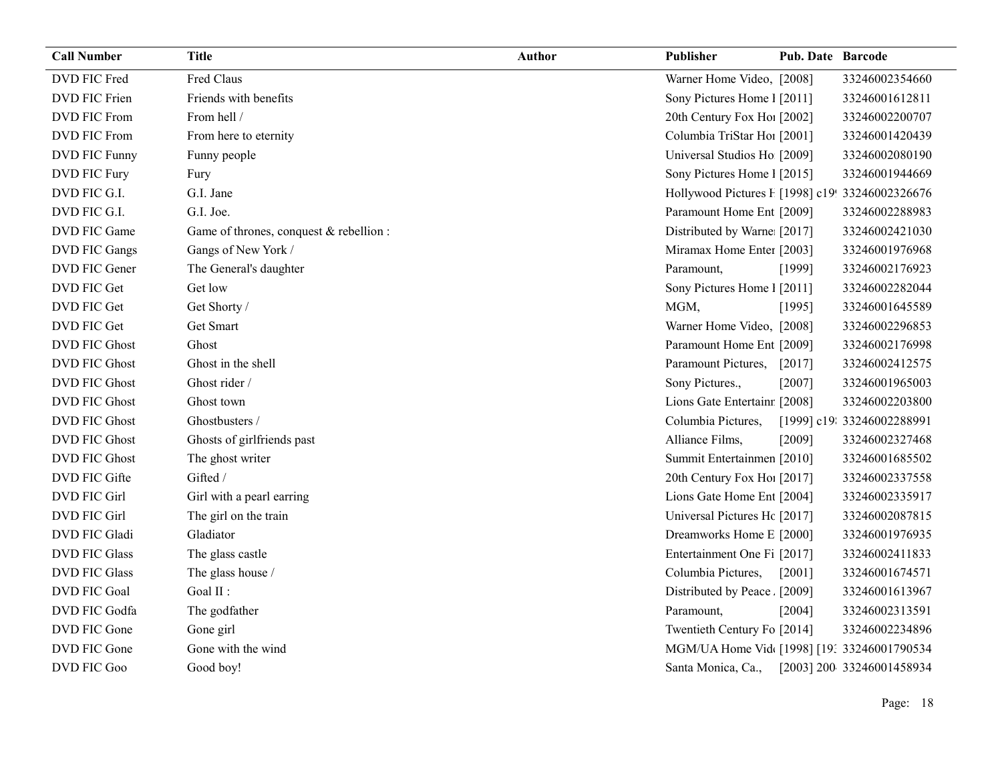| <b>Call Number</b>   | <b>Title</b>                            | <b>Author</b> | Publisher                                       | <b>Pub. Date Barcode</b> |                            |
|----------------------|-----------------------------------------|---------------|-------------------------------------------------|--------------------------|----------------------------|
| DVD FIC Fred         | Fred Claus                              |               | Warner Home Video, [2008]                       |                          | 33246002354660             |
| DVD FIC Frien        | Friends with benefits                   |               | Sony Pictures Home 1 [2011]                     |                          | 33246001612811             |
| DVD FIC From         | From hell /                             |               | 20th Century Fox Ho! [2002]                     |                          | 33246002200707             |
| DVD FIC From         | From here to eternity                   |               | Columbia TriStar Hoi [2001]                     |                          | 33246001420439             |
| DVD FIC Funny        | Funny people                            |               | Universal Studios Ho [2009]                     |                          | 33246002080190             |
| DVD FIC Fury         | Fury                                    |               | Sony Pictures Home 1 [2015]                     |                          | 33246001944669             |
| DVD FIC G.I.         | G.I. Jane                               |               | Hollywood Pictures F [1998] c19! 33246002326676 |                          |                            |
| DVD FIC G.I.         | G.I. Joe.                               |               | Paramount Home Ent [2009]                       |                          | 33246002288983             |
| DVD FIC Game         | Game of thrones, conquest & rebellion : |               | Distributed by Warne [2017]                     |                          | 33246002421030             |
| DVD FIC Gangs        | Gangs of New York /                     |               | Miramax Home Enter [2003]                       |                          | 33246001976968             |
| DVD FIC Gener        | The General's daughter                  |               | Paramount,                                      | [1999]                   | 33246002176923             |
| DVD FIC Get          | Get low                                 |               | Sony Pictures Home 1 [2011]                     |                          | 33246002282044             |
| DVD FIC Get          | Get Shorty /                            |               | MGM,                                            | [1995]                   | 33246001645589             |
| DVD FIC Get          | Get Smart                               |               | Warner Home Video, [2008]                       |                          | 33246002296853             |
| <b>DVD FIC Ghost</b> | Ghost                                   |               | Paramount Home Ent [2009]                       |                          | 33246002176998             |
| <b>DVD FIC Ghost</b> | Ghost in the shell                      |               | Paramount Pictures,                             | $[2017]$                 | 33246002412575             |
| <b>DVD FIC Ghost</b> | Ghost rider /                           |               | Sony Pictures.,                                 | [2007]                   | 33246001965003             |
| <b>DVD FIC Ghost</b> | Ghost town                              |               | Lions Gate Entertainr [2008]                    |                          | 33246002203800             |
| <b>DVD FIC Ghost</b> | Ghostbusters /                          |               | Columbia Pictures,                              |                          | [1999] c19: 33246002288991 |
| <b>DVD FIC Ghost</b> | Ghosts of girlfriends past              |               | Alliance Films,                                 | [2009]                   | 33246002327468             |
| <b>DVD FIC Ghost</b> | The ghost writer                        |               | Summit Entertainmen [2010]                      |                          | 33246001685502             |
| DVD FIC Gifte        | Gifted /                                |               | 20th Century Fox Ho [2017]                      |                          | 33246002337558             |
| <b>DVD FIC Girl</b>  | Girl with a pearl earring               |               | Lions Gate Home Ent [2004]                      |                          | 33246002335917             |
| <b>DVD FIC Girl</b>  | The girl on the train                   |               | Universal Pictures Hc [2017]                    |                          | 33246002087815             |
| DVD FIC Gladi        | Gladiator                               |               | Dreamworks Home E [2000]                        |                          | 33246001976935             |
| <b>DVD FIC Glass</b> | The glass castle                        |               | Entertainment One Fi [2017]                     |                          | 33246002411833             |
| <b>DVD FIC Glass</b> | The glass house /                       |               | Columbia Pictures,                              | $[2001]$                 | 33246001674571             |
| <b>DVD FIC Goal</b>  | Goal II :                               |               | Distributed by Peace. [2009]                    |                          | 33246001613967             |
| DVD FIC Godfa        | The godfather                           |               | Paramount,                                      | [2004]                   | 33246002313591             |
| DVD FIC Gone         | Gone girl                               |               | Twentieth Century Fo [2014]                     |                          | 33246002234896             |
| DVD FIC Gone         | Gone with the wind                      |               | MGM/UA Home Vid [1998] [19: 33246001790534      |                          |                            |
| DVD FIC Goo          | Good boy!                               |               | Santa Monica, Ca.,                              |                          | [2003] 200 33246001458934  |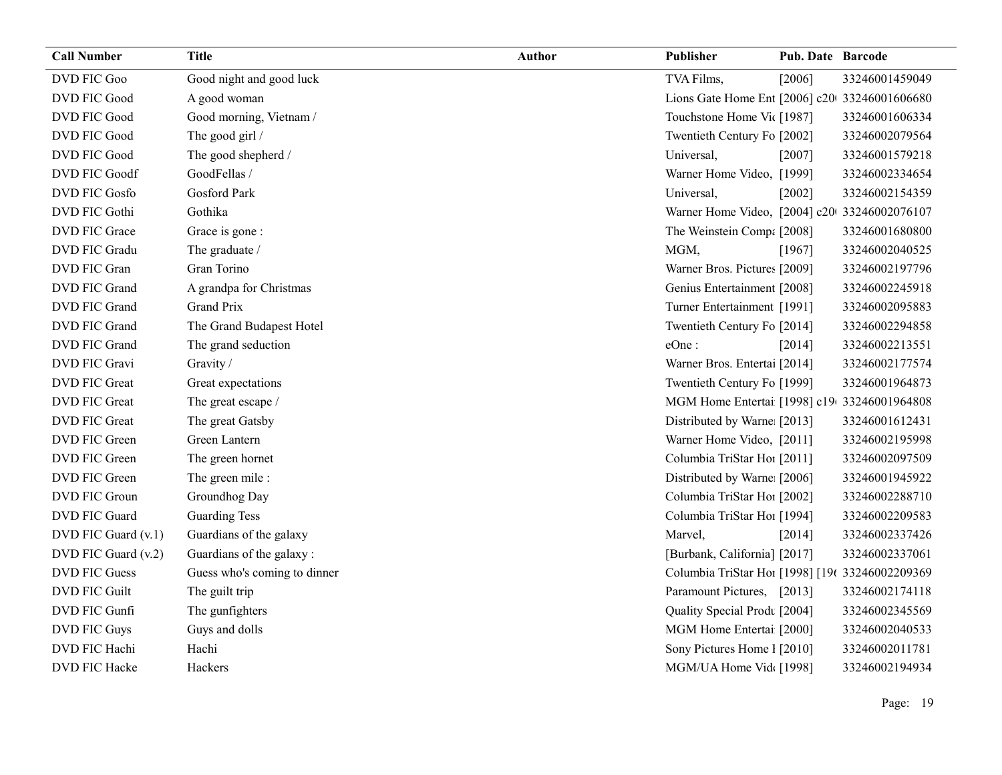| <b>Call Number</b>   | <b>Title</b>                 | Author | Publisher                                       | Pub. Date Barcode |                |
|----------------------|------------------------------|--------|-------------------------------------------------|-------------------|----------------|
| DVD FIC Goo          | Good night and good luck     |        | TVA Films,                                      | [2006]            | 33246001459049 |
| <b>DVD FIC Good</b>  | A good woman                 |        | Lions Gate Home Ent [2006] c20 33246001606680   |                   |                |
| <b>DVD FIC Good</b>  | Good morning, Vietnam /      |        | Touchstone Home Vit [1987]                      |                   | 33246001606334 |
| DVD FIC Good         | The good girl /              |        | Twentieth Century Fo [2002]                     |                   | 33246002079564 |
| DVD FIC Good         | The good shepherd /          |        | Universal,                                      | $[2007]$          | 33246001579218 |
| <b>DVD FIC Goodf</b> | GoodFellas /                 |        | Warner Home Video, [1999]                       |                   | 33246002334654 |
| DVD FIC Gosfo        | <b>Gosford Park</b>          |        | Universal,                                      | $[2002]$          | 33246002154359 |
| <b>DVD FIC Gothi</b> | Gothika                      |        | Warner Home Video, [2004] c20 33246002076107    |                   |                |
| DVD FIC Grace        | Grace is gone :              |        | The Weinstein Compa [2008]                      |                   | 33246001680800 |
| DVD FIC Gradu        | The graduate /               |        | MGM,                                            | [1967]            | 33246002040525 |
| DVD FIC Gran         | Gran Torino                  |        | Warner Bros. Pictures [2009]                    |                   | 33246002197796 |
| DVD FIC Grand        | A grandpa for Christmas      |        | Genius Entertainment [2008]                     |                   | 33246002245918 |
| DVD FIC Grand        | <b>Grand Prix</b>            |        | Turner Entertainment [1991]                     |                   | 33246002095883 |
| DVD FIC Grand        | The Grand Budapest Hotel     |        | Twentieth Century Fo [2014]                     |                   | 33246002294858 |
| DVD FIC Grand        | The grand seduction          |        | eOne:                                           | [2014]            | 33246002213551 |
| DVD FIC Gravi        | Gravity /                    |        | Warner Bros. Entertai [2014]                    |                   | 33246002177574 |
| DVD FIC Great        | Great expectations           |        | Twentieth Century Fo [1999]                     |                   | 33246001964873 |
| <b>DVD FIC Great</b> | The great escape /           |        | MGM Home Entertai [1998] c19 33246001964808     |                   |                |
| DVD FIC Great        | The great Gatsby             |        | Distributed by Warne [2013]                     |                   | 33246001612431 |
| DVD FIC Green        | Green Lantern                |        | Warner Home Video, [2011]                       |                   | 33246002195998 |
| DVD FIC Green        | The green hornet             |        | Columbia TriStar Ho1 [2011]                     |                   | 33246002097509 |
| DVD FIC Green        | The green mile:              |        | Distributed by Warne [2006]                     |                   | 33246001945922 |
| DVD FIC Groun        | Groundhog Day                |        | Columbia TriStar Hoi [2002]                     |                   | 33246002288710 |
| DVD FIC Guard        | <b>Guarding Tess</b>         |        | Columbia TriStar Hoi [1994]                     |                   | 33246002209583 |
| DVD FIC Guard (v.1)  | Guardians of the galaxy      |        | Marvel,                                         | $[2014]$          | 33246002337426 |
| DVD FIC Guard (v.2)  | Guardians of the galaxy:     |        | [Burbank, California] [2017]                    |                   | 33246002337061 |
| <b>DVD FIC Guess</b> | Guess who's coming to dinner |        | Columbia TriStar Hoi [1998] [196 33246002209369 |                   |                |
| <b>DVD FIC Guilt</b> | The guilt trip               |        | Paramount Pictures, [2013]                      |                   | 33246002174118 |
| DVD FIC Gunfi        | The gunfighters              |        | Quality Special Prodt [2004]                    |                   | 33246002345569 |
| DVD FIC Guys         | Guys and dolls               |        | MGM Home Entertai [2000]                        |                   | 33246002040533 |
| DVD FIC Hachi        | Hachi                        |        | Sony Pictures Home 1 [2010]                     |                   | 33246002011781 |
| DVD FIC Hacke        | Hackers                      |        | MGM/UA Home Vid [1998]                          |                   | 33246002194934 |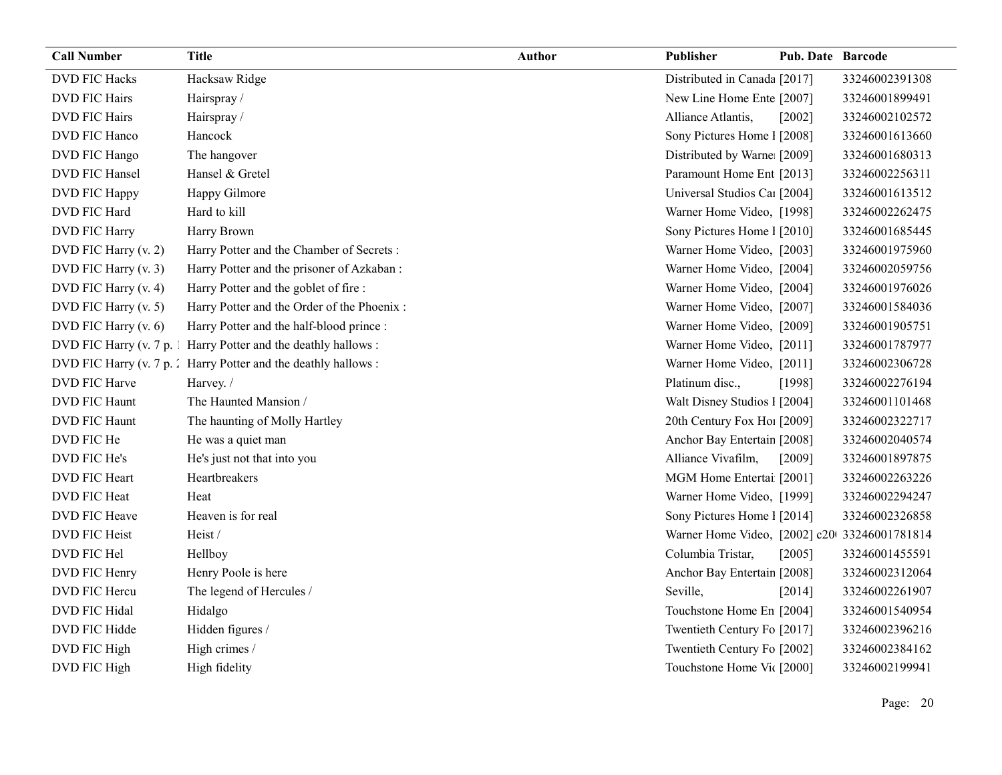| <b>Call Number</b>     | <b>Title</b>                                                    | <b>Author</b> | Publisher                                    | <b>Pub. Date Barcode</b> |                |
|------------------------|-----------------------------------------------------------------|---------------|----------------------------------------------|--------------------------|----------------|
| <b>DVD FIC Hacks</b>   | Hacksaw Ridge                                                   |               | Distributed in Canada [2017]                 |                          | 33246002391308 |
| <b>DVD FIC Hairs</b>   | Hairspray/                                                      |               | New Line Home Ente [2007]                    |                          | 33246001899491 |
| <b>DVD FIC Hairs</b>   | Hairspray/                                                      |               | Alliance Atlantis,                           | $[2002]$                 | 33246002102572 |
| DVD FIC Hanco          | Hancock                                                         |               | Sony Pictures Home 1 [2008]                  |                          | 33246001613660 |
| DVD FIC Hango          | The hangover                                                    |               | Distributed by Warne: [2009]                 |                          | 33246001680313 |
| DVD FIC Hansel         | Hansel & Gretel                                                 |               | Paramount Home Ent [2013]                    |                          | 33246002256311 |
| DVD FIC Happy          | Happy Gilmore                                                   |               | Universal Studios Ca1 [2004]                 |                          | 33246001613512 |
| DVD FIC Hard           | Hard to kill                                                    |               | Warner Home Video, [1998]                    |                          | 33246002262475 |
| DVD FIC Harry          | Harry Brown                                                     |               | Sony Pictures Home 1 [2010]                  |                          | 33246001685445 |
| DVD FIC Harry (v. 2)   | Harry Potter and the Chamber of Secrets :                       |               | Warner Home Video, [2003]                    |                          | 33246001975960 |
| DVD FIC Harry (v. 3)   | Harry Potter and the prisoner of Azkaban :                      |               | Warner Home Video, [2004]                    |                          | 33246002059756 |
| DVD FIC Harry (v. 4)   | Harry Potter and the goblet of fire :                           |               | Warner Home Video, [2004]                    |                          | 33246001976026 |
| DVD FIC Harry (v. 5)   | Harry Potter and the Order of the Phoenix :                     |               | Warner Home Video, [2007]                    |                          | 33246001584036 |
| DVD FIC Harry (v. 6)   | Harry Potter and the half-blood prince :                        |               | Warner Home Video, [2009]                    |                          | 33246001905751 |
| DVD FIC Harry (v. 7 p. | Harry Potter and the deathly hallows:                           |               | Warner Home Video, [2011]                    |                          | 33246001787977 |
|                        | DVD FIC Harry (v. 7 p. 2 Harry Potter and the deathly hallows : |               | Warner Home Video, [2011]                    |                          | 33246002306728 |
| DVD FIC Harve          | Harvey. /                                                       |               | Platinum disc.,                              | [1998]                   | 33246002276194 |
| <b>DVD FIC Haunt</b>   | The Haunted Mansion /                                           |               | Walt Disney Studios 1 [2004]                 |                          | 33246001101468 |
| DVD FIC Haunt          | The haunting of Molly Hartley                                   |               | 20th Century Fox Ho! [2009]                  |                          | 33246002322717 |
| DVD FIC He             | He was a quiet man                                              |               | Anchor Bay Entertain [2008]                  |                          | 33246002040574 |
| DVD FIC He's           | He's just not that into you                                     |               | Alliance Vivafilm,                           | [2009]                   | 33246001897875 |
| <b>DVD FIC Heart</b>   | Heartbreakers                                                   |               | MGM Home Entertai [2001]                     |                          | 33246002263226 |
| DVD FIC Heat           | Heat                                                            |               | Warner Home Video, [1999]                    |                          | 33246002294247 |
| DVD FIC Heave          | Heaven is for real                                              |               | Sony Pictures Home 1 [2014]                  |                          | 33246002326858 |
| <b>DVD FIC Heist</b>   | Heist/                                                          |               | Warner Home Video, [2002] c20 33246001781814 |                          |                |
| DVD FIC Hel            | Hellboy                                                         |               | Columbia Tristar,                            | [2005]                   | 33246001455591 |
| DVD FIC Henry          | Henry Poole is here                                             |               | Anchor Bay Entertain [2008]                  |                          | 33246002312064 |
| DVD FIC Hercu          | The legend of Hercules /                                        |               | Seville,                                     | [2014]                   | 33246002261907 |
| <b>DVD FIC Hidal</b>   | Hidalgo                                                         |               | Touchstone Home En [2004]                    |                          | 33246001540954 |
| DVD FIC Hidde          | Hidden figures /                                                |               | Twentieth Century Fo [2017]                  |                          | 33246002396216 |
| DVD FIC High           | High crimes /                                                   |               | Twentieth Century Fo [2002]                  |                          | 33246002384162 |
| DVD FIC High           | High fidelity                                                   |               | Touchstone Home Vic [2000]                   |                          | 33246002199941 |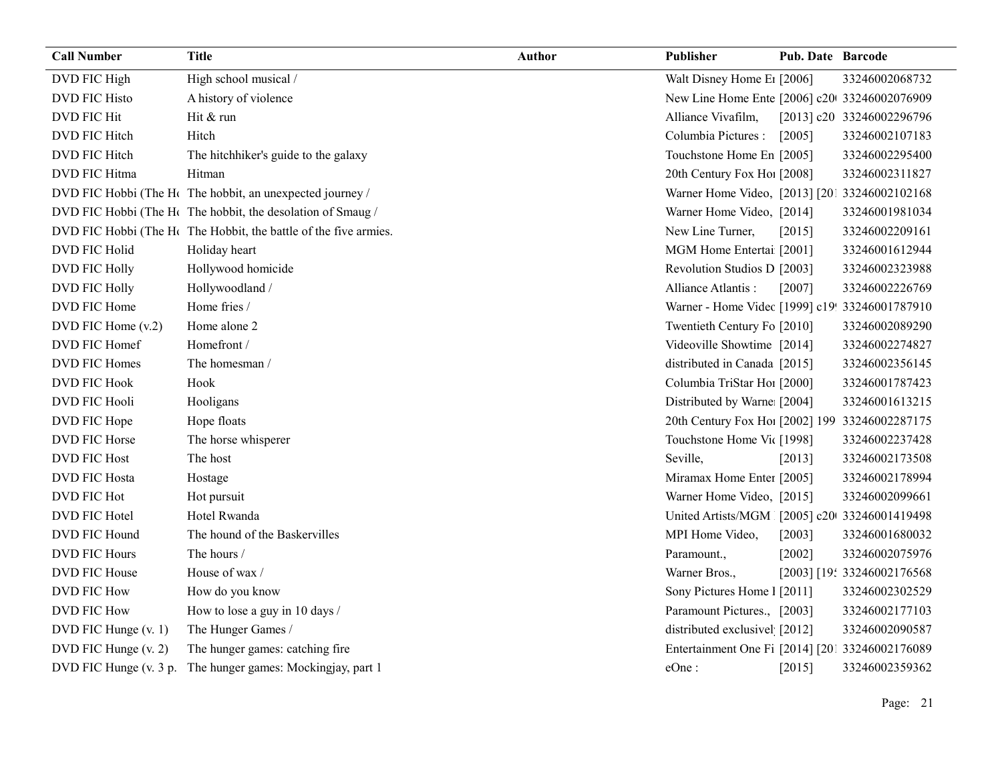| <b>Call Number</b>     | <b>Title</b>                                                                 | <b>Author</b> | Publisher                                       | <b>Pub. Date Barcode</b> |                            |
|------------------------|------------------------------------------------------------------------------|---------------|-------------------------------------------------|--------------------------|----------------------------|
| DVD FIC High           | High school musical /                                                        |               | Walt Disney Home E1 [2006]                      |                          | 33246002068732             |
| <b>DVD FIC Histo</b>   | A history of violence                                                        |               | New Line Home Ente [2006] c20 33246002076909    |                          |                            |
| DVD FIC Hit            | Hit & run                                                                    |               | Alliance Vivafilm,                              |                          | [2013] c20 33246002296796  |
| DVD FIC Hitch          | Hitch                                                                        |               | Columbia Pictures :                             | [2005]                   | 33246002107183             |
| DVD FIC Hitch          | The hitchhiker's guide to the galaxy                                         |               | Touchstone Home En [2005]                       |                          | 33246002295400             |
| DVD FIC Hitma          | Hitman                                                                       |               | 20th Century Fox Ho! [2008]                     |                          | 33246002311827             |
|                        | DVD FIC Hobbi (The H <sub>c</sub> The hobbit, an unexpected journey /        |               | Warner Home Video, [2013] [201 33246002102168   |                          |                            |
|                        | DVD FIC Hobbi (The H <sub>c</sub> The hobbit, the desolation of Smaug /      |               | Warner Home Video, [2014]                       |                          | 33246001981034             |
|                        | DVD FIC Hobbi (The H <sub>c</sub> The Hobbit, the battle of the five armies. |               | New Line Turner,                                | [2015]                   | 33246002209161             |
| DVD FIC Holid          | Holiday heart                                                                |               | MGM Home Entertai [2001]                        |                          | 33246001612944             |
| DVD FIC Holly          | Hollywood homicide                                                           |               | Revolution Studios D [2003]                     |                          | 33246002323988             |
| DVD FIC Holly          | Hollywoodland /                                                              |               | Alliance Atlantis:                              | [2007]                   | 33246002226769             |
| DVD FIC Home           | Home fries /                                                                 |               | Warner - Home Videc [1999] c19! 33246001787910  |                          |                            |
| DVD FIC Home (v.2)     | Home alone 2                                                                 |               | Twentieth Century Fo [2010]                     |                          | 33246002089290             |
| DVD FIC Homef          | Homefront /                                                                  |               | Videoville Showtime [2014]                      |                          | 33246002274827             |
| DVD FIC Homes          | The homesman /                                                               |               | distributed in Canada [2015]                    |                          | 33246002356145             |
| <b>DVD FIC Hook</b>    | Hook                                                                         |               | Columbia TriStar Hoi [2000]                     |                          | 33246001787423             |
| <b>DVD FIC Hooli</b>   | Hooligans                                                                    |               | Distributed by Warne [2004]                     |                          | 33246001613215             |
| DVD FIC Hope           | Hope floats                                                                  |               | 20th Century Fox Ho! [2002] 199 33246002287175  |                          |                            |
| DVD FIC Horse          | The horse whisperer                                                          |               | Touchstone Home Vic [1998]                      |                          | 33246002237428             |
| <b>DVD FIC Host</b>    | The host                                                                     |               | Seville,                                        | [2013]                   | 33246002173508             |
| <b>DVD FIC Hosta</b>   | Hostage                                                                      |               | Miramax Home Enter [2005]                       |                          | 33246002178994             |
| DVD FIC Hot            | Hot pursuit                                                                  |               | Warner Home Video, [2015]                       |                          | 33246002099661             |
| DVD FIC Hotel          | Hotel Rwanda                                                                 |               | United Artists/MGM [2005] c20 33246001419498    |                          |                            |
| DVD FIC Hound          | The hound of the Baskervilles                                                |               | MPI Home Video,                                 | [2003]                   | 33246001680032             |
| <b>DVD FIC Hours</b>   | The hours /                                                                  |               | Paramount.,                                     | [2002]                   | 33246002075976             |
| DVD FIC House          | House of wax /                                                               |               | Warner Bros.,                                   |                          | [2003] [19: 33246002176568 |
| <b>DVD FIC How</b>     | How do you know                                                              |               | Sony Pictures Home 1 [2011]                     |                          | 33246002302529             |
| DVD FIC How            | How to lose a guy in 10 days /                                               |               | Paramount Pictures., [2003]                     |                          | 33246002177103             |
| DVD FIC Hunge (v. 1)   | The Hunger Games /                                                           |               | distributed exclusivel [2012]                   |                          | 33246002090587             |
| DVD FIC Hunge (v. 2)   | The hunger games: catching fire                                              |               | Entertainment One Fi [2014] [201 33246002176089 |                          |                            |
| DVD FIC Hunge (v. 3 p. | The hunger games: Mockingjay, part 1                                         |               | eOne:                                           | [2015]                   | 33246002359362             |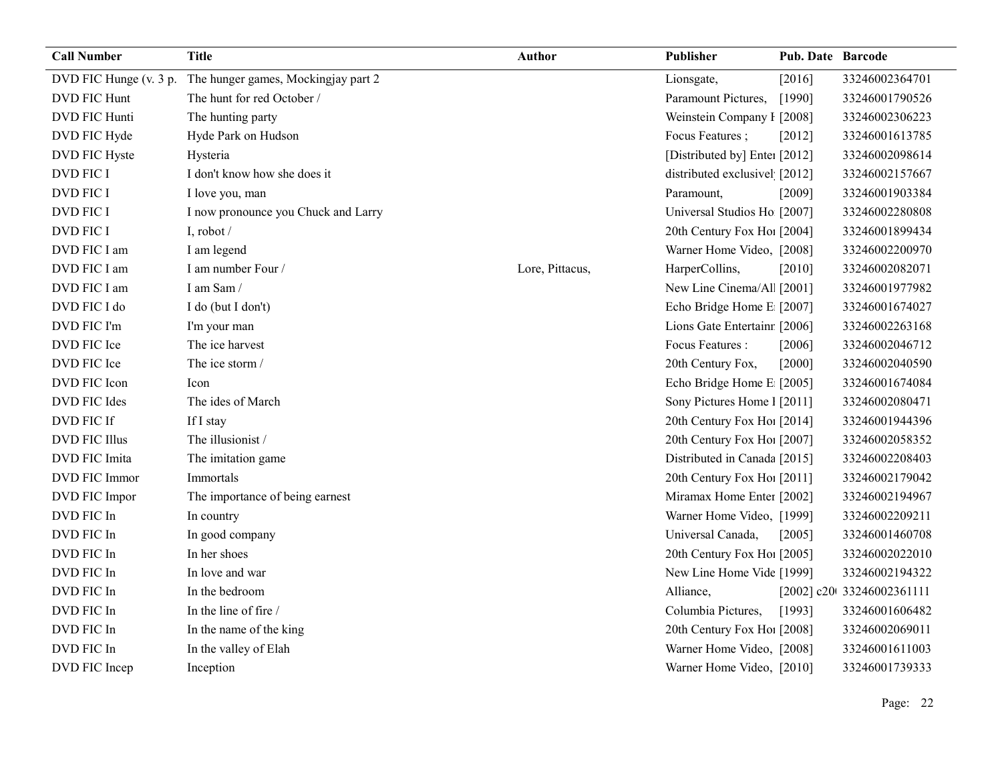| <b>Call Number</b>     | <b>Title</b>                        | Author          | Publisher                     | <b>Pub. Date Barcode</b> |                            |
|------------------------|-------------------------------------|-----------------|-------------------------------|--------------------------|----------------------------|
| DVD FIC Hunge (v. 3 p. | The hunger games, Mockingjay part 2 |                 | Lionsgate,                    | [2016]                   | 33246002364701             |
| <b>DVD FIC Hunt</b>    | The hunt for red October /          |                 | Paramount Pictures,           | [1990]                   | 33246001790526             |
| <b>DVD FIC Hunti</b>   | The hunting party                   |                 | Weinstein Company I [2008]    |                          | 33246002306223             |
| DVD FIC Hyde           | Hyde Park on Hudson                 |                 | Focus Features;               | [2012]                   | 33246001613785             |
| DVD FIC Hyste          | Hysteria                            |                 | [Distributed by] Enter [2012] |                          | 33246002098614             |
| <b>DVD FIC I</b>       | I don't know how she does it        |                 | distributed exclusivel [2012] |                          | 33246002157667             |
| <b>DVD FIC I</b>       | I love you, man                     |                 | Paramount,                    | [2009]                   | 33246001903384             |
| <b>DVD FIC I</b>       | I now pronounce you Chuck and Larry |                 | Universal Studios Ho [2007]   |                          | 33246002280808             |
| <b>DVD FIC I</b>       | I, robot /                          |                 | 20th Century Fox Ho! [2004]   |                          | 33246001899434             |
| DVD FIC I am           | I am legend                         |                 | Warner Home Video, [2008]     |                          | 33246002200970             |
| DVD FIC I am           | I am number Four /                  | Lore, Pittacus, | HarperCollins,                | [2010]                   | 33246002082071             |
| DVD FIC I am           | I am Sam/                           |                 | New Line Cinema/Al [2001]     |                          | 33246001977982             |
| DVD FIC I do           | I do (but I don't)                  |                 | Echo Bridge Home E [2007]     |                          | 33246001674027             |
| DVD FIC I'm            | I'm your man                        |                 | Lions Gate Entertainr [2006]  |                          | 33246002263168             |
| DVD FIC Ice            | The ice harvest                     |                 | Focus Features :              | [2006]                   | 33246002046712             |
| DVD FIC Ice            | The ice storm /                     |                 | 20th Century Fox,             | [2000]                   | 33246002040590             |
| DVD FIC Icon           | Icon                                |                 | Echo Bridge Home E [2005]     |                          | 33246001674084             |
| DVD FIC Ides           | The ides of March                   |                 | Sony Pictures Home 1 [2011]   |                          | 33246002080471             |
| DVD FIC If             | If I stay                           |                 | 20th Century Fox Ho! [2014]   |                          | 33246001944396             |
| <b>DVD FIC Illus</b>   | The illusionist /                   |                 | 20th Century Fox Ho! [2007]   |                          | 33246002058352             |
| DVD FIC Imita          | The imitation game                  |                 | Distributed in Canada [2015]  |                          | 33246002208403             |
| DVD FIC Immor          | Immortals                           |                 | 20th Century Fox Ho! [2011]   |                          | 33246002179042             |
| DVD FIC Impor          | The importance of being earnest     |                 | Miramax Home Enter [2002]     |                          | 33246002194967             |
| DVD FIC In             | In country                          |                 | Warner Home Video, [1999]     |                          | 33246002209211             |
| DVD FIC In             | In good company                     |                 | Universal Canada,             | [2005]                   | 33246001460708             |
| DVD FIC In             | In her shoes                        |                 | 20th Century Fox Ho! [2005]   |                          | 33246002022010             |
| DVD FIC In             | In love and war                     |                 | New Line Home Vide [1999]     |                          | 33246002194322             |
| DVD FIC In             | In the bedroom                      |                 | Alliance,                     |                          | [2002] c20t 33246002361111 |
| DVD FIC In             | In the line of fire /               |                 | Columbia Pictures,            | [1993]                   | 33246001606482             |
| DVD FIC In             | In the name of the king             |                 | 20th Century Fox Ho! [2008]   |                          | 33246002069011             |
| DVD FIC In             | In the valley of Elah               |                 | Warner Home Video, [2008]     |                          | 33246001611003             |
| DVD FIC Incep          | Inception                           |                 | Warner Home Video, [2010]     |                          | 33246001739333             |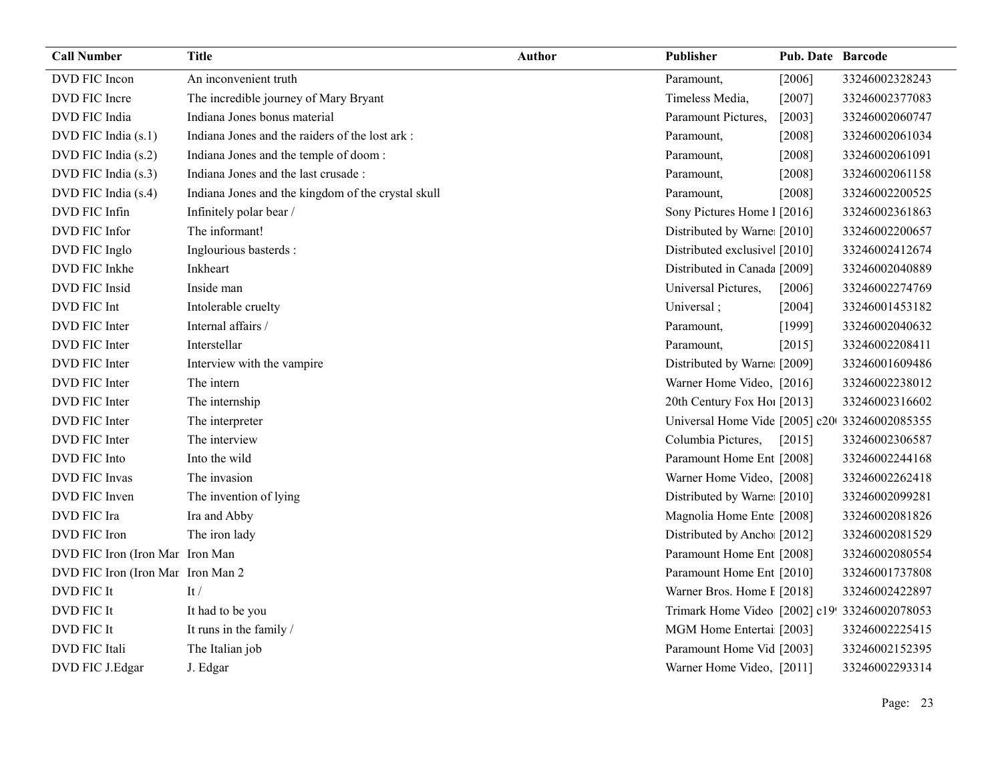| <b>Call Number</b>                | <b>Title</b>                                       | Author | Publisher                                     | <b>Pub. Date Barcode</b> |                |
|-----------------------------------|----------------------------------------------------|--------|-----------------------------------------------|--------------------------|----------------|
| DVD FIC Incon                     | An inconvenient truth                              |        | Paramount,                                    | [2006]                   | 33246002328243 |
| DVD FIC Incre                     | The incredible journey of Mary Bryant              |        | Timeless Media,                               | [2007]                   | 33246002377083 |
| DVD FIC India                     | Indiana Jones bonus material                       |        | Paramount Pictures,                           | $[2003]$                 | 33246002060747 |
| DVD FIC India (s.1)               | Indiana Jones and the raiders of the lost ark :    |        | Paramount,                                    | [2008]                   | 33246002061034 |
| DVD FIC India (s.2)               | Indiana Jones and the temple of doom:              |        | Paramount,                                    | [2008]                   | 33246002061091 |
| DVD FIC India (s.3)               | Indiana Jones and the last crusade :               |        | Paramount,                                    | [2008]                   | 33246002061158 |
| DVD FIC India (s.4)               | Indiana Jones and the kingdom of the crystal skull |        | Paramount,                                    | [2008]                   | 33246002200525 |
| DVD FIC Infin                     | Infinitely polar bear /                            |        | Sony Pictures Home 1 [2016]                   |                          | 33246002361863 |
| DVD FIC Infor                     | The informant!                                     |        | Distributed by Warne [2010]                   |                          | 33246002200657 |
| DVD FIC Inglo                     | Inglourious basterds :                             |        | Distributed exclusive [2010]                  |                          | 33246002412674 |
| DVD FIC Inkhe                     | Inkheart                                           |        | Distributed in Canada [2009]                  |                          | 33246002040889 |
| DVD FIC Insid                     | Inside man                                         |        | Universal Pictures,                           | $[2006]$                 | 33246002274769 |
| DVD FIC Int                       | Intolerable cruelty                                |        | Universal;                                    | [2004]                   | 33246001453182 |
| DVD FIC Inter                     | Internal affairs /                                 |        | Paramount,                                    | [1999]                   | 33246002040632 |
| DVD FIC Inter                     | Interstellar                                       |        | Paramount,                                    | [2015]                   | 33246002208411 |
| DVD FIC Inter                     | Interview with the vampire                         |        | Distributed by Warne [2009]                   |                          | 33246001609486 |
| DVD FIC Inter                     | The intern                                         |        | Warner Home Video, [2016]                     |                          | 33246002238012 |
| DVD FIC Inter                     | The internship                                     |        | 20th Century Fox Hol [2013]                   |                          | 33246002316602 |
| DVD FIC Inter                     | The interpreter                                    |        | Universal Home Vide [2005] c20 33246002085355 |                          |                |
| DVD FIC Inter                     | The interview                                      |        | Columbia Pictures,                            | $[2015]$                 | 33246002306587 |
| DVD FIC Into                      | Into the wild                                      |        | Paramount Home Ent [2008]                     |                          | 33246002244168 |
| DVD FIC Invas                     | The invasion                                       |        | Warner Home Video, [2008]                     |                          | 33246002262418 |
| DVD FIC Inven                     | The invention of lying                             |        | Distributed by Warne [2010]                   |                          | 33246002099281 |
| DVD FIC Ira                       | Ira and Abby                                       |        | Magnolia Home Ente [2008]                     |                          | 33246002081826 |
| DVD FIC Iron                      | The iron lady                                      |        | Distributed by Ancho [2012]                   |                          | 33246002081529 |
| DVD FIC Iron (Iron Mar Iron Man   |                                                    |        | Paramount Home Ent [2008]                     |                          | 33246002080554 |
| DVD FIC Iron (Iron Mar Iron Man 2 |                                                    |        | Paramount Home Ent [2010]                     |                          | 33246001737808 |
| DVD FIC It                        | It $/$                                             |        | Warner Bros. Home I [2018]                    |                          | 33246002422897 |
| DVD FIC It                        | It had to be you                                   |        | Trimark Home Video [2002] c19! 33246002078053 |                          |                |
| DVD FIC It                        | It runs in the family /                            |        | MGM Home Entertai [2003]                      |                          | 33246002225415 |
| DVD FIC Itali                     | The Italian job                                    |        | Paramount Home Vid [2003]                     |                          | 33246002152395 |
| DVD FIC J.Edgar                   | J. Edgar                                           |        | Warner Home Video, [2011]                     |                          | 33246002293314 |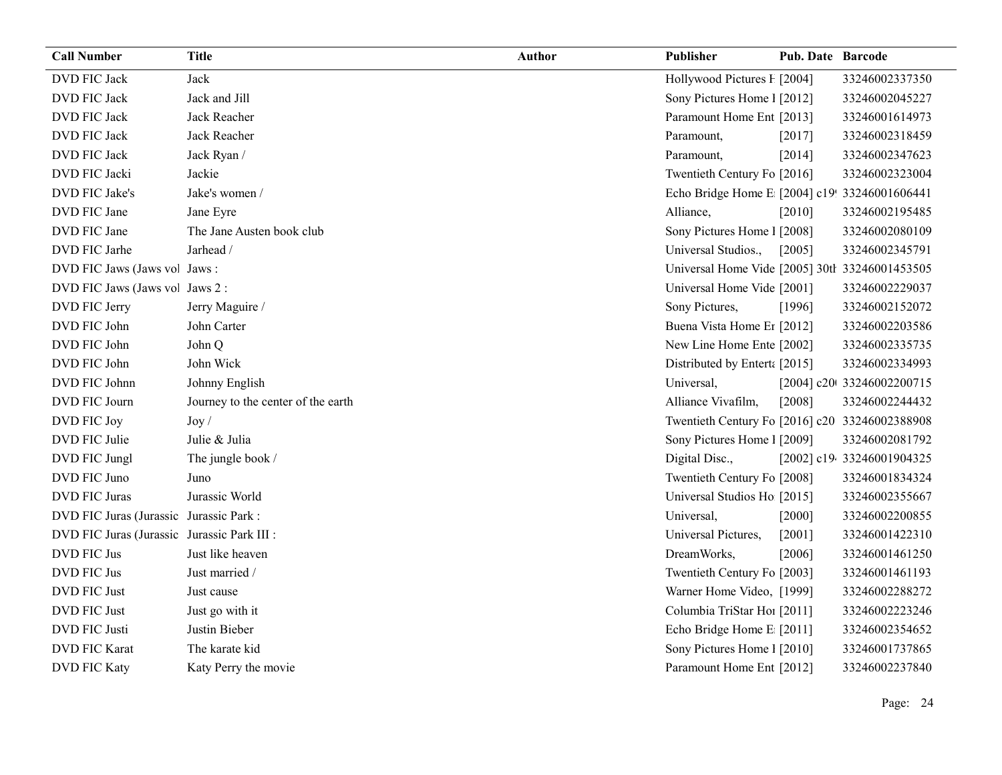| <b>Call Number</b>                          | <b>Title</b>                       | <b>Author</b> | Publisher                                      | Pub. Date Barcode |                            |
|---------------------------------------------|------------------------------------|---------------|------------------------------------------------|-------------------|----------------------------|
| DVD FIC Jack                                | Jack                               |               | Hollywood Pictures F [2004]                    |                   | 33246002337350             |
| DVD FIC Jack                                | Jack and Jill                      |               | Sony Pictures Home 1 [2012]                    |                   | 33246002045227             |
| DVD FIC Jack                                | Jack Reacher                       |               | Paramount Home Ent [2013]                      |                   | 33246001614973             |
| DVD FIC Jack                                | Jack Reacher                       |               | Paramount,                                     | [2017]            | 33246002318459             |
| DVD FIC Jack                                | Jack Ryan /                        |               | Paramount,                                     | [2014]            | 33246002347623             |
| DVD FIC Jacki                               | Jackie                             |               | Twentieth Century Fo [2016]                    |                   | 33246002323004             |
| DVD FIC Jake's                              | Jake's women /                     |               | Echo Bridge Home E [2004] c19! 33246001606441  |                   |                            |
| DVD FIC Jane                                | Jane Eyre                          |               | Alliance,                                      | $[2010]$          | 33246002195485             |
| DVD FIC Jane                                | The Jane Austen book club          |               | Sony Pictures Home 1 [2008]                    |                   | 33246002080109             |
| DVD FIC Jarhe                               | Jarhead /                          |               | Universal Studios.,                            | [2005]            | 33246002345791             |
| DVD FIC Jaws (Jaws vol Jaws:                |                                    |               | Universal Home Vide [2005] 30th 33246001453505 |                   |                            |
| DVD FIC Jaws (Jaws vol Jaws 2:              |                                    |               | Universal Home Vide [2001]                     |                   | 33246002229037             |
| DVD FIC Jerry                               | Jerry Maguire /                    |               | Sony Pictures,                                 | [1996]            | 33246002152072             |
| DVD FIC John                                | John Carter                        |               | Buena Vista Home Er [2012]                     |                   | 33246002203586             |
| DVD FIC John                                | John Q                             |               | New Line Home Ente [2002]                      |                   | 33246002335735             |
| DVD FIC John                                | John Wick                          |               | Distributed by Enterta [2015]                  |                   | 33246002334993             |
| DVD FIC Johnn                               | Johnny English                     |               | Universal,                                     |                   | [2004] c20t 33246002200715 |
| DVD FIC Journ                               | Journey to the center of the earth |               | Alliance Vivafilm,                             | [2008]            | 33246002244432             |
| DVD FIC Joy                                 | $\mathrm{Joy}\,$ /                 |               | Twentieth Century Fo [2016] c20 33246002388908 |                   |                            |
| DVD FIC Julie                               | Julie & Julia                      |               | Sony Pictures Home 1 [2009]                    |                   | 33246002081792             |
| DVD FIC Jungl                               | The jungle book /                  |               | Digital Disc.,                                 |                   | [2002] c19. 33246001904325 |
| DVD FIC Juno                                | Juno                               |               | Twentieth Century Fo [2008]                    |                   | 33246001834324             |
| <b>DVD FIC Juras</b>                        | Jurassic World                     |               | Universal Studios Ho [2015]                    |                   | 33246002355667             |
| DVD FIC Juras (Jurassic Jurassic Park:      |                                    |               | Universal,                                     | $[2000]$          | 33246002200855             |
| DVD FIC Juras (Jurassic Jurassic Park III : |                                    |               | Universal Pictures,                            | [2001]            | 33246001422310             |
| DVD FIC Jus                                 | Just like heaven                   |               | DreamWorks,                                    | [2006]            | 33246001461250             |
| DVD FIC Jus                                 | Just married /                     |               | Twentieth Century Fo [2003]                    |                   | 33246001461193             |
| DVD FIC Just                                | Just cause                         |               | Warner Home Video, [1999]                      |                   | 33246002288272             |
| DVD FIC Just                                | Just go with it                    |               | Columbia TriStar Hoi [2011]                    |                   | 33246002223246             |
| DVD FIC Justi                               | Justin Bieber                      |               | Echo Bridge Home E [2011]                      |                   | 33246002354652             |
| <b>DVD FIC Karat</b>                        | The karate kid                     |               | Sony Pictures Home 1 [2010]                    |                   | 33246001737865             |
| <b>DVD FIC Katy</b>                         | Katy Perry the movie               |               | Paramount Home Ent [2012]                      |                   | 33246002237840             |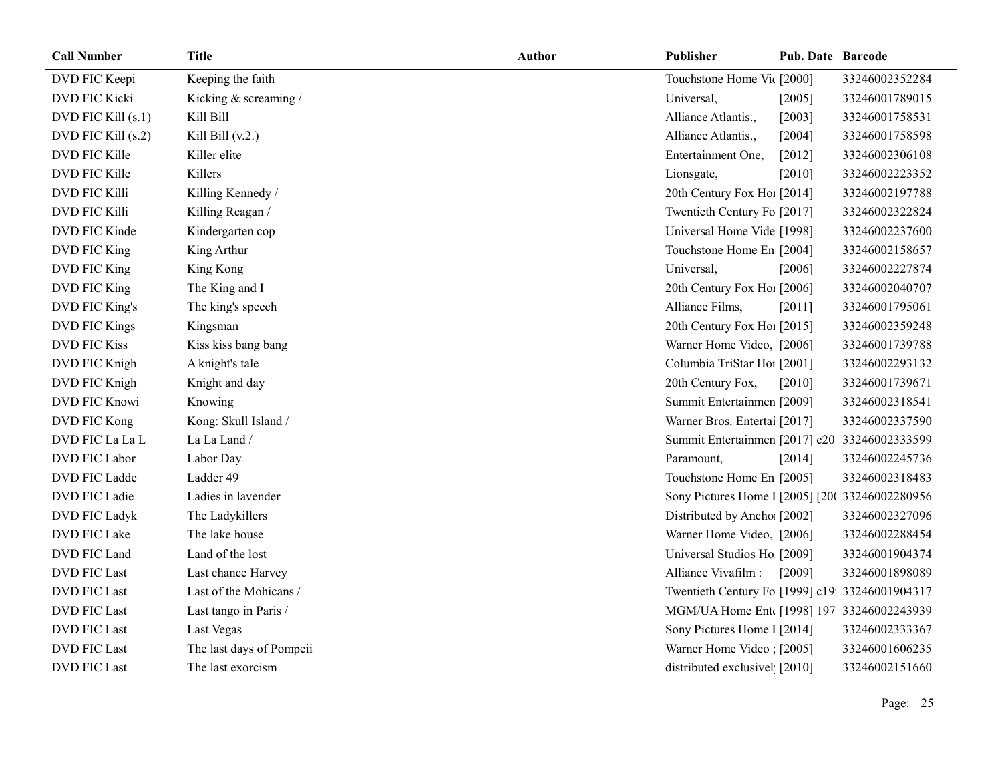| <b>Call Number</b>   | <b>Title</b>             | <b>Author</b> | Publisher                                       | <b>Pub. Date Barcode</b> |                |
|----------------------|--------------------------|---------------|-------------------------------------------------|--------------------------|----------------|
| DVD FIC Keepi        | Keeping the faith        |               | Touchstone Home Vic [2000]                      |                          | 33246002352284 |
| DVD FIC Kicki        | Kicking & screaming /    |               | Universal,                                      | [2005]                   | 33246001789015 |
| DVD FIC Kill (s.1)   | Kill Bill                |               | Alliance Atlantis.,                             | [2003]                   | 33246001758531 |
| DVD FIC Kill (s.2)   | Kill Bill $(v.2.)$       |               | Alliance Atlantis.,                             | $[2004]$                 | 33246001758598 |
| DVD FIC Kille        | Killer elite             |               | Entertainment One,                              | $[2012]$                 | 33246002306108 |
| DVD FIC Kille        | Killers                  |               | Lionsgate,                                      | $[2010]$                 | 33246002223352 |
| <b>DVD FIC Killi</b> | Killing Kennedy /        |               | 20th Century Fox Ho! [2014]                     |                          | 33246002197788 |
| DVD FIC Killi        | Killing Reagan /         |               | Twentieth Century Fo [2017]                     |                          | 33246002322824 |
| DVD FIC Kinde        | Kindergarten cop         |               | Universal Home Vide [1998]                      |                          | 33246002237600 |
| DVD FIC King         | King Arthur              |               | Touchstone Home En [2004]                       |                          | 33246002158657 |
| DVD FIC King         | King Kong                |               | Universal,                                      | [2006]                   | 33246002227874 |
| DVD FIC King         | The King and I           |               | 20th Century Fox Ho! [2006]                     |                          | 33246002040707 |
| DVD FIC King's       | The king's speech        |               | Alliance Films,                                 | [2011]                   | 33246001795061 |
| DVD FIC Kings        | Kingsman                 |               | 20th Century Fox Ho! [2015]                     |                          | 33246002359248 |
| <b>DVD FIC Kiss</b>  | Kiss kiss bang bang      |               | Warner Home Video, [2006]                       |                          | 33246001739788 |
| DVD FIC Knigh        | A knight's tale          |               | Columbia TriStar Hoi [2001]                     |                          | 33246002293132 |
| DVD FIC Knigh        | Knight and day           |               | 20th Century Fox,                               | [2010]                   | 33246001739671 |
| DVD FIC Knowi        | Knowing                  |               | Summit Entertainmen [2009]                      |                          | 33246002318541 |
| DVD FIC Kong         | Kong: Skull Island /     |               | Warner Bros. Entertai [2017]                    |                          | 33246002337590 |
| DVD FIC La La L      | La La Land /             |               | Summit Entertainmen [2017] c20 33246002333599   |                          |                |
| DVD FIC Labor        | Labor Day                |               | Paramount,                                      | [2014]                   | 33246002245736 |
| DVD FIC Ladde        | Ladder 49                |               | Touchstone Home En [2005]                       |                          | 33246002318483 |
| DVD FIC Ladie        | Ladies in lavender       |               | Sony Pictures Home 1 [2005] [20( 33246002280956 |                          |                |
| DVD FIC Ladyk        | The Ladykillers          |               | Distributed by Ancho [2002]                     |                          | 33246002327096 |
| DVD FIC Lake         | The lake house           |               | Warner Home Video, [2006]                       |                          | 33246002288454 |
| DVD FIC Land         | Land of the lost         |               | Universal Studios Ho [2009]                     |                          | 33246001904374 |
| <b>DVD FIC Last</b>  | Last chance Harvey       |               | Alliance Vivafilm :                             | [2009]                   | 33246001898089 |
| <b>DVD FIC Last</b>  | Last of the Mohicans /   |               | Twentieth Century Fo [1999] c19! 33246001904317 |                          |                |
| <b>DVD FIC Last</b>  | Last tango in Paris /    |               | MGM/UA Home Ent [1998] 197. 33246002243939      |                          |                |
| <b>DVD FIC Last</b>  | Last Vegas               |               | Sony Pictures Home 1 [2014]                     |                          | 33246002333367 |
| <b>DVD FIC Last</b>  | The last days of Pompeii |               | Warner Home Video : [2005]                      |                          | 33246001606235 |
| <b>DVD FIC Last</b>  | The last exorcism        |               | distributed exclusivel [2010]                   |                          | 33246002151660 |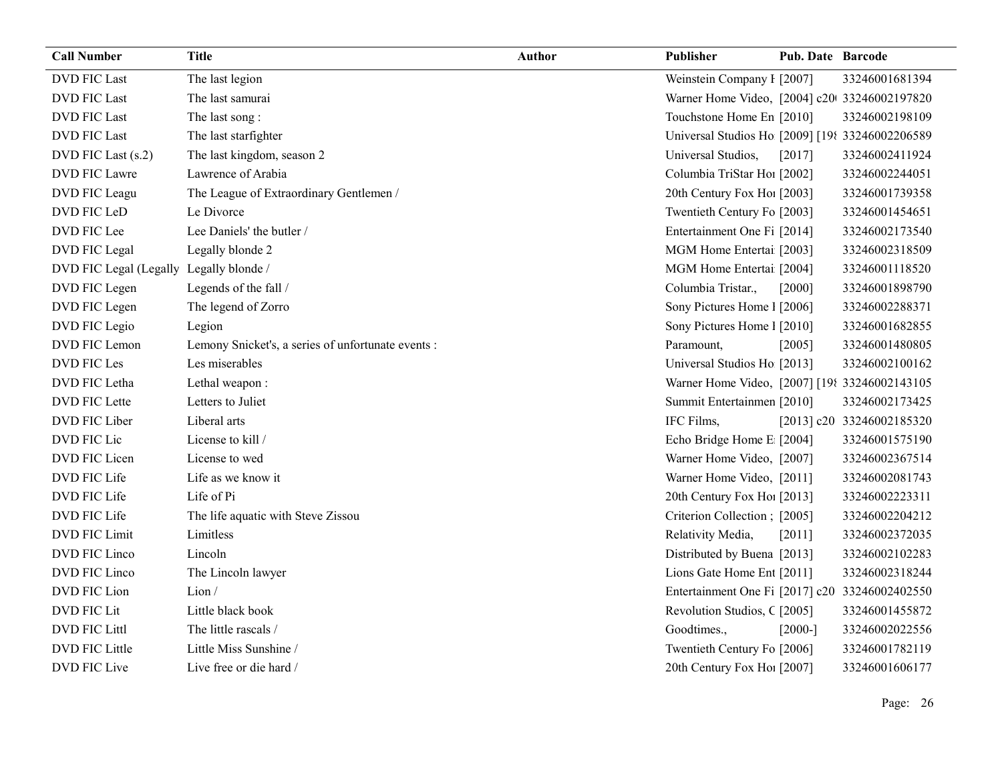| <b>Call Number</b>     | <b>Title</b>                                       | <b>Author</b> | <b>Publisher</b>                                | <b>Pub. Date Barcode</b> |                           |
|------------------------|----------------------------------------------------|---------------|-------------------------------------------------|--------------------------|---------------------------|
| <b>DVD FIC Last</b>    | The last legion                                    |               | Weinstein Company I [2007]                      |                          | 33246001681394            |
| <b>DVD FIC Last</b>    | The last samurai                                   |               | Warner Home Video, [2004] c20 33246002197820    |                          |                           |
| <b>DVD FIC Last</b>    | The last song:                                     |               | Touchstone Home En [2010]                       |                          | 33246002198109            |
| <b>DVD FIC Last</b>    | The last starfighter                               |               | Universal Studios Ho [2009] [198 33246002206589 |                          |                           |
| DVD FIC Last (s.2)     | The last kingdom, season 2                         |               | Universal Studios,                              | $[2017]$                 | 33246002411924            |
| DVD FIC Lawre          | Lawrence of Arabia                                 |               | Columbia TriStar Ho1 [2002]                     |                          | 33246002244051            |
| DVD FIC Leagu          | The League of Extraordinary Gentlemen /            |               | 20th Century Fox Ho! [2003]                     |                          | 33246001739358            |
| DVD FIC LeD            | Le Divorce                                         |               | Twentieth Century Fo [2003]                     |                          | 33246001454651            |
| DVD FIC Lee            | Lee Daniels' the butler /                          |               | Entertainment One Fi [2014]                     |                          | 33246002173540            |
| DVD FIC Legal          | Legally blonde 2                                   |               | MGM Home Entertai [2003]                        |                          | 33246002318509            |
| DVD FIC Legal (Legally | Legally blonde /                                   |               | MGM Home Entertai [2004]                        |                          | 33246001118520            |
| DVD FIC Legen          | Legends of the fall /                              |               | Columbia Tristar.,                              | $[2000]$                 | 33246001898790            |
| DVD FIC Legen          | The legend of Zorro                                |               | Sony Pictures Home 1 [2006]                     |                          | 33246002288371            |
| DVD FIC Legio          | Legion                                             |               | Sony Pictures Home 1 [2010]                     |                          | 33246001682855            |
| DVD FIC Lemon          | Lemony Snicket's, a series of unfortunate events : |               | Paramount,                                      | [2005]                   | 33246001480805            |
| DVD FIC Les            | Les miserables                                     |               | Universal Studios Ho [2013]                     |                          | 33246002100162            |
| DVD FIC Letha          | Lethal weapon:                                     |               | Warner Home Video, [2007] [198 33246002143105   |                          |                           |
| DVD FIC Lette          | Letters to Juliet                                  |               | Summit Entertainmen [2010]                      |                          | 33246002173425            |
| DVD FIC Liber          | Liberal arts                                       |               | IFC Films,                                      |                          | [2013] c20 33246002185320 |
| DVD FIC Lic            | License to kill /                                  |               | Echo Bridge Home E [2004]                       |                          | 33246001575190            |
| DVD FIC Licen          | License to wed                                     |               | Warner Home Video, [2007]                       |                          | 33246002367514            |
| DVD FIC Life           | Life as we know it                                 |               | Warner Home Video, [2011]                       |                          | 33246002081743            |
| DVD FIC Life           | Life of Pi                                         |               | 20th Century Fox Ho! [2013]                     |                          | 33246002223311            |
| DVD FIC Life           | The life aquatic with Steve Zissou                 |               | Criterion Collection; [2005]                    |                          | 33246002204212            |
| <b>DVD FIC Limit</b>   | Limitless                                          |               | Relativity Media,                               | [2011]                   | 33246002372035            |
| DVD FIC Linco          | Lincoln                                            |               | Distributed by Buena [2013]                     |                          | 33246002102283            |
| DVD FIC Linco          | The Lincoln lawyer                                 |               | Lions Gate Home Ent [2011]                      |                          | 33246002318244            |
| DVD FIC Lion           | Lion/                                              |               | Entertainment One Fi [2017] c20 33246002402550  |                          |                           |
| DVD FIC Lit            | Little black book                                  |               | Revolution Studios, C [2005]                    |                          | 33246001455872            |
| <b>DVD FIC Littl</b>   | The little rascals /                               |               | Goodtimes.,                                     | $[2000-]$                | 33246002022556            |
| <b>DVD FIC Little</b>  | Little Miss Sunshine /                             |               | Twentieth Century Fo [2006]                     |                          | 33246001782119            |
| <b>DVD FIC Live</b>    | Live free or die hard /                            |               | 20th Century Fox Ho! [2007]                     |                          | 33246001606177            |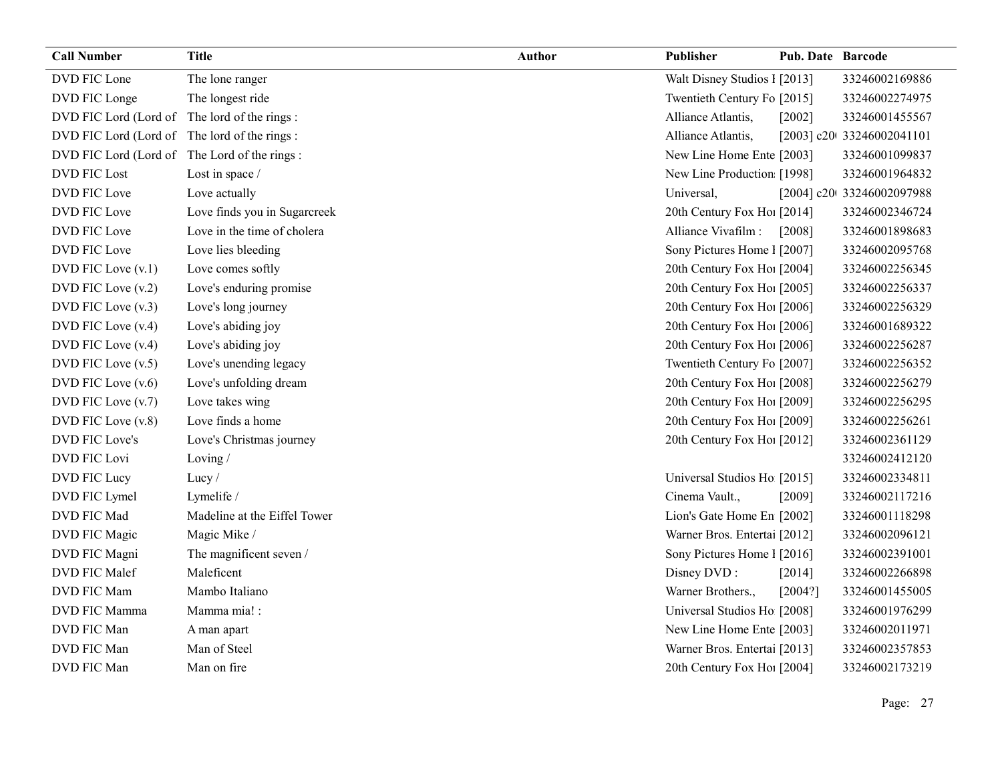| <b>Call Number</b>                           | <b>Title</b>                 | <b>Author</b> | Publisher                    | <b>Pub. Date Barcode</b> |                            |
|----------------------------------------------|------------------------------|---------------|------------------------------|--------------------------|----------------------------|
| DVD FIC Lone                                 | The lone ranger              |               | Walt Disney Studios 1 [2013] |                          | 33246002169886             |
| DVD FIC Longe                                | The longest ride             |               | Twentieth Century Fo [2015]  |                          | 33246002274975             |
| DVD FIC Lord (Lord of The lord of the rings: |                              |               | Alliance Atlantis,           | [2002]                   | 33246001455567             |
| DVD FIC Lord (Lord of The lord of the rings: |                              |               | Alliance Atlantis,           |                          | [2003] c20t 33246002041101 |
| DVD FIC Lord (Lord of The Lord of the rings: |                              |               | New Line Home Ente [2003]    |                          | 33246001099837             |
| <b>DVD FIC Lost</b>                          | Lost in space /              |               | New Line Production [1998]   |                          | 33246001964832             |
| DVD FIC Love                                 | Love actually                |               | Universal,                   |                          | [2004] c20t 33246002097988 |
| DVD FIC Love                                 | Love finds you in Sugarcreek |               | 20th Century Fox Ho! [2014]  |                          | 33246002346724             |
| DVD FIC Love                                 | Love in the time of cholera  |               | Alliance Vivafilm :          | [2008]                   | 33246001898683             |
| DVD FIC Love                                 | Love lies bleeding           |               | Sony Pictures Home 1 [2007]  |                          | 33246002095768             |
| $DVD$ FIC Love $(v.1)$                       | Love comes softly            |               | 20th Century Fox Ho! [2004]  |                          | 33246002256345             |
| DVD FIC Love (v.2)                           | Love's enduring promise      |               | 20th Century Fox Ho! [2005]  |                          | 33246002256337             |
| $DVD$ FIC Love $(v.3)$                       | Love's long journey          |               | 20th Century Fox Ho! [2006]  |                          | 33246002256329             |
| DVD FIC Love (v.4)                           | Love's abiding joy           |               | 20th Century Fox Ho! [2006]  |                          | 33246001689322             |
| DVD FIC Love (v.4)                           | Love's abiding joy           |               | 20th Century Fox Ho! [2006]  |                          | 33246002256287             |
| $DVD$ FIC Love $(v.5)$                       | Love's unending legacy       |               | Twentieth Century Fo [2007]  |                          | 33246002256352             |
| DVD FIC Love (v.6)                           | Love's unfolding dream       |               | 20th Century Fox Ho! [2008]  |                          | 33246002256279             |
| DVD FIC Love (v.7)                           | Love takes wing              |               | 20th Century Fox Hol [2009]  |                          | 33246002256295             |
| DVD FIC Love (v.8)                           | Love finds a home            |               | 20th Century Fox Ho! [2009]  |                          | 33246002256261             |
| DVD FIC Love's                               | Love's Christmas journey     |               | 20th Century Fox Ho! [2012]  |                          | 33246002361129             |
| <b>DVD FIC Lovi</b>                          | Loving $/$                   |               |                              |                          | 33246002412120             |
| DVD FIC Lucy                                 | Lucy/                        |               | Universal Studios Ho [2015]  |                          | 33246002334811             |
| DVD FIC Lymel                                | Lymelife /                   |               | Cinema Vault.,               | [2009]                   | 33246002117216             |
| DVD FIC Mad                                  | Madeline at the Eiffel Tower |               | Lion's Gate Home En [2002]   |                          | 33246001118298             |
| DVD FIC Magic                                | Magic Mike /                 |               | Warner Bros. Entertai [2012] |                          | 33246002096121             |
| DVD FIC Magni                                | The magnificent seven /      |               | Sony Pictures Home 1 [2016]  |                          | 33246002391001             |
| DVD FIC Malef                                | Maleficent                   |               | Disney DVD:                  | [2014]                   | 33246002266898             |
| DVD FIC Mam                                  | Mambo Italiano               |               | Warner Brothers.,            | [2004?]                  | 33246001455005             |
| DVD FIC Mamma                                | Mamma mia! :                 |               | Universal Studios Ho [2008]  |                          | 33246001976299             |
| DVD FIC Man                                  | A man apart                  |               | New Line Home Ente [2003]    |                          | 33246002011971             |
| DVD FIC Man                                  | Man of Steel                 |               | Warner Bros. Entertai [2013] |                          | 33246002357853             |
| DVD FIC Man                                  | Man on fire                  |               | 20th Century Fox Ho! [2004]  |                          | 33246002173219             |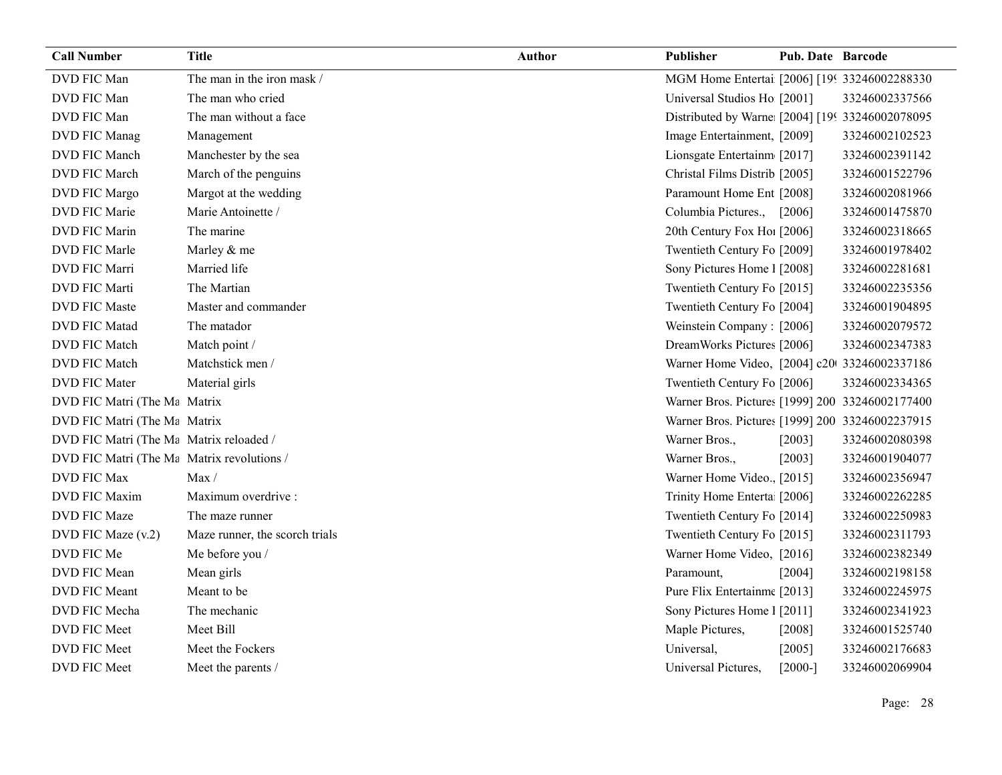| <b>Call Number</b>                      | <b>Title</b>                   | <b>Author</b> | Publisher                                       | <b>Pub. Date Barcode</b> |                |
|-----------------------------------------|--------------------------------|---------------|-------------------------------------------------|--------------------------|----------------|
| DVD FIC Man                             | The man in the iron mask /     |               | MGM Home Entertai [2006] [199 33246002288330    |                          |                |
| DVD FIC Man                             | The man who cried              |               | Universal Studios Ho [2001]                     |                          | 33246002337566 |
| DVD FIC Man                             | The man without a face         |               | Distributed by Warne [2004] [199 33246002078095 |                          |                |
| DVD FIC Manag                           | Management                     |               | Image Entertainment, [2009]                     |                          | 33246002102523 |
| DVD FIC Manch                           | Manchester by the sea          |               | Lionsgate Entertainm [2017]                     |                          | 33246002391142 |
| DVD FIC March                           | March of the penguins          |               | Christal Films Distrib [2005]                   |                          | 33246001522796 |
| DVD FIC Margo                           | Margot at the wedding          |               | Paramount Home Ent [2008]                       |                          | 33246002081966 |
| DVD FIC Marie                           | Marie Antoinette /             |               | Columbia Pictures., [2006]                      |                          | 33246001475870 |
| DVD FIC Marin                           | The marine                     |               | 20th Century Fox Ho! [2006]                     |                          | 33246002318665 |
| DVD FIC Marle                           | Marley & me                    |               | Twentieth Century Fo [2009]                     |                          | 33246001978402 |
| DVD FIC Marri                           | Married life                   |               | Sony Pictures Home 1 [2008]                     |                          | 33246002281681 |
| DVD FIC Marti                           | The Martian                    |               | Twentieth Century Fo [2015]                     |                          | 33246002235356 |
| <b>DVD FIC Maste</b>                    | Master and commander           |               | Twentieth Century Fo [2004]                     |                          | 33246001904895 |
| <b>DVD FIC Matad</b>                    | The matador                    |               | Weinstein Company: [2006]                       |                          | 33246002079572 |
| DVD FIC Match                           | Match point /                  |               | DreamWorks Pictures [2006]                      |                          | 33246002347383 |
| DVD FIC Match                           | Matchstick men /               |               | Warner Home Video, [2004] c20 33246002337186    |                          |                |
| <b>DVD FIC Mater</b>                    | Material girls                 |               | Twentieth Century Fo [2006]                     |                          | 33246002334365 |
| DVD FIC Matri (The Mandrix              |                                |               | Warner Bros. Pictures [1999] 200 33246002177400 |                          |                |
| DVD FIC Matri (The Mandrix              |                                |               | Warner Bros. Pictures [1999] 200 33246002237915 |                          |                |
| DVD FIC Matri (The Ma Matrix reloaded / |                                |               | Warner Bros.,                                   | [2003]                   | 33246002080398 |
| DVD FIC Matri (The Matrix revolutions / |                                |               | Warner Bros.,                                   | [2003]                   | 33246001904077 |
| DVD FIC Max                             | Max/                           |               | Warner Home Video., [2015]                      |                          | 33246002356947 |
| <b>DVD FIC Maxim</b>                    | Maximum overdrive :            |               | Trinity Home Enterta [2006]                     |                          | 33246002262285 |
| DVD FIC Maze                            | The maze runner                |               | Twentieth Century Fo [2014]                     |                          | 33246002250983 |
| DVD FIC Maze (v.2)                      | Maze runner, the scorch trials |               | Twentieth Century Fo [2015]                     |                          | 33246002311793 |
| DVD FIC Me                              | Me before you /                |               | Warner Home Video, [2016]                       |                          | 33246002382349 |
| DVD FIC Mean                            | Mean girls                     |               | Paramount,                                      | [2004]                   | 33246002198158 |
| DVD FIC Meant                           | Meant to be                    |               | Pure Flix Entertainme [2013]                    |                          | 33246002245975 |
| DVD FIC Mecha                           | The mechanic                   |               | Sony Pictures Home 1 [2011]                     |                          | 33246002341923 |
| DVD FIC Meet                            | Meet Bill                      |               | Maple Pictures,                                 | [2008]                   | 33246001525740 |
| DVD FIC Meet                            | Meet the Fockers               |               | Universal,                                      | [2005]                   | 33246002176683 |
| DVD FIC Meet                            | Meet the parents /             |               | Universal Pictures,                             | $[2000-]$                | 33246002069904 |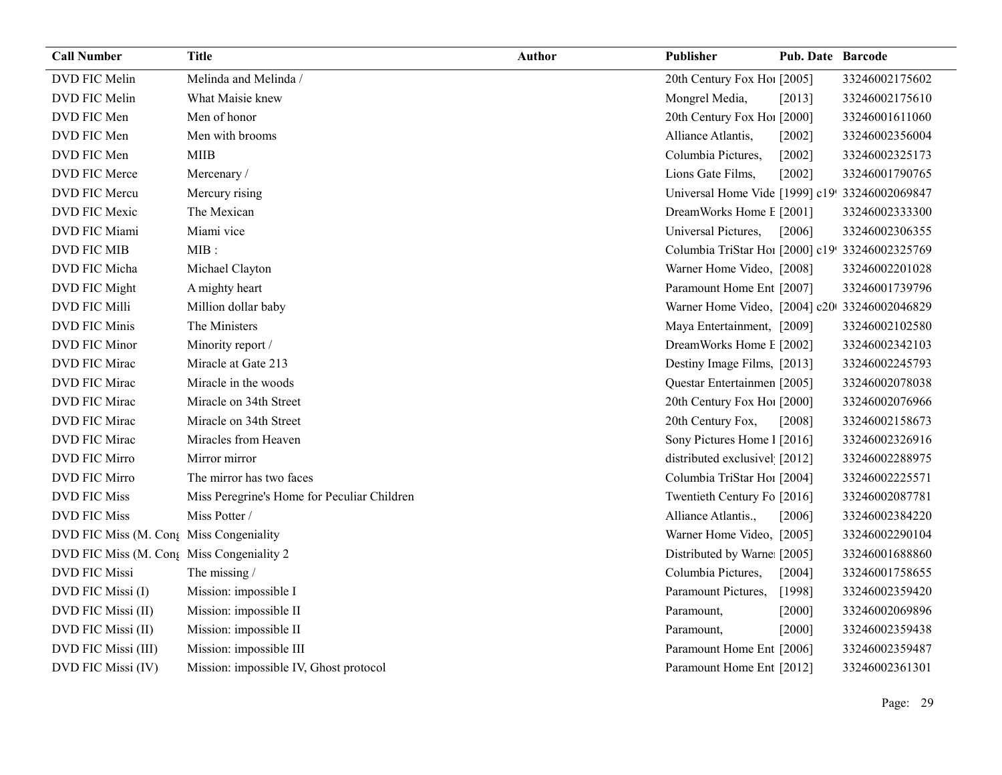| <b>Call Number</b>                        | <b>Title</b>                                | <b>Author</b> | <b>Publisher</b>                                | <b>Pub. Date Barcode</b> |                |
|-------------------------------------------|---------------------------------------------|---------------|-------------------------------------------------|--------------------------|----------------|
| DVD FIC Melin                             | Melinda and Melinda /                       |               | 20th Century Fox Ho! [2005]                     |                          | 33246002175602 |
| DVD FIC Melin                             | What Maisie knew                            |               | Mongrel Media,                                  | [2013]                   | 33246002175610 |
| DVD FIC Men                               | Men of honor                                |               | 20th Century Fox Ho! [2000]                     |                          | 33246001611060 |
| DVD FIC Men                               | Men with brooms                             |               | Alliance Atlantis,                              | $[2002]$                 | 33246002356004 |
| DVD FIC Men                               | <b>MIIB</b>                                 |               | Columbia Pictures,                              | [2002]                   | 33246002325173 |
| DVD FIC Merce                             | Mercenary/                                  |               | Lions Gate Films,                               | [2002]                   | 33246001790765 |
| DVD FIC Mercu                             | Mercury rising                              |               | Universal Home Vide [1999] c19! 33246002069847  |                          |                |
| DVD FIC Mexic                             | The Mexican                                 |               | DreamWorks Home E [2001]                        |                          | 33246002333300 |
| DVD FIC Miami                             | Miami vice                                  |               | Universal Pictures,                             | [2006]                   | 33246002306355 |
| <b>DVD FIC MIB</b>                        | $MIB$ :                                     |               | Columbia TriStar Ho1 [2000] c19! 33246002325769 |                          |                |
| DVD FIC Micha                             | Michael Clayton                             |               | Warner Home Video, [2008]                       |                          | 33246002201028 |
| DVD FIC Might                             | A mighty heart                              |               | Paramount Home Ent [2007]                       |                          | 33246001739796 |
| DVD FIC Milli                             | Million dollar baby                         |               | Warner Home Video, [2004] c20 33246002046829    |                          |                |
| <b>DVD FIC Minis</b>                      | The Ministers                               |               | Maya Entertainment, [2009]                      |                          | 33246002102580 |
| DVD FIC Minor                             | Minority report /                           |               | DreamWorks Home E [2002]                        |                          | 33246002342103 |
| DVD FIC Mirac                             | Miracle at Gate 213                         |               | Destiny Image Films, [2013]                     |                          | 33246002245793 |
| DVD FIC Mirac                             | Miracle in the woods                        |               | Questar Entertainmen [2005]                     |                          | 33246002078038 |
| DVD FIC Mirac                             | Miracle on 34th Street                      |               | 20th Century Fox Ho! [2000]                     |                          | 33246002076966 |
| DVD FIC Mirac                             | Miracle on 34th Street                      |               | 20th Century Fox,                               | [2008]                   | 33246002158673 |
| DVD FIC Mirac                             | Miracles from Heaven                        |               | Sony Pictures Home 1 [2016]                     |                          | 33246002326916 |
| <b>DVD FIC Mirro</b>                      | Mirror mirror                               |               | distributed exclusivel [2012]                   |                          | 33246002288975 |
| <b>DVD FIC Mirro</b>                      | The mirror has two faces                    |               | Columbia TriStar Ho1 [2004]                     |                          | 33246002225571 |
| <b>DVD FIC Miss</b>                       | Miss Peregrine's Home for Peculiar Children |               | Twentieth Century Fo [2016]                     |                          | 33246002087781 |
| <b>DVD FIC Miss</b>                       | Miss Potter /                               |               | Alliance Atlantis.,                             | [2006]                   | 33246002384220 |
| DVD FIC Miss (M. Cong Miss Congeniality   |                                             |               | Warner Home Video, [2005]                       |                          | 33246002290104 |
| DVD FIC Miss (M. Conf Miss Congeniality 2 |                                             |               | Distributed by Warne [2005]                     |                          | 33246001688860 |
| <b>DVD FIC Missi</b>                      | The missing /                               |               | Columbia Pictures,                              | [2004]                   | 33246001758655 |
| DVD FIC Missi (I)                         | Mission: impossible I                       |               | Paramount Pictures,                             | [1998]                   | 33246002359420 |
| DVD FIC Missi (II)                        | Mission: impossible II                      |               | Paramount,                                      | $[2000]$                 | 33246002069896 |
| DVD FIC Missi (II)                        | Mission: impossible II                      |               | Paramount,                                      | [2000]                   | 33246002359438 |
| DVD FIC Missi (III)                       | Mission: impossible III                     |               | Paramount Home Ent [2006]                       |                          | 33246002359487 |
| DVD FIC Missi (IV)                        | Mission: impossible IV, Ghost protocol      |               | Paramount Home Ent [2012]                       |                          | 33246002361301 |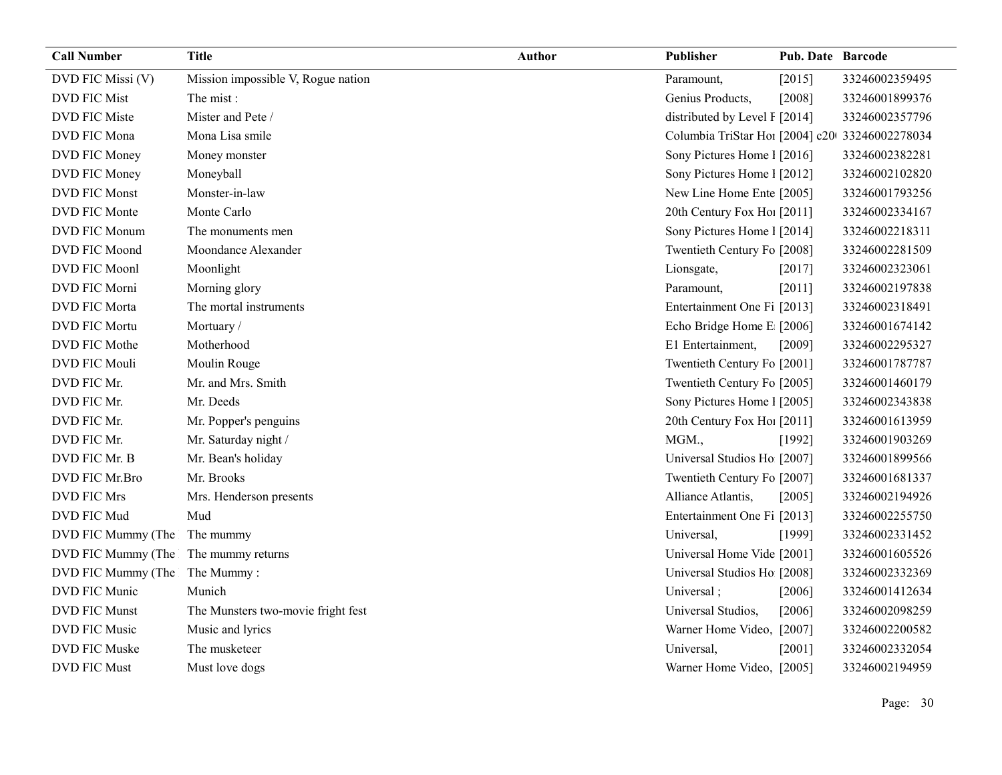| <b>Call Number</b>                   | <b>Title</b>                       | <b>Author</b> | Publisher                                      | Pub. Date Barcode |                |
|--------------------------------------|------------------------------------|---------------|------------------------------------------------|-------------------|----------------|
| DVD FIC Missi (V)                    | Mission impossible V, Rogue nation |               | Paramount,                                     | [2015]            | 33246002359495 |
| <b>DVD FIC Mist</b>                  | The mist:                          |               | Genius Products,                               | [2008]            | 33246001899376 |
| <b>DVD FIC Miste</b>                 | Mister and Pete /                  |               | distributed by Level I [2014]                  |                   | 33246002357796 |
| DVD FIC Mona                         | Mona Lisa smile                    |               | Columbia TriStar Ho1 [2004] c20 33246002278034 |                   |                |
| DVD FIC Money                        | Money monster                      |               | Sony Pictures Home 1 [2016]                    |                   | 33246002382281 |
| DVD FIC Money                        | Moneyball                          |               | Sony Pictures Home 1 [2012]                    |                   | 33246002102820 |
| <b>DVD FIC Monst</b>                 | Monster-in-law                     |               | New Line Home Ente [2005]                      |                   | 33246001793256 |
| DVD FIC Monte                        | Monte Carlo                        |               | 20th Century Fox Ho! [2011]                    |                   | 33246002334167 |
| DVD FIC Monum                        | The monuments men                  |               | Sony Pictures Home 1 [2014]                    |                   | 33246002218311 |
| DVD FIC Moond                        | Moondance Alexander                |               | Twentieth Century Fo [2008]                    |                   | 33246002281509 |
| DVD FIC Moonl                        | Moonlight                          |               | Lionsgate,                                     | [2017]            | 33246002323061 |
| DVD FIC Morni                        | Morning glory                      |               | Paramount,                                     | [2011]            | 33246002197838 |
| DVD FIC Morta                        | The mortal instruments             |               | Entertainment One Fi [2013]                    |                   | 33246002318491 |
| <b>DVD FIC Mortu</b>                 | Mortuary/                          |               | Echo Bridge Home E [2006]                      |                   | 33246001674142 |
| DVD FIC Mothe                        | Motherhood                         |               | E1 Entertainment,                              | [2009]            | 33246002295327 |
| DVD FIC Mouli                        | Moulin Rouge                       |               | Twentieth Century Fo [2001]                    |                   | 33246001787787 |
| DVD FIC Mr.                          | Mr. and Mrs. Smith                 |               | Twentieth Century Fo [2005]                    |                   | 33246001460179 |
| DVD FIC Mr.                          | Mr. Deeds                          |               | Sony Pictures Home 1 [2005]                    |                   | 33246002343838 |
| DVD FIC Mr.                          | Mr. Popper's penguins              |               | 20th Century Fox Ho! [2011]                    |                   | 33246001613959 |
| DVD FIC Mr.                          | Mr. Saturday night /               |               | MGM.,                                          | [1992]            | 33246001903269 |
| DVD FIC Mr. B                        | Mr. Bean's holiday                 |               | Universal Studios Ho [2007]                    |                   | 33246001899566 |
| DVD FIC Mr.Bro                       | Mr. Brooks                         |               | Twentieth Century Fo [2007]                    |                   | 33246001681337 |
| <b>DVD FIC Mrs</b>                   | Mrs. Henderson presents            |               | Alliance Atlantis,                             | [2005]            | 33246002194926 |
| DVD FIC Mud                          | Mud                                |               | Entertainment One Fi [2013]                    |                   | 33246002255750 |
| DVD FIC Mummy (The                   | The mummy                          |               | Universal,                                     | [1999]            | 33246002331452 |
| DVD FIC Mummy (The The mummy returns |                                    |               | Universal Home Vide [2001]                     |                   | 33246001605526 |
| DVD FIC Mummy (The                   | The Mummy:                         |               | Universal Studios Ho [2008]                    |                   | 33246002332369 |
| DVD FIC Munic                        | Munich                             |               | Universal;                                     | [2006]            | 33246001412634 |
| <b>DVD FIC Munst</b>                 | The Munsters two-movie fright fest |               | Universal Studios,                             | [2006]            | 33246002098259 |
| DVD FIC Music                        | Music and lyrics                   |               | Warner Home Video, [2007]                      |                   | 33246002200582 |
| DVD FIC Muske                        | The musketeer                      |               | Universal,                                     | [2001]            | 33246002332054 |
| <b>DVD FIC Must</b>                  | Must love dogs                     |               | Warner Home Video, [2005]                      |                   | 33246002194959 |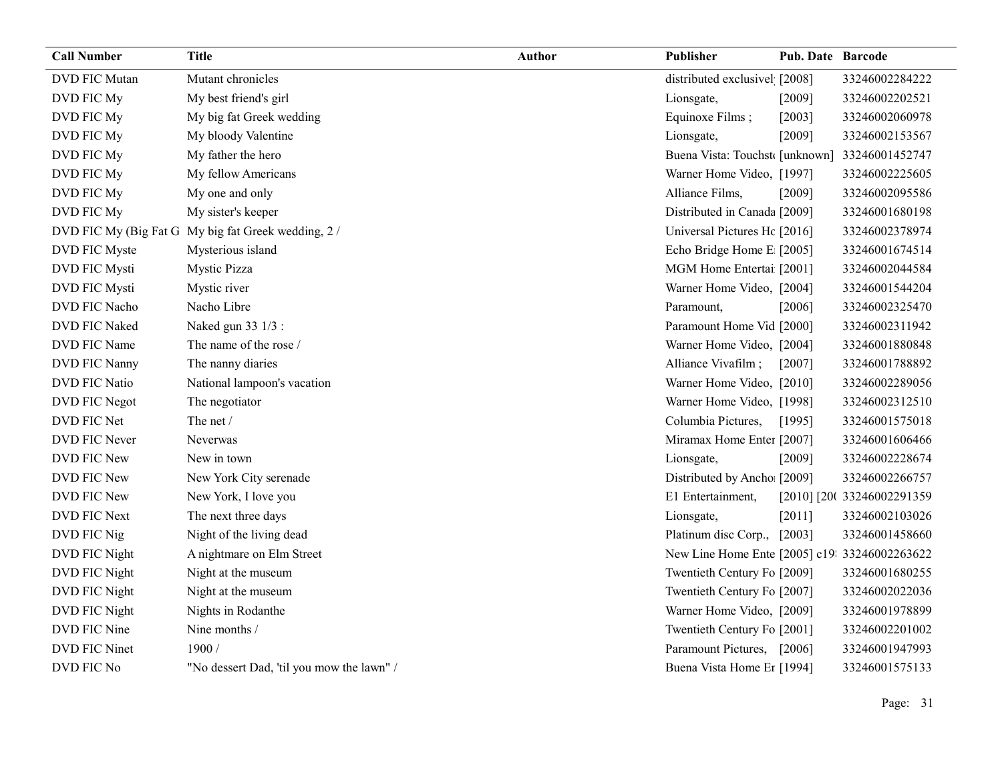| <b>Call Number</b>    | <b>Title</b>                              | Author | Publisher                                     | Pub. Date Barcode |                            |
|-----------------------|-------------------------------------------|--------|-----------------------------------------------|-------------------|----------------------------|
| <b>DVD FIC Mutan</b>  | Mutant chronicles                         |        | distributed exclusivel [2008]                 |                   | 33246002284222             |
| DVD FIC My            | My best friend's girl                     |        | Lionsgate,                                    | [2009]            | 33246002202521             |
| DVD FIC My            | My big fat Greek wedding                  |        | Equinoxe Films;                               | [2003]            | 33246002060978             |
| DVD FIC My            | My bloody Valentine                       |        | Lionsgate,                                    | [2009]            | 33246002153567             |
| DVD FIC My            | My father the hero                        |        | Buena Vista: Touchst [unknown] 33246001452747 |                   |                            |
| DVD FIC My            | My fellow Americans                       |        | Warner Home Video, [1997]                     |                   | 33246002225605             |
| DVD FIC My            | My one and only                           |        | Alliance Films,                               | [2009]            | 33246002095586             |
| DVD FIC My            | My sister's keeper                        |        | Distributed in Canada [2009]                  |                   | 33246001680198             |
| DVD FIC My (Big Fat G | My big fat Greek wedding, 2/              |        | Universal Pictures Hc [2016]                  |                   | 33246002378974             |
| DVD FIC Myste         | Mysterious island                         |        | Echo Bridge Home E [2005]                     |                   | 33246001674514             |
| DVD FIC Mysti         | <b>Mystic Pizza</b>                       |        | MGM Home Entertai [2001]                      |                   | 33246002044584             |
| DVD FIC Mysti         | Mystic river                              |        | Warner Home Video, [2004]                     |                   | 33246001544204             |
| DVD FIC Nacho         | Nacho Libre                               |        | Paramount,                                    | [2006]            | 33246002325470             |
| DVD FIC Naked         | Naked gun 33 1/3 :                        |        | Paramount Home Vid [2000]                     |                   | 33246002311942             |
| DVD FIC Name          | The name of the rose /                    |        | Warner Home Video, [2004]                     |                   | 33246001880848             |
| DVD FIC Nanny         | The nanny diaries                         |        | Alliance Vivafilm;                            | [2007]            | 33246001788892             |
| DVD FIC Natio         | National lampoon's vacation               |        | Warner Home Video, [2010]                     |                   | 33246002289056             |
| DVD FIC Negot         | The negotiator                            |        | Warner Home Video, [1998]                     |                   | 33246002312510             |
| DVD FIC Net           | The net /                                 |        | Columbia Pictures,                            | [1995]            | 33246001575018             |
| DVD FIC Never         | <b>Neverwas</b>                           |        | Miramax Home Enter [2007]                     |                   | 33246001606466             |
| DVD FIC New           | New in town                               |        | Lionsgate,                                    | [2009]            | 33246002228674             |
| DVD FIC New           | New York City serenade                    |        | Distributed by Ancho [2009]                   |                   | 33246002266757             |
| DVD FIC New           | New York, I love you                      |        | E1 Entertainment,                             |                   | [2010] [20( 33246002291359 |
| <b>DVD FIC Next</b>   | The next three days                       |        | Lionsgate,                                    | [2011]            | 33246002103026             |
| DVD FIC Nig           | Night of the living dead                  |        | Platinum disc Corp., [2003]                   |                   | 33246001458660             |
| DVD FIC Night         | A nightmare on Elm Street                 |        | New Line Home Ente [2005] c19: 33246002263622 |                   |                            |
| DVD FIC Night         | Night at the museum                       |        | Twentieth Century Fo [2009]                   |                   | 33246001680255             |
| DVD FIC Night         | Night at the museum                       |        | Twentieth Century Fo [2007]                   |                   | 33246002022036             |
| DVD FIC Night         | Nights in Rodanthe                        |        | Warner Home Video, [2009]                     |                   | 33246001978899             |
| DVD FIC Nine          | Nine months /                             |        | Twentieth Century Fo [2001]                   |                   | 33246002201002             |
| <b>DVD FIC Ninet</b>  | 1900/                                     |        | Paramount Pictures, [2006]                    |                   | 33246001947993             |
| DVD FIC No            | "No dessert Dad, 'til you mow the lawn" / |        | Buena Vista Home Er [1994]                    |                   | 33246001575133             |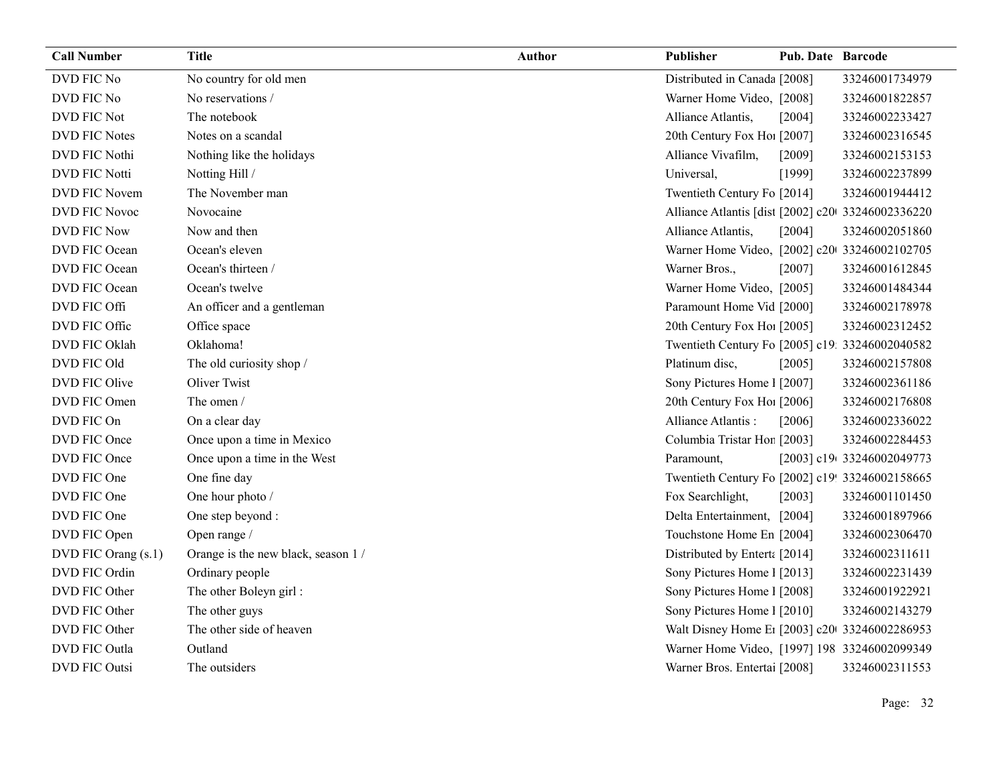| <b>Call Number</b>   | <b>Title</b>                        | <b>Author</b> | Publisher                                         | <b>Pub. Date Barcode</b> |                           |
|----------------------|-------------------------------------|---------------|---------------------------------------------------|--------------------------|---------------------------|
| DVD FIC No           | No country for old men              |               | Distributed in Canada [2008]                      |                          | 33246001734979            |
| DVD FIC No           | No reservations /                   |               | Warner Home Video, [2008]                         |                          | 33246001822857            |
| DVD FIC Not          | The notebook                        |               | Alliance Atlantis,                                | [2004]                   | 33246002233427            |
| <b>DVD FIC Notes</b> | Notes on a scandal                  |               | 20th Century Fox Hol [2007]                       |                          | 33246002316545            |
| DVD FIC Nothi        | Nothing like the holidays           |               | Alliance Vivafilm,                                | [2009]                   | 33246002153153            |
| <b>DVD FIC Notti</b> | Notting Hill /                      |               | Universal,                                        | [1999]                   | 33246002237899            |
| DVD FIC Novem        | The November man                    |               | Twentieth Century Fo [2014]                       |                          | 33246001944412            |
| DVD FIC Novoc        | Novocaine                           |               | Alliance Atlantis [dist [2002] c20 33246002336220 |                          |                           |
| <b>DVD FIC Now</b>   | Now and then                        |               | Alliance Atlantis,                                | [2004]                   | 33246002051860            |
| DVD FIC Ocean        | Ocean's eleven                      |               | Warner Home Video, [2002] c20 33246002102705      |                          |                           |
| DVD FIC Ocean        | Ocean's thirteen /                  |               | Warner Bros.,                                     | [2007]                   | 33246001612845            |
| DVD FIC Ocean        | Ocean's twelve                      |               | Warner Home Video, [2005]                         |                          | 33246001484344            |
| DVD FIC Offi         | An officer and a gentleman          |               | Paramount Home Vid [2000]                         |                          | 33246002178978            |
| DVD FIC Offic        | Office space                        |               | 20th Century Fox Hol [2005]                       |                          | 33246002312452            |
| DVD FIC Oklah        | Oklahoma!                           |               | Twentieth Century Fo [2005] c19: 33246002040582   |                          |                           |
| DVD FIC Old          | The old curiosity shop /            |               | Platinum disc,                                    | [2005]                   | 33246002157808            |
| DVD FIC Olive        | Oliver Twist                        |               | Sony Pictures Home 1 [2007]                       |                          | 33246002361186            |
| DVD FIC Omen         | The omen /                          |               | 20th Century Fox Ho! [2006]                       |                          | 33246002176808            |
| DVD FIC On           | On a clear day                      |               | Alliance Atlantis:                                | [2006]                   | 33246002336022            |
| DVD FIC Once         | Once upon a time in Mexico          |               | Columbia Tristar Hor [2003]                       |                          | 33246002284453            |
| DVD FIC Once         | Once upon a time in the West        |               | Paramount,                                        |                          | [2003] c19(33246002049773 |
| DVD FIC One          | One fine day                        |               | Twentieth Century Fo [2002] c19! 33246002158665   |                          |                           |
| DVD FIC One          | One hour photo /                    |               | Fox Searchlight,                                  | [2003]                   | 33246001101450            |
| DVD FIC One          | One step beyond :                   |               | Delta Entertainment, [2004]                       |                          | 33246001897966            |
| DVD FIC Open         | Open range /                        |               | Touchstone Home En [2004]                         |                          | 33246002306470            |
| DVD FIC Orang (s.1)  | Orange is the new black, season 1 / |               | Distributed by Enterta [2014]                     |                          | 33246002311611            |
| DVD FIC Ordin        | Ordinary people                     |               | Sony Pictures Home 1 [2013]                       |                          | 33246002231439            |
| DVD FIC Other        | The other Boleyn girl:              |               | Sony Pictures Home 1 [2008]                       |                          | 33246001922921            |
| DVD FIC Other        | The other guys                      |               | Sony Pictures Home 1 [2010]                       |                          | 33246002143279            |
| DVD FIC Other        | The other side of heaven            |               | Walt Disney Home E1 [2003] c20 33246002286953     |                          |                           |
| DVD FIC Outla        | Outland                             |               | Warner Home Video, [1997] 198 33246002099349      |                          |                           |
| DVD FIC Outsi        | The outsiders                       |               | Warner Bros. Entertai [2008]                      |                          | 33246002311553            |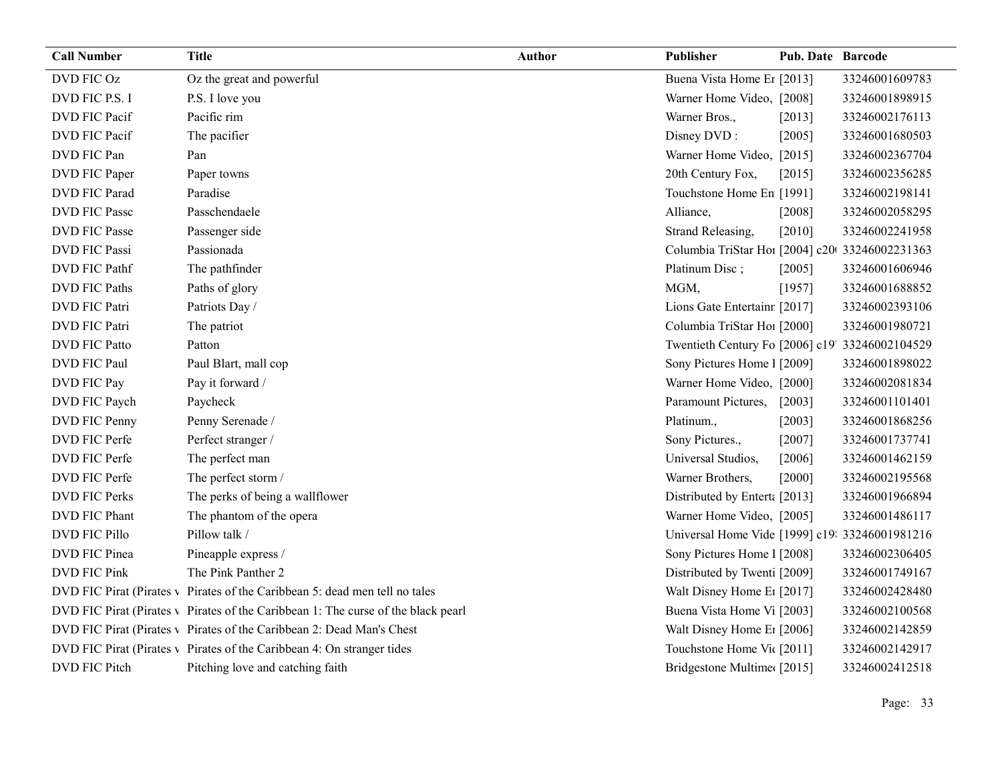| <b>Call Number</b>   | <b>Title</b>                                                                      | <b>Author</b> | Publisher                                       | Pub. Date Barcode |                |
|----------------------|-----------------------------------------------------------------------------------|---------------|-------------------------------------------------|-------------------|----------------|
| DVD FIC Oz           | Oz the great and powerful                                                         |               | Buena Vista Home Er [2013]                      |                   | 33246001609783 |
| DVD FIC P.S. I       | P.S. I love you                                                                   |               | Warner Home Video, [2008]                       |                   | 33246001898915 |
| DVD FIC Pacif        | Pacific rim                                                                       |               | Warner Bros.,                                   | [2013]            | 33246002176113 |
| DVD FIC Pacif        | The pacifier                                                                      |               | Disney DVD:                                     | [2005]            | 33246001680503 |
| DVD FIC Pan          | Pan                                                                               |               | Warner Home Video, [2015]                       |                   | 33246002367704 |
| DVD FIC Paper        | Paper towns                                                                       |               | 20th Century Fox,                               | [2015]            | 33246002356285 |
| DVD FIC Parad        | Paradise                                                                          |               | Touchstone Home En [1991]                       |                   | 33246002198141 |
| <b>DVD FIC Passe</b> | Passchendaele                                                                     |               | Alliance,                                       | [2008]            | 33246002058295 |
| <b>DVD FIC Passe</b> | Passenger side                                                                    |               | Strand Releasing,                               | [2010]            | 33246002241958 |
| <b>DVD FIC Passi</b> | Passionada                                                                        |               | Columbia TriStar Hoi [2004] c20 33246002231363  |                   |                |
| DVD FIC Pathf        | The pathfinder                                                                    |               | Platinum Disc;                                  | [2005]            | 33246001606946 |
| <b>DVD FIC Paths</b> | Paths of glory                                                                    |               | MGM,                                            | [1957]            | 33246001688852 |
| <b>DVD FIC Patri</b> | Patriots Day /                                                                    |               | Lions Gate Entertain [2017]                     |                   | 33246002393106 |
| <b>DVD FIC Patri</b> | The patriot                                                                       |               | Columbia TriStar Hoi [2000]                     |                   | 33246001980721 |
| <b>DVD FIC Patto</b> | Patton                                                                            |               | Twentieth Century Fo [2006] c19' 33246002104529 |                   |                |
| DVD FIC Paul         | Paul Blart, mall cop                                                              |               | Sony Pictures Home 1 [2009]                     |                   | 33246001898022 |
| DVD FIC Pay          | Pay it forward /                                                                  |               | Warner Home Video, [2000]                       |                   | 33246002081834 |
| DVD FIC Paych        | Paycheck                                                                          |               | Paramount Pictures,                             | $[2003]$          | 33246001101401 |
| DVD FIC Penny        | Penny Serenade /                                                                  |               | Platinum.,                                      | [2003]            | 33246001868256 |
| DVD FIC Perfe        | Perfect stranger /                                                                |               | Sony Pictures.,                                 | $[2007]$          | 33246001737741 |
| DVD FIC Perfe        | The perfect man                                                                   |               | Universal Studios,                              | [2006]            | 33246001462159 |
| DVD FIC Perfe        | The perfect storm /                                                               |               | Warner Brothers,                                | [2000]            | 33246002195568 |
| <b>DVD FIC Perks</b> | The perks of being a wallflower                                                   |               | Distributed by Enterta [2013]                   |                   | 33246001966894 |
| DVD FIC Phant        | The phantom of the opera                                                          |               | Warner Home Video, [2005]                       |                   | 33246001486117 |
| DVD FIC Pillo        | Pillow talk /                                                                     |               | Universal Home Vide [1999] c19: 33246001981216  |                   |                |
| DVD FIC Pinea        | Pineapple express /                                                               |               | Sony Pictures Home 1 [2008]                     |                   | 33246002306405 |
| <b>DVD FIC Pink</b>  | The Pink Panther 2                                                                |               | Distributed by Twenti [2009]                    |                   | 33246001749167 |
|                      | DVD FIC Pirat (Pirates v Pirates of the Caribbean 5: dead men tell no tales       |               | Walt Disney Home E <sub>1</sub> [2017]          |                   | 33246002428480 |
|                      | DVD FIC Pirat (Pirates v Pirates of the Caribbean 1: The curse of the black pearl |               | Buena Vista Home Vi [2003]                      |                   | 33246002100568 |
|                      | DVD FIC Pirat (Pirates v Pirates of the Caribbean 2: Dead Man's Chest             |               | Walt Disney Home E1 [2006]                      |                   | 33246002142859 |
|                      | DVD FIC Pirat (Pirates v Pirates of the Caribbean 4: On stranger tides            |               | Touchstone Home Vic [2011]                      |                   | 33246002142917 |
| DVD FIC Pitch        | Pitching love and catching faith                                                  |               | Bridgestone Multime [2015]                      |                   | 33246002412518 |

Page: 33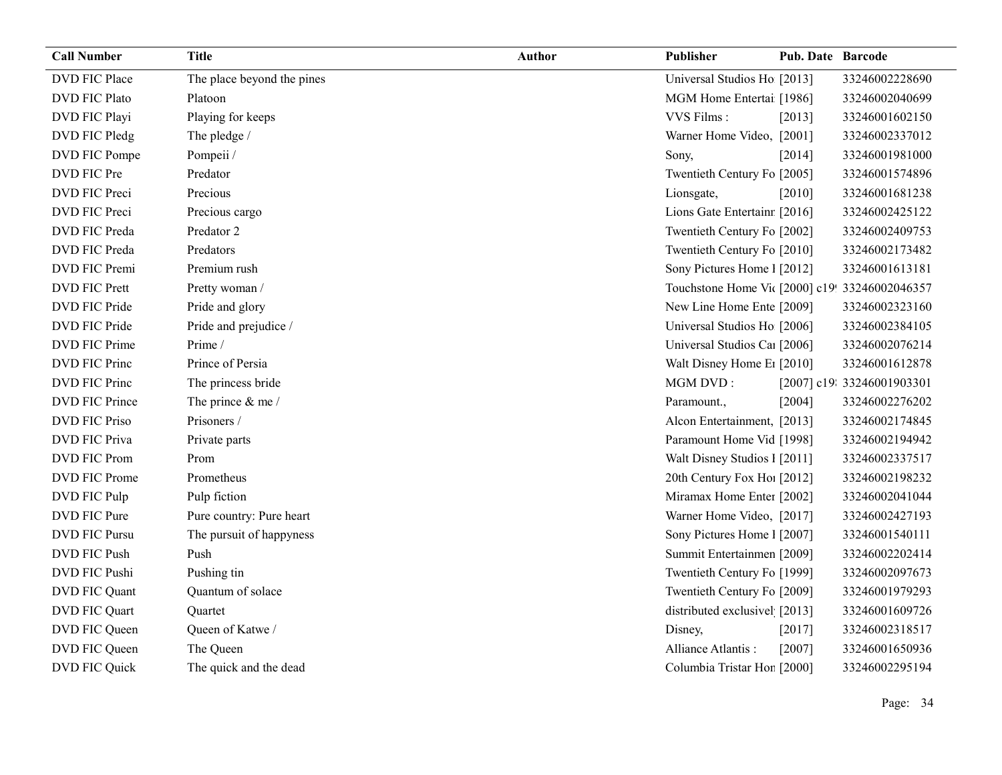| <b>Call Number</b>    | <b>Title</b>               | <b>Author</b> | Publisher                                      | <b>Pub. Date Barcode</b> |                            |
|-----------------------|----------------------------|---------------|------------------------------------------------|--------------------------|----------------------------|
| DVD FIC Place         | The place beyond the pines |               | Universal Studios Ho [2013]                    |                          | 33246002228690             |
| <b>DVD FIC Plato</b>  | Platoon                    |               | MGM Home Entertai [1986]                       |                          | 33246002040699             |
| DVD FIC Playi         | Playing for keeps          |               | VVS Films:                                     | [2013]                   | 33246001602150             |
| DVD FIC Pledg         | The pledge /               |               | Warner Home Video, [2001]                      |                          | 33246002337012             |
| DVD FIC Pompe         | Pompeii /                  |               | Sony,                                          | [2014]                   | 33246001981000             |
| DVD FIC Pre           | Predator                   |               | Twentieth Century Fo [2005]                    |                          | 33246001574896             |
| DVD FIC Preci         | Precious                   |               | Lionsgate,                                     | [2010]                   | 33246001681238             |
| DVD FIC Preci         | Precious cargo             |               | Lions Gate Entertainr [2016]                   |                          | 33246002425122             |
| DVD FIC Preda         | Predator 2                 |               | Twentieth Century Fo [2002]                    |                          | 33246002409753             |
| DVD FIC Preda         | Predators                  |               | Twentieth Century Fo [2010]                    |                          | 33246002173482             |
| DVD FIC Premi         | Premium rush               |               | Sony Pictures Home 1 [2012]                    |                          | 33246001613181             |
| <b>DVD FIC Prett</b>  | Pretty woman /             |               | Touchstone Home Vic [2000] c19! 33246002046357 |                          |                            |
| DVD FIC Pride         | Pride and glory            |               | New Line Home Ente [2009]                      |                          | 33246002323160             |
| DVD FIC Pride         | Pride and prejudice /      |               | Universal Studios Ho [2006]                    |                          | 33246002384105             |
| <b>DVD FIC Prime</b>  | Prime /                    |               | Universal Studios Ca1 [2006]                   |                          | 33246002076214             |
| DVD FIC Princ         | Prince of Persia           |               | Walt Disney Home E <sub>1</sub> [2010]         |                          | 33246001612878             |
| DVD FIC Princ         | The princess bride         |               | MGM DVD:                                       |                          | [2007] c19: 33246001903301 |
| <b>DVD FIC Prince</b> | The prince $&$ me /        |               | Paramount.,                                    | [2004]                   | 33246002276202             |
| <b>DVD FIC Priso</b>  | Prisoners /                |               | Alcon Entertainment, [2013]                    |                          | 33246002174845             |
| <b>DVD FIC Priva</b>  | Private parts              |               | Paramount Home Vid [1998]                      |                          | 33246002194942             |
| <b>DVD FIC Prom</b>   | Prom                       |               | Walt Disney Studios 1 [2011]                   |                          | 33246002337517             |
| <b>DVD FIC Prome</b>  | Prometheus                 |               | 20th Century Fox Ho! [2012]                    |                          | 33246002198232             |
| DVD FIC Pulp          | Pulp fiction               |               | Miramax Home Enter [2002]                      |                          | 33246002041044             |
| DVD FIC Pure          | Pure country: Pure heart   |               | Warner Home Video, [2017]                      |                          | 33246002427193             |
| <b>DVD FIC Pursu</b>  | The pursuit of happyness   |               | Sony Pictures Home 1 [2007]                    |                          | 33246001540111             |
| DVD FIC Push          | Push                       |               | Summit Entertainmen [2009]                     |                          | 33246002202414             |
| DVD FIC Pushi         | Pushing tin                |               | Twentieth Century Fo [1999]                    |                          | 33246002097673             |
| DVD FIC Quant         | Quantum of solace          |               | Twentieth Century Fo [2009]                    |                          | 33246001979293             |
| DVD FIC Quart         | Quartet                    |               | distributed exclusivel [2013]                  |                          | 33246001609726             |
| DVD FIC Queen         | Queen of Katwe/            |               | Disney,                                        | $[2017]$                 | 33246002318517             |
| DVD FIC Queen         | The Queen                  |               | Alliance Atlantis:                             | $[2007]$                 | 33246001650936             |
| DVD FIC Quick         | The quick and the dead     |               | Columbia Tristar Hor [2000]                    |                          | 33246002295194             |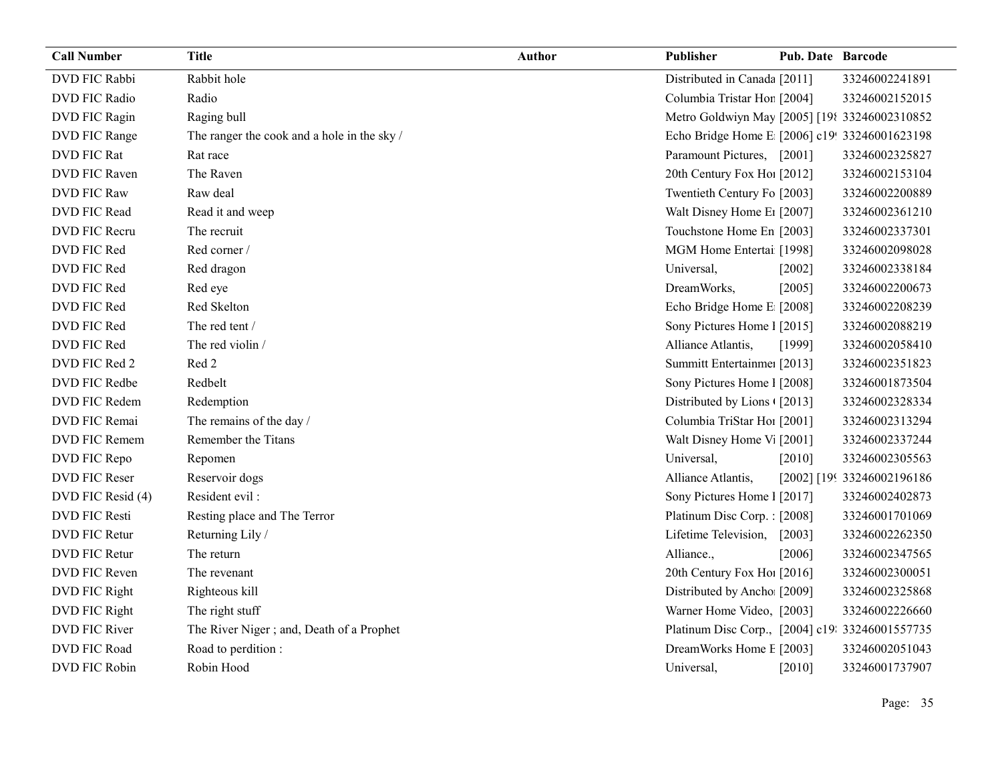| <b>Call Number</b>   | <b>Title</b>                                | <b>Author</b> | Publisher                                       | <b>Pub. Date Barcode</b> |                            |
|----------------------|---------------------------------------------|---------------|-------------------------------------------------|--------------------------|----------------------------|
| DVD FIC Rabbi        | Rabbit hole                                 |               | Distributed in Canada [2011]                    |                          | 33246002241891             |
| DVD FIC Radio        | Radio                                       |               | Columbia Tristar Hor [2004]                     |                          | 33246002152015             |
| DVD FIC Ragin        | Raging bull                                 |               | Metro Goldwiyn May [2005] [198 33246002310852   |                          |                            |
| DVD FIC Range        | The ranger the cook and a hole in the sky / |               | Echo Bridge Home E [2006] c19! 33246001623198   |                          |                            |
| DVD FIC Rat          | Rat race                                    |               | Paramount Pictures, [2001]                      |                          | 33246002325827             |
| <b>DVD FIC Raven</b> | The Raven                                   |               | 20th Century Fox Ho! [2012]                     |                          | 33246002153104             |
| DVD FIC Raw          | Raw deal                                    |               | Twentieth Century Fo [2003]                     |                          | 33246002200889             |
| DVD FIC Read         | Read it and weep                            |               | Walt Disney Home E1 [2007]                      |                          | 33246002361210             |
| DVD FIC Recru        | The recruit                                 |               | Touchstone Home En [2003]                       |                          | 33246002337301             |
| DVD FIC Red          | Red corner /                                |               | MGM Home Entertai [1998]                        |                          | 33246002098028             |
| DVD FIC Red          | Red dragon                                  |               | Universal,                                      | $[2002]$                 | 33246002338184             |
| DVD FIC Red          | Red eye                                     |               | DreamWorks,                                     | [2005]                   | 33246002200673             |
| DVD FIC Red          | Red Skelton                                 |               | Echo Bridge Home E [2008]                       |                          | 33246002208239             |
| DVD FIC Red          | The red tent /                              |               | Sony Pictures Home 1 [2015]                     |                          | 33246002088219             |
| DVD FIC Red          | The red violin /                            |               | Alliance Atlantis,                              | [1999]                   | 33246002058410             |
| DVD FIC Red 2        | Red 2                                       |               | Summitt Entertainme: [2013]                     |                          | 33246002351823             |
| DVD FIC Redbe        | Redbelt                                     |               | Sony Pictures Home 1 [2008]                     |                          | 33246001873504             |
| DVD FIC Redem        | Redemption                                  |               | Distributed by Lions ([2013]                    |                          | 33246002328334             |
| DVD FIC Remai        | The remains of the day /                    |               | Columbia TriStar Hoi [2001]                     |                          | 33246002313294             |
| DVD FIC Remem        | Remember the Titans                         |               | Walt Disney Home V <sub>1</sub> [2001]          |                          | 33246002337244             |
| DVD FIC Repo         | Repomen                                     |               | Universal,                                      | [2010]                   | 33246002305563             |
| DVD FIC Reser        | Reservoir dogs                              |               | Alliance Atlantis,                              |                          | [2002] [199 33246002196186 |
| DVD FIC Resid (4)    | Resident evil:                              |               | Sony Pictures Home 1 [2017]                     |                          | 33246002402873             |
| <b>DVD FIC Resti</b> | Resting place and The Terror                |               | Platinum Disc Corp.: [2008]                     |                          | 33246001701069             |
| DVD FIC Retur        | Returning Lily /                            |               | Lifetime Television,                            | [2003]                   | 33246002262350             |
| <b>DVD FIC Retur</b> | The return                                  |               | Alliance.,                                      | [2006]                   | 33246002347565             |
| DVD FIC Reven        | The revenant                                |               | 20th Century Fox Ho! [2016]                     |                          | 33246002300051             |
| DVD FIC Right        | Righteous kill                              |               | Distributed by Ancho [2009]                     |                          | 33246002325868             |
| DVD FIC Right        | The right stuff                             |               | Warner Home Video, [2003]                       |                          | 33246002226660             |
| DVD FIC River        | The River Niger; and, Death of a Prophet    |               | Platinum Disc Corp., [2004] c19: 33246001557735 |                          |                            |
| DVD FIC Road         | Road to perdition :                         |               | DreamWorks Home E [2003]                        |                          | 33246002051043             |
| DVD FIC Robin        | Robin Hood                                  |               | Universal,                                      | [2010]                   | 33246001737907             |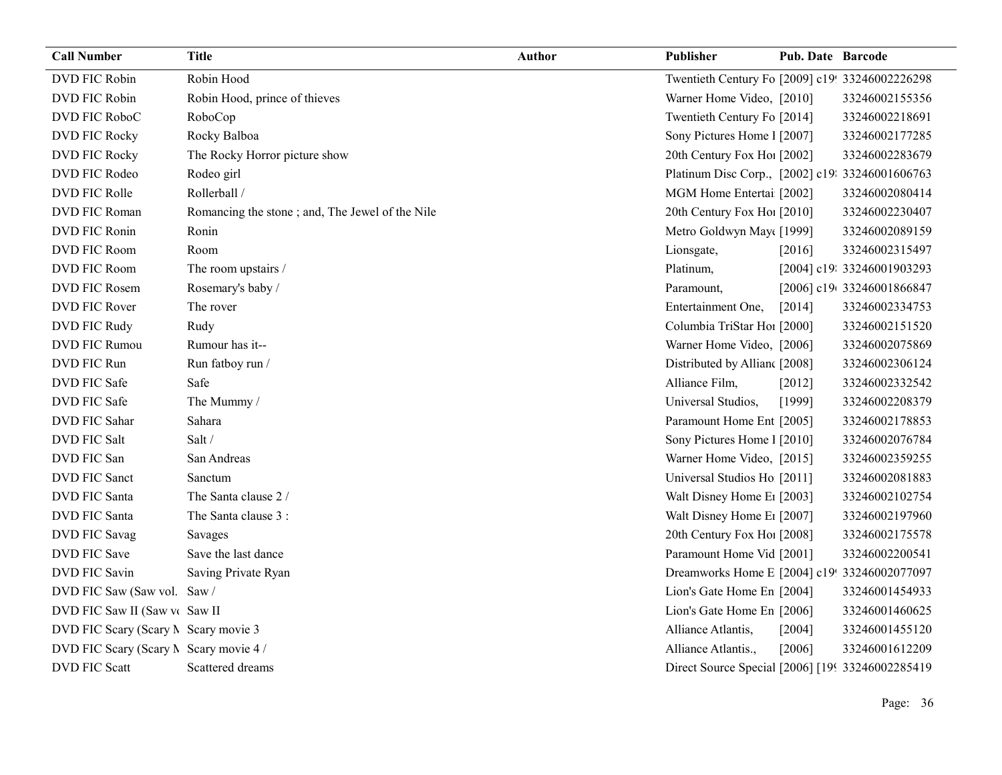| <b>Call Number</b>                     | <b>Title</b>                                    | <b>Author</b> | Publisher                                        | <b>Pub. Date Barcode</b> |                            |
|----------------------------------------|-------------------------------------------------|---------------|--------------------------------------------------|--------------------------|----------------------------|
| DVD FIC Robin                          | Robin Hood                                      |               | Twentieth Century Fo [2009] c19! 33246002226298  |                          |                            |
| DVD FIC Robin                          | Robin Hood, prince of thieves                   |               | Warner Home Video, [2010]                        |                          | 33246002155356             |
| DVD FIC RoboC                          | RoboCop                                         |               | Twentieth Century Fo [2014]                      |                          | 33246002218691             |
| DVD FIC Rocky                          | Rocky Balboa                                    |               | Sony Pictures Home 1 [2007]                      |                          | 33246002177285             |
| DVD FIC Rocky                          | The Rocky Horror picture show                   |               | 20th Century Fox Ho! [2002]                      |                          | 33246002283679             |
| DVD FIC Rodeo                          | Rodeo girl                                      |               | Platinum Disc Corp., [2002] c19: 33246001606763  |                          |                            |
| DVD FIC Rolle                          | Rollerball /                                    |               | MGM Home Entertai [2002]                         |                          | 33246002080414             |
| DVD FIC Roman                          | Romancing the stone; and, The Jewel of the Nile |               | 20th Century Fox Ho! [2010]                      |                          | 33246002230407             |
| DVD FIC Ronin                          | Ronin                                           |               | Metro Goldwyn May([1999]                         |                          | 33246002089159             |
| DVD FIC Room                           | Room                                            |               | Lionsgate,                                       | $[2016]$                 | 33246002315497             |
| DVD FIC Room                           | The room upstairs /                             |               | Platinum,                                        |                          | [2004] c19: 33246001903293 |
| DVD FIC Rosem                          | Rosemary's baby /                               |               | Paramount,                                       |                          | [2006] c19(33246001866847  |
| DVD FIC Rover                          | The rover                                       |               | Entertainment One,                               | [2014]                   | 33246002334753             |
| DVD FIC Rudy                           | Rudy                                            |               | Columbia TriStar Ho1 [2000]                      |                          | 33246002151520             |
| DVD FIC Rumou                          | Rumour has it--                                 |               | Warner Home Video, [2006]                        |                          | 33246002075869             |
| DVD FIC Run                            | Run fatboy run /                                |               | Distributed by Allian [2008]                     |                          | 33246002306124             |
| DVD FIC Safe                           | Safe                                            |               | Alliance Film,                                   | $[2012]$                 | 33246002332542             |
| DVD FIC Safe                           | The Mummy /                                     |               | Universal Studios,                               | [1999]                   | 33246002208379             |
| DVD FIC Sahar                          | Sahara                                          |               | Paramount Home Ent [2005]                        |                          | 33246002178853             |
| <b>DVD FIC Salt</b>                    | Salt /                                          |               | Sony Pictures Home 1 [2010]                      |                          | 33246002076784             |
| DVD FIC San                            | San Andreas                                     |               | Warner Home Video, [2015]                        |                          | 33246002359255             |
| DVD FIC Sanct                          | Sanctum                                         |               | Universal Studios Ho [2011]                      |                          | 33246002081883             |
| DVD FIC Santa                          | The Santa clause 2 /                            |               | Walt Disney Home E1 [2003]                       |                          | 33246002102754             |
| DVD FIC Santa                          | The Santa clause 3 :                            |               | Walt Disney Home E1 [2007]                       |                          | 33246002197960             |
| <b>DVD FIC Savag</b>                   | Savages                                         |               | 20th Century Fox Ho! [2008]                      |                          | 33246002175578             |
| <b>DVD FIC Save</b>                    | Save the last dance                             |               | Paramount Home Vid [2001]                        |                          | 33246002200541             |
| <b>DVD FIC Savin</b>                   | Saving Private Ryan                             |               | Dreamworks Home E [2004] c19! 33246002077097     |                          |                            |
| DVD FIC Saw (Saw vol. Saw /            |                                                 |               | Lion's Gate Home En [2004]                       |                          | 33246001454933             |
| DVD FIC Saw II (Saw v Saw II           |                                                 |               | Lion's Gate Home En [2006]                       |                          | 33246001460625             |
| DVD FIC Scary (Scary N Scary movie 3   |                                                 |               | Alliance Atlantis,                               | [2004]                   | 33246001455120             |
| DVD FIC Scary (Scary N Scary movie 4 / |                                                 |               | Alliance Atlantis.,                              | [2006]                   | 33246001612209             |
| DVD FIC Scatt                          | Scattered dreams                                |               | Direct Source Special [2006] [199 33246002285419 |                          |                            |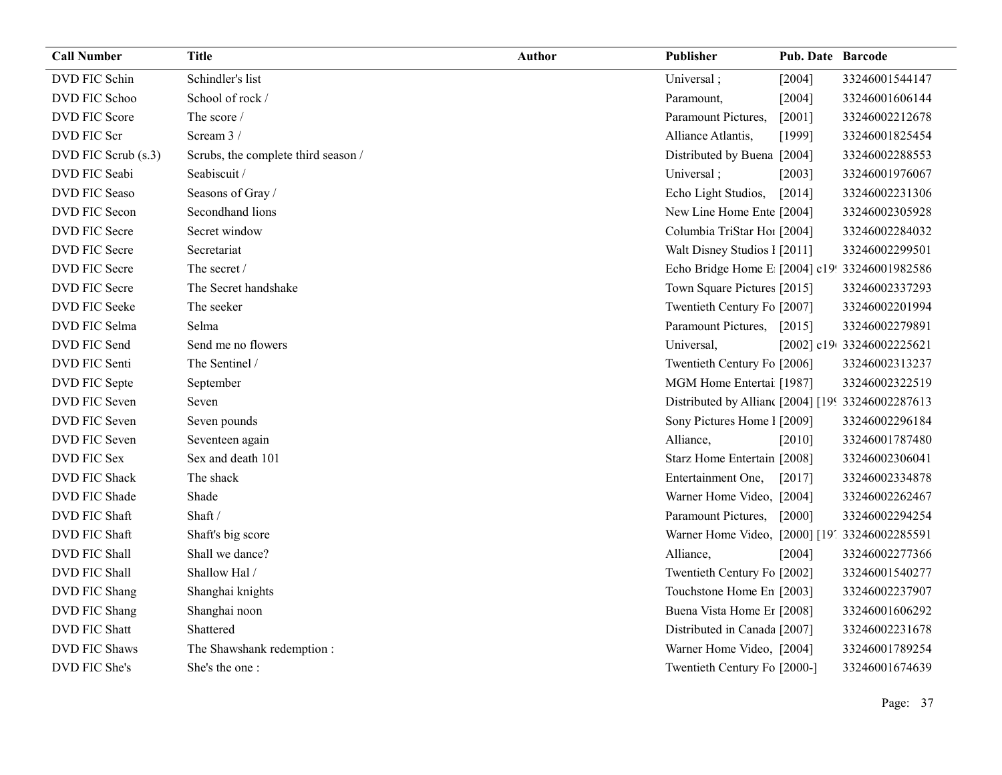| <b>Call Number</b>   | <b>Title</b>                        | <b>Author</b> | Publisher                                        | <b>Pub. Date Barcode</b> |                           |
|----------------------|-------------------------------------|---------------|--------------------------------------------------|--------------------------|---------------------------|
| DVD FIC Schin        | Schindler's list                    |               | Universal;                                       | [2004]                   | 33246001544147            |
| DVD FIC Schoo        | School of rock /                    |               | Paramount,                                       | [2004]                   | 33246001606144            |
| DVD FIC Score        | The score /                         |               | Paramount Pictures,                              | $[2001]$                 | 33246002212678            |
| DVD FIC Scr          | Scream 3/                           |               | Alliance Atlantis,                               | [1999]                   | 33246001825454            |
| DVD FIC Scrub (s.3)  | Scrubs, the complete third season / |               | Distributed by Buena [2004]                      |                          | 33246002288553            |
| DVD FIC Seabi        | Seabiscuit /                        |               | Universal;                                       | [2003]                   | 33246001976067            |
| <b>DVD FIC Seaso</b> | Seasons of Gray /                   |               | Echo Light Studios,                              | [2014]                   | 33246002231306            |
| DVD FIC Secon        | Secondhand lions                    |               | New Line Home Ente [2004]                        |                          | 33246002305928            |
| DVD FIC Secre        | Secret window                       |               | Columbia TriStar Ho1 [2004]                      |                          | 33246002284032            |
| DVD FIC Secre        | Secretariat                         |               | Walt Disney Studios 1 [2011]                     |                          | 33246002299501            |
| DVD FIC Secre        | The secret /                        |               | Echo Bridge Home E [2004] c19! 33246001982586    |                          |                           |
| DVD FIC Secre        | The Secret handshake                |               | Town Square Pictures [2015]                      |                          | 33246002337293            |
| DVD FIC Seeke        | The seeker                          |               | Twentieth Century Fo [2007]                      |                          | 33246002201994            |
| DVD FIC Selma        | Selma                               |               | Paramount Pictures,                              | [2015]                   | 33246002279891            |
| DVD FIC Send         | Send me no flowers                  |               | Universal,                                       |                          | [2002] c19(33246002225621 |
| DVD FIC Senti        | The Sentinel /                      |               | Twentieth Century Fo [2006]                      |                          | 33246002313237            |
| DVD FIC Septe        | September                           |               | MGM Home Entertai [1987]                         |                          | 33246002322519            |
| DVD FIC Seven        | Seven                               |               | Distributed by Allian [2004] [199 33246002287613 |                          |                           |
| DVD FIC Seven        | Seven pounds                        |               | Sony Pictures Home 1 [2009]                      |                          | 33246002296184            |
| DVD FIC Seven        | Seventeen again                     |               | Alliance,                                        | [2010]                   | 33246001787480            |
| DVD FIC Sex          | Sex and death 101                   |               | Starz Home Entertain [2008]                      |                          | 33246002306041            |
| DVD FIC Shack        | The shack                           |               | Entertainment One,                               | $[2017]$                 | 33246002334878            |
| DVD FIC Shade        | Shade                               |               | Warner Home Video, [2004]                        |                          | 33246002262467            |
| DVD FIC Shaft        | Shaft /                             |               | Paramount Pictures,                              | $[2000]$                 | 33246002294254            |
| DVD FIC Shaft        | Shaft's big score                   |               | Warner Home Video, [2000] [19] 33246002285591    |                          |                           |
| DVD FIC Shall        | Shall we dance?                     |               | Alliance,                                        | [2004]                   | 33246002277366            |
| DVD FIC Shall        | Shallow Hal /                       |               | Twentieth Century Fo [2002]                      |                          | 33246001540277            |
| DVD FIC Shang        | Shanghai knights                    |               | Touchstone Home En [2003]                        |                          | 33246002237907            |
| DVD FIC Shang        | Shanghai noon                       |               | Buena Vista Home Er [2008]                       |                          | 33246001606292            |
| DVD FIC Shatt        | Shattered                           |               | Distributed in Canada [2007]                     |                          | 33246002231678            |
| DVD FIC Shaws        | The Shawshank redemption:           |               | Warner Home Video, [2004]                        |                          | 33246001789254            |
| DVD FIC She's        | She's the one:                      |               | Twentieth Century Fo [2000-]                     |                          | 33246001674639            |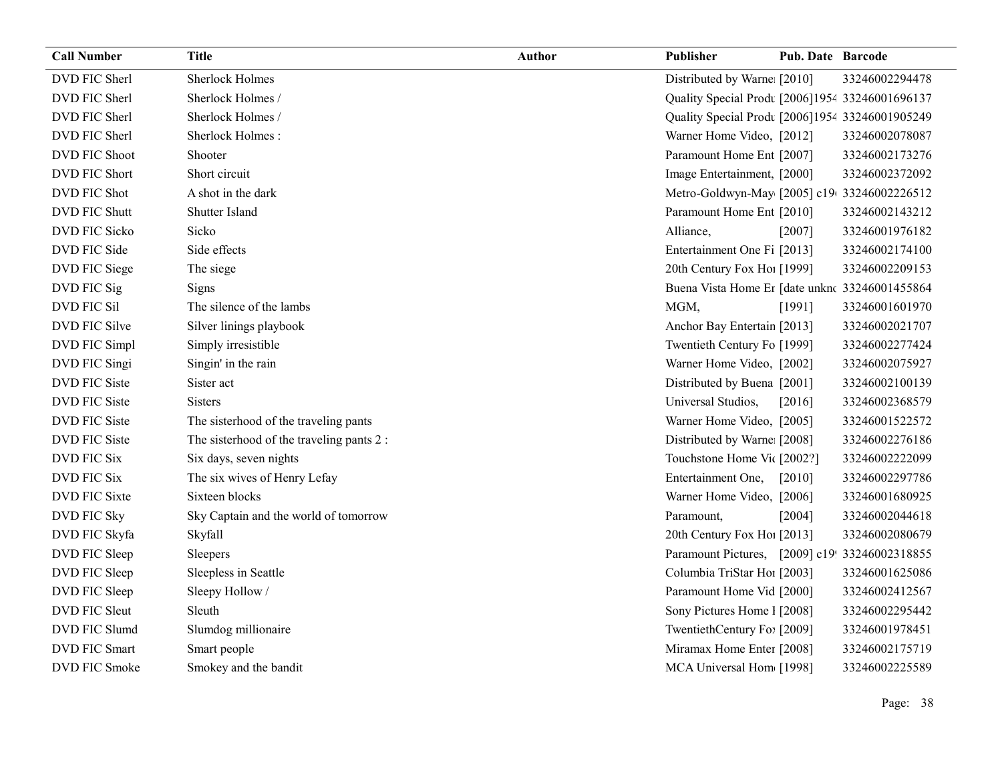| <b>Call Number</b>   | <b>Title</b>                              | <b>Author</b> | <b>Publisher</b>                                | Pub. Date Barcode |                |
|----------------------|-------------------------------------------|---------------|-------------------------------------------------|-------------------|----------------|
| DVD FIC Sherl        | <b>Sherlock Holmes</b>                    |               | Distributed by Warne [2010]                     |                   | 33246002294478 |
| DVD FIC Sherl        | Sherlock Holmes /                         |               | Quality Special Prodt [2006]1954 33246001696137 |                   |                |
| DVD FIC Sherl        | Sherlock Holmes /                         |               | Quality Special Prodt [2006]1954 33246001905249 |                   |                |
| DVD FIC Sherl        | Sherlock Holmes:                          |               | Warner Home Video, [2012]                       |                   | 33246002078087 |
| <b>DVD FIC Shoot</b> | Shooter                                   |               | Paramount Home Ent [2007]                       |                   | 33246002173276 |
| DVD FIC Short        | Short circuit                             |               | Image Entertainment, [2000]                     |                   | 33246002372092 |
| DVD FIC Shot         | A shot in the dark                        |               | Metro-Goldwyn-May [2005] c19(33246002226512     |                   |                |
| <b>DVD FIC Shutt</b> | Shutter Island                            |               | Paramount Home Ent [2010]                       |                   | 33246002143212 |
| DVD FIC Sicko        | Sicko                                     |               | Alliance,                                       | $[2007]$          | 33246001976182 |
| DVD FIC Side         | Side effects                              |               | Entertainment One Fi [2013]                     |                   | 33246002174100 |
| DVD FIC Siege        | The siege                                 |               | 20th Century Fox Ho! [1999]                     |                   | 33246002209153 |
| DVD FIC Sig          | Signs                                     |               | Buena Vista Home Er [date unknc 33246001455864  |                   |                |
| DVD FIC Sil          | The silence of the lambs                  |               | MGM,                                            | [1991]            | 33246001601970 |
| DVD FIC Silve        | Silver linings playbook                   |               | Anchor Bay Entertain [2013]                     |                   | 33246002021707 |
| DVD FIC Simpl        | Simply irresistible                       |               | Twentieth Century Fo [1999]                     |                   | 33246002277424 |
| DVD FIC Singi        | Singin' in the rain                       |               | Warner Home Video, [2002]                       |                   | 33246002075927 |
| DVD FIC Siste        | Sister act                                |               | Distributed by Buena [2001]                     |                   | 33246002100139 |
| <b>DVD FIC Siste</b> | Sisters                                   |               | Universal Studios,                              | [2016]            | 33246002368579 |
| DVD FIC Siste        | The sisterhood of the traveling pants     |               | Warner Home Video, [2005]                       |                   | 33246001522572 |
| <b>DVD FIC Siste</b> | The sisterhood of the traveling pants 2 : |               | Distributed by Warne [2008]                     |                   | 33246002276186 |
| <b>DVD FIC Six</b>   | Six days, seven nights                    |               | Touchstone Home Vic [2002?]                     |                   | 33246002222099 |
| <b>DVD FIC Six</b>   | The six wives of Henry Lefay              |               | Entertainment One,                              | $[2010]$          | 33246002297786 |
| <b>DVD FIC Sixte</b> | Sixteen blocks                            |               | Warner Home Video, [2006]                       |                   | 33246001680925 |
| DVD FIC Sky          | Sky Captain and the world of tomorrow     |               | Paramount,                                      | [2004]            | 33246002044618 |
| DVD FIC Skyfa        | Skyfall                                   |               | 20th Century Fox Ho! [2013]                     |                   | 33246002080679 |
| DVD FIC Sleep        | Sleepers                                  |               | Paramount Pictures, [2009] c19! 33246002318855  |                   |                |
| DVD FIC Sleep        | Sleepless in Seattle                      |               | Columbia TriStar Hoi [2003]                     |                   | 33246001625086 |
| DVD FIC Sleep        | Sleepy Hollow /                           |               | Paramount Home Vid [2000]                       |                   | 33246002412567 |
| DVD FIC Sleut        | Sleuth                                    |               | Sony Pictures Home 1 [2008]                     |                   | 33246002295442 |
| DVD FIC Slumd        | Slumdog millionaire                       |               | TwentiethCentury Fo: [2009]                     |                   | 33246001978451 |
| <b>DVD FIC Smart</b> | Smart people                              |               | Miramax Home Enter [2008]                       |                   | 33246002175719 |
| DVD FIC Smoke        | Smokey and the bandit                     |               | MCA Universal Hom [1998]                        |                   | 33246002225589 |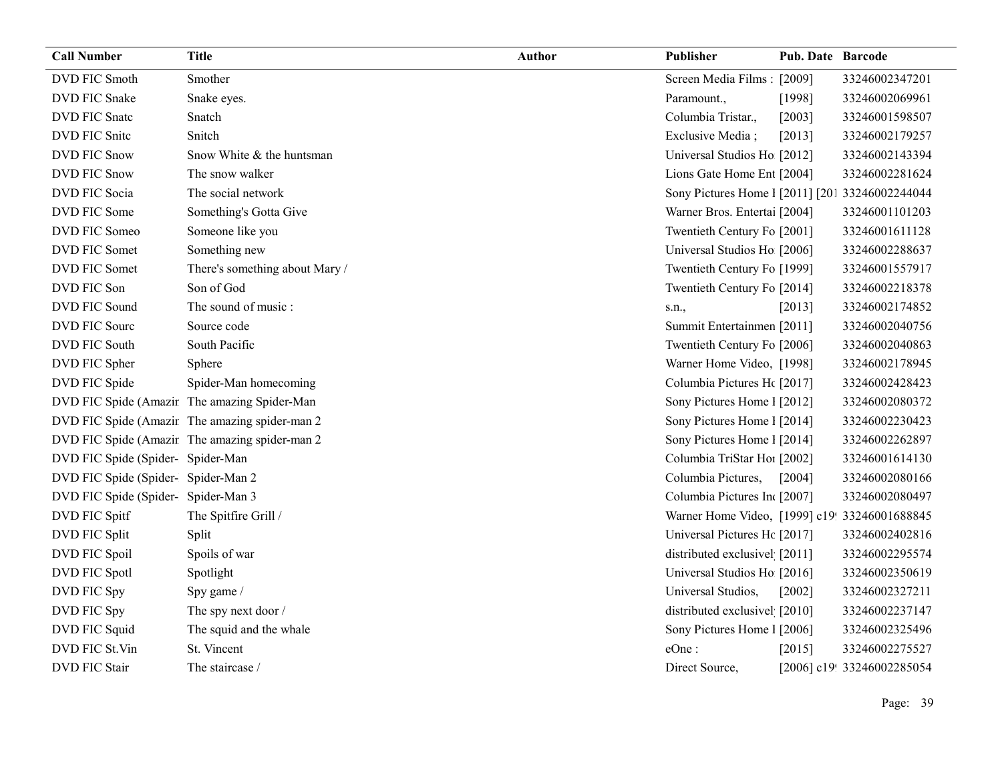| <b>Call Number</b>                  | <b>Title</b>                                   | <b>Author</b> | Publisher                                       | <b>Pub. Date Barcode</b> |                            |
|-------------------------------------|------------------------------------------------|---------------|-------------------------------------------------|--------------------------|----------------------------|
| DVD FIC Smoth                       | Smother                                        |               | Screen Media Films: [2009]                      |                          | 33246002347201             |
| <b>DVD FIC Snake</b>                | Snake eyes.                                    |               | Paramount.,                                     | [1998]                   | 33246002069961             |
| DVD FIC Snatc                       | Snatch                                         |               | Columbia Tristar.,                              | [2003]                   | 33246001598507             |
| DVD FIC Snite                       | Snitch                                         |               | Exclusive Media;                                | [2013]                   | 33246002179257             |
| <b>DVD FIC Snow</b>                 | Snow White & the huntsman                      |               | Universal Studios Ho [2012]                     |                          | 33246002143394             |
| <b>DVD FIC Snow</b>                 | The snow walker                                |               | Lions Gate Home Ent [2004]                      |                          | 33246002281624             |
| DVD FIC Socia                       | The social network                             |               | Sony Pictures Home 1 [2011] [201 33246002244044 |                          |                            |
| DVD FIC Some                        | Something's Gotta Give                         |               | Warner Bros. Entertai [2004]                    |                          | 33246001101203             |
| DVD FIC Someo                       | Someone like you                               |               | Twentieth Century Fo [2001]                     |                          | 33246001611128             |
| DVD FIC Somet                       | Something new                                  |               | Universal Studios Ho [2006]                     |                          | 33246002288637             |
| DVD FIC Somet                       | There's something about Mary /                 |               | Twentieth Century Fo [1999]                     |                          | 33246001557917             |
| DVD FIC Son                         | Son of God                                     |               | Twentieth Century Fo [2014]                     |                          | 33246002218378             |
| DVD FIC Sound                       | The sound of music :                           |               | s.n.,                                           | [2013]                   | 33246002174852             |
| DVD FIC Sourc                       | Source code                                    |               | Summit Entertainmen [2011]                      |                          | 33246002040756             |
| DVD FIC South                       | South Pacific                                  |               | Twentieth Century Fo [2006]                     |                          | 33246002040863             |
| DVD FIC Spher                       | Sphere                                         |               | Warner Home Video, [1998]                       |                          | 33246002178945             |
| DVD FIC Spide                       | Spider-Man homecoming                          |               | Columbia Pictures H([2017]                      |                          | 33246002428423             |
|                                     | DVD FIC Spide (Amazir The amazing Spider-Man   |               | Sony Pictures Home 1 [2012]                     |                          | 33246002080372             |
|                                     | DVD FIC Spide (Amazir The amazing spider-man 2 |               | Sony Pictures Home 1 [2014]                     |                          | 33246002230423             |
|                                     | DVD FIC Spide (Amazir The amazing spider-man 2 |               | Sony Pictures Home 1 [2014]                     |                          | 33246002262897             |
| DVD FIC Spide (Spider- Spider-Man   |                                                |               | Columbia TriStar Ho1 [2002]                     |                          | 33246001614130             |
| DVD FIC Spide (Spider- Spider-Man 2 |                                                |               | Columbia Pictures,                              | [2004]                   | 33246002080166             |
| DVD FIC Spide (Spider- Spider-Man 3 |                                                |               | Columbia Pictures In [2007]                     |                          | 33246002080497             |
| DVD FIC Spitf                       | The Spitfire Grill /                           |               | Warner Home Video, [1999] c19! 33246001688845   |                          |                            |
| DVD FIC Split                       | Split                                          |               | Universal Pictures Hc [2017]                    |                          | 33246002402816             |
| DVD FIC Spoil                       | Spoils of war                                  |               | distributed exclusivel [2011]                   |                          | 33246002295574             |
| DVD FIC Spotl                       | Spotlight                                      |               | Universal Studios Ho [2016]                     |                          | 33246002350619             |
| DVD FIC Spy                         | Spy game /                                     |               | Universal Studios,                              | [2002]                   | 33246002327211             |
| DVD FIC Spy                         | The spy next door /                            |               | distributed exclusivel [2010]                   |                          | 33246002237147             |
| DVD FIC Squid                       | The squid and the whale                        |               | Sony Pictures Home 1 [2006]                     |                          | 33246002325496             |
| DVD FIC St.Vin                      | St. Vincent                                    |               | eOne:                                           | [2015]                   | 33246002275527             |
| <b>DVD FIC Stair</b>                | The staircase /                                |               | Direct Source,                                  |                          | [2006] c19! 33246002285054 |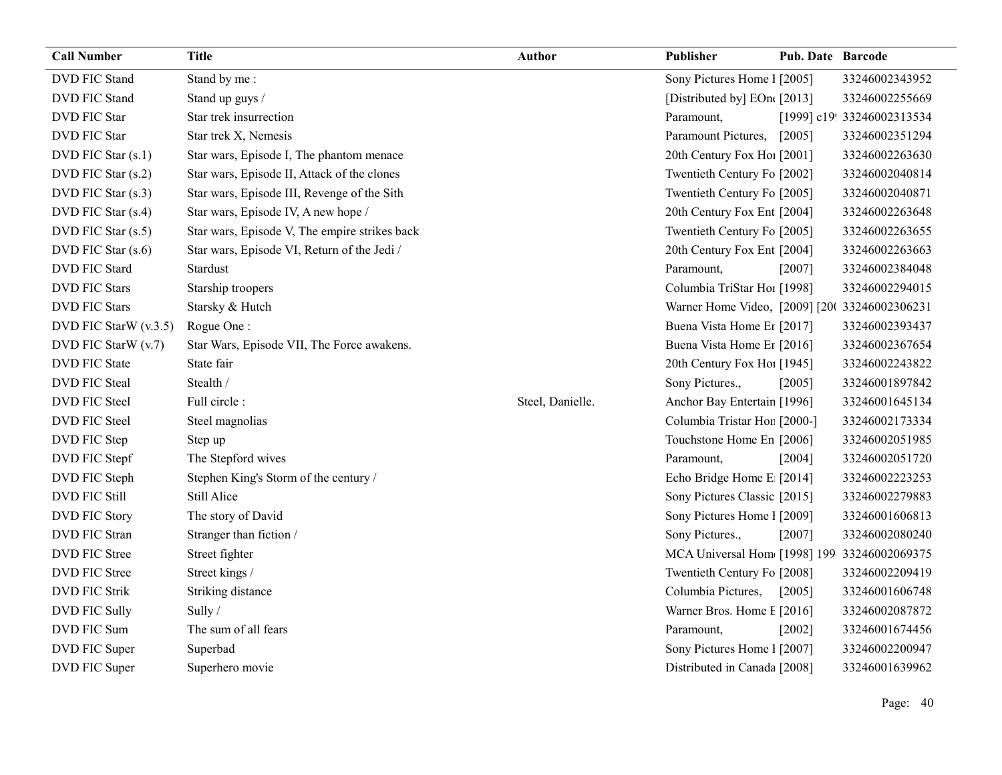| <b>Call Number</b>    | <b>Title</b>                                  | <b>Author</b>    | Publisher                                     | <b>Pub. Date Barcode</b> |                            |
|-----------------------|-----------------------------------------------|------------------|-----------------------------------------------|--------------------------|----------------------------|
| <b>DVD FIC Stand</b>  | Stand by me:                                  |                  | Sony Pictures Home 1 [2005]                   |                          | 33246002343952             |
| DVD FIC Stand         | Stand up guys /                               |                  | [Distributed by] EOn([2013]                   |                          | 33246002255669             |
| <b>DVD FIC Star</b>   | Star trek insurrection                        |                  | Paramount,                                    |                          | [1999] c19! 33246002313534 |
| <b>DVD FIC Star</b>   | Star trek X, Nemesis                          |                  | Paramount Pictures,                           | [2005]                   | 33246002351294             |
| DVD FIC Star (s.1)    | Star wars, Episode I, The phantom menace      |                  | 20th Century Fox Ho! [2001]                   |                          | 33246002263630             |
| DVD FIC Star (s.2)    | Star wars, Episode II, Attack of the clones   |                  | Twentieth Century Fo [2002]                   |                          | 33246002040814             |
| DVD FIC Star (s.3)    | Star wars, Episode III, Revenge of the Sith   |                  | Twentieth Century Fo [2005]                   |                          | 33246002040871             |
| DVD FIC Star (s.4)    | Star wars, Episode IV, A new hope /           |                  | 20th Century Fox Ent [2004]                   |                          | 33246002263648             |
| DVD FIC Star (s.5)    | Star wars, Episode V, The empire strikes back |                  | Twentieth Century Fo [2005]                   |                          | 33246002263655             |
| DVD FIC Star (s.6)    | Star wars, Episode VI, Return of the Jedi /   |                  | 20th Century Fox Ent [2004]                   |                          | 33246002263663             |
| <b>DVD FIC Stard</b>  | Stardust                                      |                  | Paramount,                                    | [2007]                   | 33246002384048             |
| <b>DVD FIC Stars</b>  | Starship troopers                             |                  | Columbia TriStar Hoi [1998]                   |                          | 33246002294015             |
| <b>DVD FIC Stars</b>  | Starsky & Hutch                               |                  | Warner Home Video, [2009] [20( 33246002306231 |                          |                            |
| DVD FIC StarW (v.3.5) | Rogue One:                                    |                  | Buena Vista Home Er [2017]                    |                          | 33246002393437             |
| DVD FIC StarW (v.7)   | Star Wars, Episode VII, The Force awakens.    |                  | Buena Vista Home Er [2016]                    |                          | 33246002367654             |
| <b>DVD FIC State</b>  | State fair                                    |                  | 20th Century Fox Ho! [1945]                   |                          | 33246002243822             |
| <b>DVD FIC Steal</b>  | Stealth /                                     |                  | Sony Pictures.,                               | [2005]                   | 33246001897842             |
| <b>DVD FIC Steel</b>  | Full circle:                                  | Steel, Danielle. | Anchor Bay Entertain [1996]                   |                          | 33246001645134             |
| DVD FIC Steel         | Steel magnolias                               |                  | Columbia Tristar Hor [2000-]                  |                          | 33246002173334             |
| DVD FIC Step          | Step up                                       |                  | Touchstone Home En [2006]                     |                          | 33246002051985             |
| DVD FIC Stepf         | The Stepford wives                            |                  | Paramount,                                    | [2004]                   | 33246002051720             |
| DVD FIC Steph         | Stephen King's Storm of the century /         |                  | Echo Bridge Home E [2014]                     |                          | 33246002223253             |
| <b>DVD FIC Still</b>  | Still Alice                                   |                  | Sony Pictures Classic [2015]                  |                          | 33246002279883             |
| <b>DVD FIC Story</b>  | The story of David                            |                  | Sony Pictures Home 1 [2009]                   |                          | 33246001606813             |
| DVD FIC Stran         | Stranger than fiction /                       |                  | Sony Pictures.,                               | [2007]                   | 33246002080240             |
| DVD FIC Stree         | Street fighter                                |                  | MCA Universal Hom [1998] 199-33246002069375   |                          |                            |
| DVD FIC Stree         | Street kings /                                |                  | Twentieth Century Fo [2008]                   |                          | 33246002209419             |
| <b>DVD FIC Strik</b>  | Striking distance                             |                  | Columbia Pictures,                            | $[2005]$                 | 33246001606748             |
| DVD FIC Sully         | Sully /                                       |                  | Warner Bros. Home I [2016]                    |                          | 33246002087872             |
| DVD FIC Sum           | The sum of all fears                          |                  | Paramount,                                    | $[2002]$                 | 33246001674456             |
| DVD FIC Super         | Superbad                                      |                  | Sony Pictures Home 1 [2007]                   |                          | 33246002200947             |
| DVD FIC Super         | Superhero movie                               |                  | Distributed in Canada [2008]                  |                          | 33246001639962             |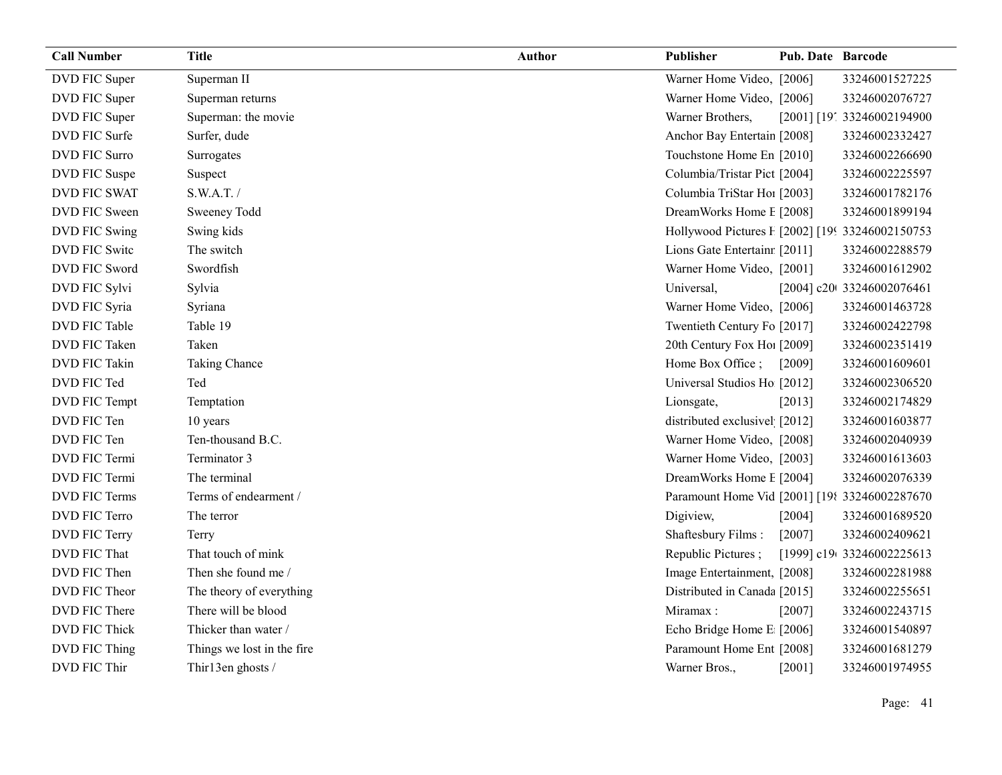| <b>Call Number</b>   | <b>Title</b>               | <b>Author</b> | Publisher                                       | <b>Pub. Date Barcode</b> |                            |
|----------------------|----------------------------|---------------|-------------------------------------------------|--------------------------|----------------------------|
| DVD FIC Super        | Superman II                |               | Warner Home Video, [2006]                       |                          | 33246001527225             |
| DVD FIC Super        | Superman returns           |               | Warner Home Video, [2006]                       |                          | 33246002076727             |
| DVD FIC Super        | Superman: the movie        |               | Warner Brothers,                                |                          | [2001] [19] 33246002194900 |
| DVD FIC Surfe        | Surfer, dude               |               | Anchor Bay Entertain [2008]                     |                          | 33246002332427             |
| <b>DVD FIC Surro</b> | Surrogates                 |               | Touchstone Home En [2010]                       |                          | 33246002266690             |
| DVD FIC Suspe        | Suspect                    |               | Columbia/Tristar Pict [2004]                    |                          | 33246002225597             |
| DVD FIC SWAT         | S.W.A.T./                  |               | Columbia TriStar Ho1 [2003]                     |                          | 33246001782176             |
| DVD FIC Sween        | Sweeney Todd               |               | DreamWorks Home E [2008]                        |                          | 33246001899194             |
| DVD FIC Swing        | Swing kids                 |               | Hollywood Pictures F [2002] [199 33246002150753 |                          |                            |
| DVD FIC Switc        | The switch                 |               | Lions Gate Entertainr [2011]                    |                          | 33246002288579             |
| DVD FIC Sword        | Swordfish                  |               | Warner Home Video, [2001]                       |                          | 33246001612902             |
| DVD FIC Sylvi        | Sylvia                     |               | Universal,                                      |                          | [2004] c20t 33246002076461 |
| DVD FIC Syria        | Syriana                    |               | Warner Home Video, [2006]                       |                          | 33246001463728             |
| DVD FIC Table        | Table 19                   |               | Twentieth Century Fo [2017]                     |                          | 33246002422798             |
| DVD FIC Taken        | Taken                      |               | 20th Century Fox Ho! [2009]                     |                          | 33246002351419             |
| DVD FIC Takin        | Taking Chance              |               | Home Box Office;                                | [2009]                   | 33246001609601             |
| DVD FIC Ted          | Ted                        |               | Universal Studios Ho [2012]                     |                          | 33246002306520             |
| DVD FIC Tempt        | Temptation                 |               | Lionsgate,                                      | [2013]                   | 33246002174829             |
| DVD FIC Ten          | 10 years                   |               | distributed exclusivel [2012]                   |                          | 33246001603877             |
| DVD FIC Ten          | Ten-thousand B.C.          |               | Warner Home Video, [2008]                       |                          | 33246002040939             |
| DVD FIC Termi        | Terminator 3               |               | Warner Home Video, [2003]                       |                          | 33246001613603             |
| DVD FIC Termi        | The terminal               |               | DreamWorks Home E [2004]                        |                          | 33246002076339             |
| DVD FIC Terms        | Terms of endearment /      |               | Paramount Home Vid [2001] [198 33246002287670   |                          |                            |
| DVD FIC Terro        | The terror                 |               | Digiview,                                       | [2004]                   | 33246001689520             |
| DVD FIC Terry        | Terry                      |               | Shaftesbury Films:                              | [2007]                   | 33246002409621             |
| DVD FIC That         | That touch of mink         |               | Republic Pictures;                              |                          | [1999] c19(33246002225613  |
| DVD FIC Then         | Then she found me /        |               | Image Entertainment, [2008]                     |                          | 33246002281988             |
| DVD FIC Theor        | The theory of everything   |               | Distributed in Canada [2015]                    |                          | 33246002255651             |
| DVD FIC There        | There will be blood        |               | Miramax:                                        | [2007]                   | 33246002243715             |
| DVD FIC Thick        | Thicker than water /       |               | Echo Bridge Home E [2006]                       |                          | 33246001540897             |
| DVD FIC Thing        | Things we lost in the fire |               | Paramount Home Ent [2008]                       |                          | 33246001681279             |
| DVD FIC Thir         | Thir13en ghosts /          |               | Warner Bros.,                                   | [2001]                   | 33246001974955             |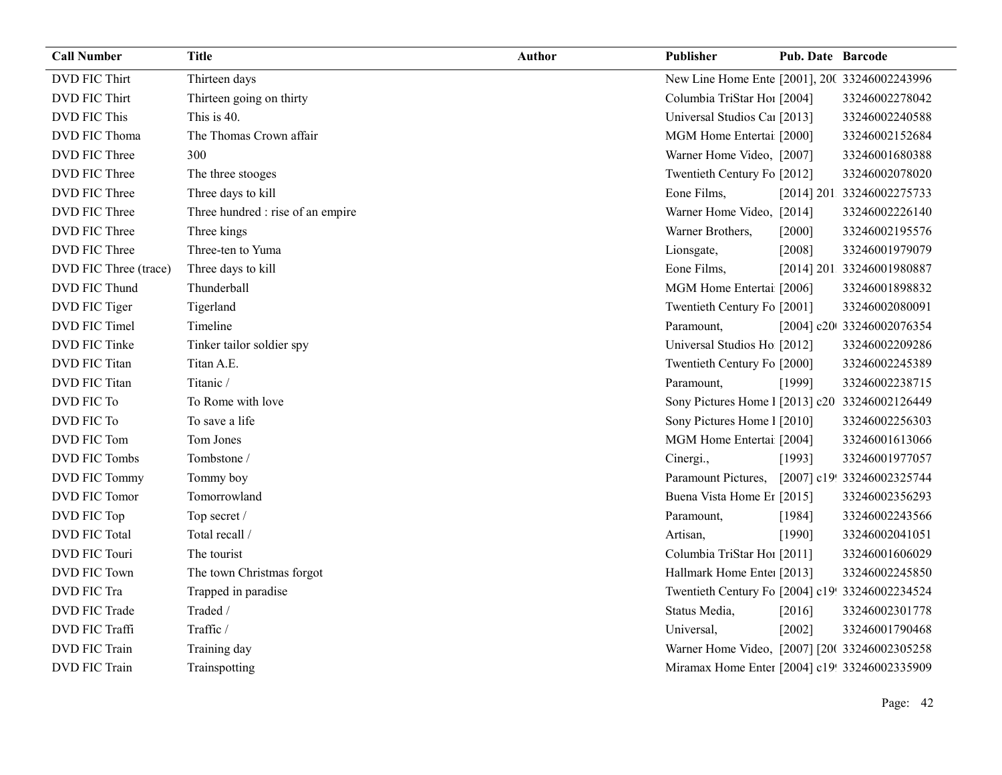| <b>Call Number</b>    | <b>Title</b>                      | <b>Author</b> | Publisher                                       | <b>Pub. Date Barcode</b> |                            |
|-----------------------|-----------------------------------|---------------|-------------------------------------------------|--------------------------|----------------------------|
| <b>DVD FIC Thirt</b>  | Thirteen days                     |               | New Line Home Ente [2001], 200 33246002243996   |                          |                            |
| <b>DVD FIC Thirt</b>  | Thirteen going on thirty          |               | Columbia TriStar Ho1 [2004]                     |                          | 33246002278042             |
| <b>DVD FIC This</b>   | This is 40.                       |               | Universal Studios Car [2013]                    |                          | 33246002240588             |
| DVD FIC Thoma         | The Thomas Crown affair           |               | MGM Home Entertai [2000]                        |                          | 33246002152684             |
| DVD FIC Three         | 300                               |               | Warner Home Video, [2007]                       |                          | 33246001680388             |
| DVD FIC Three         | The three stooges                 |               | Twentieth Century Fo [2012]                     |                          | 33246002078020             |
| DVD FIC Three         | Three days to kill                |               | Eone Films,                                     |                          | [2014] 201 33246002275733  |
| DVD FIC Three         | Three hundred : rise of an empire |               | Warner Home Video, [2014]                       |                          | 33246002226140             |
| DVD FIC Three         | Three kings                       |               | Warner Brothers,                                | [2000]                   | 33246002195576             |
| DVD FIC Three         | Three-ten to Yuma                 |               | Lionsgate,                                      | [2008]                   | 33246001979079             |
| DVD FIC Three (trace) | Three days to kill                |               | Eone Films,                                     |                          | [2014] 201 33246001980887  |
| DVD FIC Thund         | Thunderball                       |               | MGM Home Entertai [2006]                        |                          | 33246001898832             |
| DVD FIC Tiger         | Tigerland                         |               | Twentieth Century Fo [2001]                     |                          | 33246002080091             |
| DVD FIC Timel         | Timeline                          |               | Paramount,                                      |                          | [2004] c20 33246002076354  |
| DVD FIC Tinke         | Tinker tailor soldier spy         |               | Universal Studios Ho [2012]                     |                          | 33246002209286             |
| DVD FIC Titan         | Titan A.E.                        |               | Twentieth Century Fo [2000]                     |                          | 33246002245389             |
| DVD FIC Titan         | Titanic /                         |               | Paramount,                                      | [1999]                   | 33246002238715             |
| DVD FIC To            | To Rome with love                 |               | Sony Pictures Home 1 [2013] c20 33246002126449  |                          |                            |
| DVD FIC To            | To save a life                    |               | Sony Pictures Home 1 [2010]                     |                          | 33246002256303             |
| DVD FIC Tom           | Tom Jones                         |               | MGM Home Entertai [2004]                        |                          | 33246001613066             |
| DVD FIC Tombs         | Tombstone /                       |               | Cinergi.,                                       | [1993]                   | 33246001977057             |
| <b>DVD FIC Tommy</b>  | Tommy boy                         |               | Paramount Pictures,                             |                          | [2007] c19! 33246002325744 |
| DVD FIC Tomor         | Tomorrowland                      |               | Buena Vista Home Er [2015]                      |                          | 33246002356293             |
| DVD FIC Top           | Top secret /                      |               | Paramount,                                      | [1984]                   | 33246002243566             |
| <b>DVD FIC Total</b>  | Total recall /                    |               | Artisan,                                        | [1990]                   | 33246002041051             |
| DVD FIC Touri         | The tourist                       |               | Columbia TriStar Hoi [2011]                     |                          | 33246001606029             |
| <b>DVD FIC Town</b>   | The town Christmas forgot         |               | Hallmark Home Enter [2013]                      |                          | 33246002245850             |
| DVD FIC Tra           | Trapped in paradise               |               | Twentieth Century Fo [2004] c19! 33246002234524 |                          |                            |
| DVD FIC Trade         | Traded /                          |               | Status Media,                                   | [2016]                   | 33246002301778             |
| DVD FIC Traffi        | Traffic /                         |               | Universal,                                      | [2002]                   | 33246001790468             |
| DVD FIC Train         | Training day                      |               | Warner Home Video, [2007] [20( 33246002305258   |                          |                            |
| <b>DVD FIC Train</b>  | Trainspotting                     |               | Miramax Home Enter [2004] c19! 33246002335909   |                          |                            |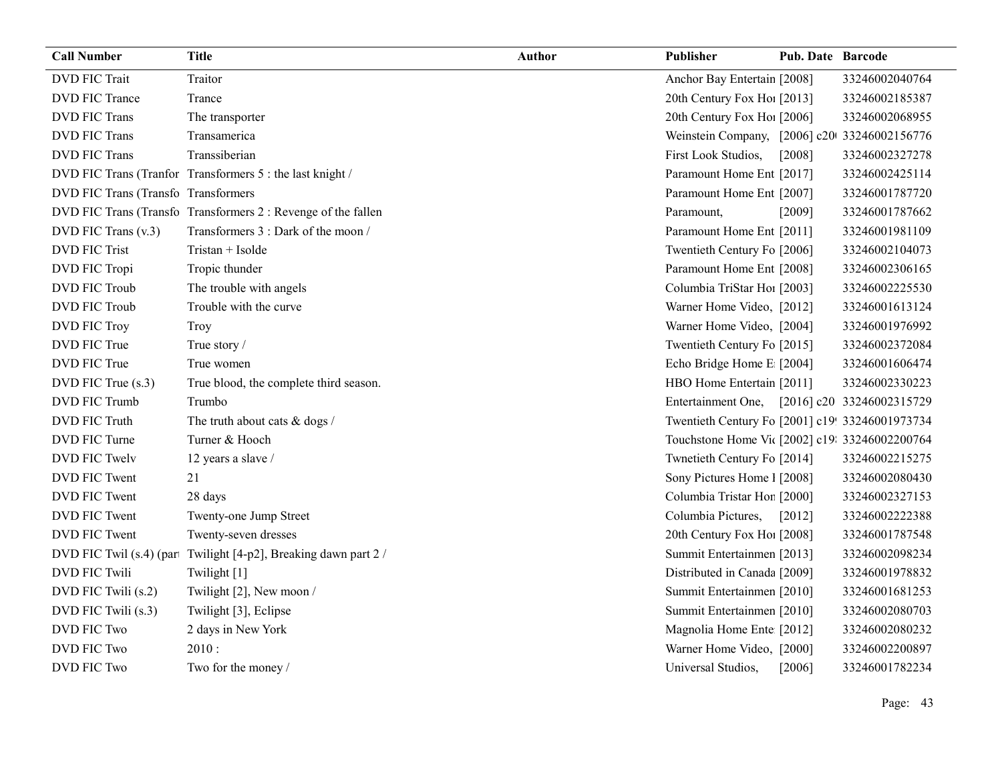| <b>Call Number</b>           | <b>Title</b>                                              | <b>Author</b> | Publisher                                       | <b>Pub. Date Barcode</b> |                           |
|------------------------------|-----------------------------------------------------------|---------------|-------------------------------------------------|--------------------------|---------------------------|
| <b>DVD FIC Trait</b>         | Traitor                                                   |               | Anchor Bay Entertain [2008]                     |                          | 33246002040764            |
| <b>DVD FIC Trance</b>        | Trance                                                    |               | 20th Century Fox Ho! [2013]                     |                          | 33246002185387            |
| <b>DVD FIC Trans</b>         | The transporter                                           |               | 20th Century Fox Ho! [2006]                     |                          | 33246002068955            |
| <b>DVD FIC Trans</b>         | Transamerica                                              |               | Weinstein Company, [2006] c20 33246002156776    |                          |                           |
| <b>DVD FIC Trans</b>         | Transsiberian                                             |               | First Look Studios,                             | [2008]                   | 33246002327278            |
|                              | DVD FIC Trans (Tranfor Transformers 5 : the last knight / |               | Paramount Home Ent [2017]                       |                          | 33246002425114            |
| DVD FIC Trans (Transformers) |                                                           |               | Paramount Home Ent [2007]                       |                          | 33246001787720            |
|                              | DVD FIC Trans (Transformers 2: Revenge of the fallen      |               | Paramount,                                      | [2009]                   | 33246001787662            |
| DVD FIC Trans (v.3)          | Transformers 3 : Dark of the moon /                       |               | Paramount Home Ent [2011]                       |                          | 33246001981109            |
| <b>DVD FIC Trist</b>         | Tristan + Isolde                                          |               | Twentieth Century Fo [2006]                     |                          | 33246002104073            |
| DVD FIC Tropi                | Tropic thunder                                            |               | Paramount Home Ent [2008]                       |                          | 33246002306165            |
| DVD FIC Troub                | The trouble with angels                                   |               | Columbia TriStar Hoi [2003]                     |                          | 33246002225530            |
| <b>DVD FIC Troub</b>         | Trouble with the curve                                    |               | Warner Home Video, [2012]                       |                          | 33246001613124            |
| <b>DVD FIC Troy</b>          | Troy                                                      |               | Warner Home Video, [2004]                       |                          | 33246001976992            |
| DVD FIC True                 | True story /                                              |               | Twentieth Century Fo [2015]                     |                          | 33246002372084            |
| DVD FIC True                 | True women                                                |               | Echo Bridge Home E [2004]                       |                          | 33246001606474            |
| DVD FIC True (s.3)           | True blood, the complete third season.                    |               | HBO Home Entertain [2011]                       |                          | 33246002330223            |
| DVD FIC Trumb                | Trumbo                                                    |               | Entertainment One,                              |                          | [2016] c20 33246002315729 |
| <b>DVD FIC Truth</b>         | The truth about cats & dogs /                             |               | Twentieth Century Fo [2001] c19! 33246001973734 |                          |                           |
| DVD FIC Turne                | Turner & Hooch                                            |               | Touchstone Home Vic [2002] c19: 33246002200764  |                          |                           |
| <b>DVD FIC Twelv</b>         | 12 years a slave /                                        |               | Twnetieth Century Fo [2014]                     |                          | 33246002215275            |
| DVD FIC Twent                | 21                                                        |               | Sony Pictures Home 1 [2008]                     |                          | 33246002080430            |
| DVD FIC Twent                | 28 days                                                   |               | Columbia Tristar Hor [2000]                     |                          | 33246002327153            |
| DVD FIC Twent                | Twenty-one Jump Street                                    |               | Columbia Pictures,                              | $[2012]$                 | 33246002222388            |
| DVD FIC Twent                | Twenty-seven dresses                                      |               | 20th Century Fox Ho! [2008]                     |                          | 33246001787548            |
| DVD FIC Twil (s.4) (par      | Twilight [4-p2], Breaking dawn part 2 /                   |               | Summit Entertainmen [2013]                      |                          | 33246002098234            |
| <b>DVD FIC Twili</b>         | Twilight [1]                                              |               | Distributed in Canada [2009]                    |                          | 33246001978832            |
| DVD FIC Twili (s.2)          | Twilight [2], New moon /                                  |               | Summit Entertainmen [2010]                      |                          | 33246001681253            |
| DVD FIC Twili (s.3)          | Twilight [3], Eclipse                                     |               | Summit Entertainmen [2010]                      |                          | 33246002080703            |
| <b>DVD FIC Two</b>           | 2 days in New York                                        |               | Magnolia Home Ente [2012]                       |                          | 33246002080232            |
| <b>DVD FIC Two</b>           | 2010:                                                     |               | Warner Home Video, [2000]                       |                          | 33246002200897            |
| DVD FIC Two                  | Two for the money /                                       |               | Universal Studios,                              | [2006]                   | 33246001782234            |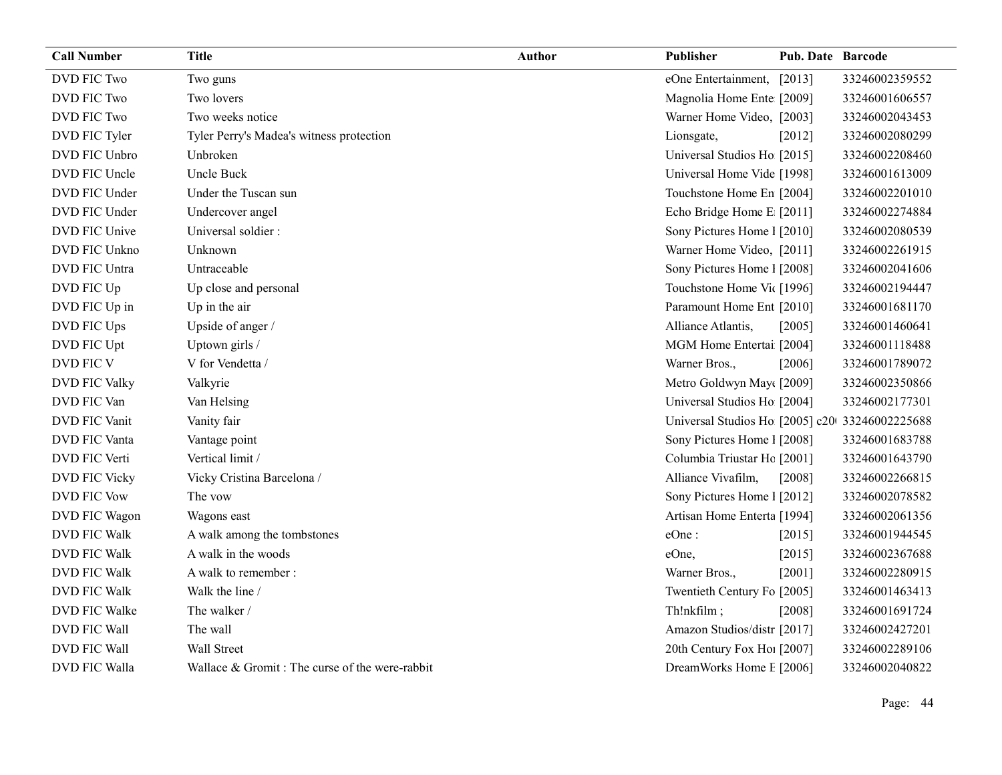| <b>Call Number</b>   | <b>Title</b>                                   | Author | Publisher                                      | <b>Pub. Date Barcode</b> |                |
|----------------------|------------------------------------------------|--------|------------------------------------------------|--------------------------|----------------|
| DVD FIC Two          | Two guns                                       |        | eOne Entertainment, [2013]                     |                          | 33246002359552 |
| DVD FIC Two          | Two lovers                                     |        | Magnolia Home Ente [2009]                      |                          | 33246001606557 |
| <b>DVD FIC Two</b>   | Two weeks notice                               |        | Warner Home Video, [2003]                      |                          | 33246002043453 |
| DVD FIC Tyler        | Tyler Perry's Madea's witness protection       |        | Lionsgate,                                     | [2012]                   | 33246002080299 |
| DVD FIC Unbro        | Unbroken                                       |        | Universal Studios Ho [2015]                    |                          | 33246002208460 |
| DVD FIC Uncle        | Uncle Buck                                     |        | Universal Home Vide [1998]                     |                          | 33246001613009 |
| DVD FIC Under        | Under the Tuscan sun                           |        | Touchstone Home En [2004]                      |                          | 33246002201010 |
| DVD FIC Under        | Undercover angel                               |        | Echo Bridge Home E [2011]                      |                          | 33246002274884 |
| DVD FIC Unive        | Universal soldier:                             |        | Sony Pictures Home 1 [2010]                    |                          | 33246002080539 |
| DVD FIC Unkno        | Unknown                                        |        | Warner Home Video, [2011]                      |                          | 33246002261915 |
| DVD FIC Untra        | Untraceable                                    |        | Sony Pictures Home 1 [2008]                    |                          | 33246002041606 |
| DVD FIC Up           | Up close and personal                          |        | Touchstone Home Vic [1996]                     |                          | 33246002194447 |
| DVD FIC Up in        | Up in the air                                  |        | Paramount Home Ent [2010]                      |                          | 33246001681170 |
| DVD FIC Ups          | Upside of anger /                              |        | Alliance Atlantis,                             | [2005]                   | 33246001460641 |
| DVD FIC Upt          | Uptown girls /                                 |        | MGM Home Entertai [2004]                       |                          | 33246001118488 |
| DVD FIC V            | V for Vendetta /                               |        | Warner Bros.,                                  | [2006]                   | 33246001789072 |
| <b>DVD FIC Valky</b> | Valkyrie                                       |        | Metro Goldwyn May([2009]                       |                          | 33246002350866 |
| DVD FIC Van          | Van Helsing                                    |        | Universal Studios Ho [2004]                    |                          | 33246002177301 |
| DVD FIC Vanit        | Vanity fair                                    |        | Universal Studios Ho [2005] c20 33246002225688 |                          |                |
| DVD FIC Vanta        | Vantage point                                  |        | Sony Pictures Home 1 [2008]                    |                          | 33246001683788 |
| DVD FIC Verti        | Vertical limit /                               |        | Columbia Triustar Hc [2001]                    |                          | 33246001643790 |
| DVD FIC Vicky        | Vicky Cristina Barcelona /                     |        | Alliance Vivafilm,                             | [2008]                   | 33246002266815 |
| <b>DVD FIC Vow</b>   | The vow                                        |        | Sony Pictures Home 1 [2012]                    |                          | 33246002078582 |
| DVD FIC Wagon        | Wagons east                                    |        | Artisan Home Enterta [1994]                    |                          | 33246002061356 |
| DVD FIC Walk         | A walk among the tombstones                    |        | eOne:                                          | [2015]                   | 33246001944545 |
| DVD FIC Walk         | A walk in the woods                            |        | eOne,                                          | [2015]                   | 33246002367688 |
| <b>DVD FIC Walk</b>  | A walk to remember :                           |        | Warner Bros.,                                  | [2001]                   | 33246002280915 |
| DVD FIC Walk         | Walk the line /                                |        | Twentieth Century Fo [2005]                    |                          | 33246001463413 |
| DVD FIC Walke        | The walker /                                   |        | Th!nkfilm;                                     | $[2008]$                 | 33246001691724 |
| DVD FIC Wall         | The wall                                       |        | Amazon Studios/distr [2017]                    |                          | 33246002427201 |
| DVD FIC Wall         | Wall Street                                    |        | 20th Century Fox Ho! [2007]                    |                          | 33246002289106 |
| DVD FIC Walla        | Wallace & Gromit: The curse of the were-rabbit |        | DreamWorks Home E [2006]                       |                          | 33246002040822 |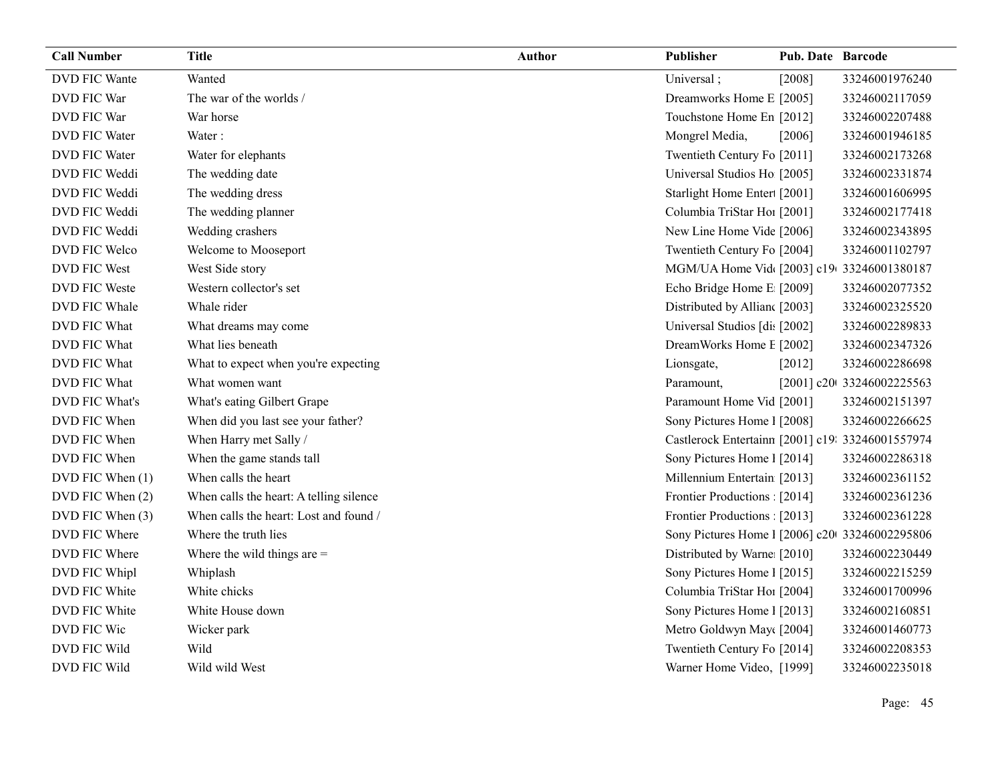| <b>Call Number</b>   | <b>Title</b>                            | <b>Author</b> | Publisher                                        | <b>Pub. Date Barcode</b> |                           |
|----------------------|-----------------------------------------|---------------|--------------------------------------------------|--------------------------|---------------------------|
| <b>DVD FIC Wante</b> | Wanted                                  |               | Universal;                                       | [2008]                   | 33246001976240            |
| DVD FIC War          | The war of the worlds /                 |               | Dreamworks Home E [2005]                         |                          | 33246002117059            |
| DVD FIC War          | War horse                               |               | Touchstone Home En [2012]                        |                          | 33246002207488            |
| DVD FIC Water        | Water:                                  |               | Mongrel Media,                                   | [2006]                   | 33246001946185            |
| DVD FIC Water        | Water for elephants                     |               | Twentieth Century Fo [2011]                      |                          | 33246002173268            |
| DVD FIC Weddi        | The wedding date                        |               | Universal Studios Ho [2005]                      |                          | 33246002331874            |
| DVD FIC Weddi        | The wedding dress                       |               | Starlight Home Enter [2001]                      |                          | 33246001606995            |
| DVD FIC Weddi        | The wedding planner                     |               | Columbia TriStar Hoi [2001]                      |                          | 33246002177418            |
| DVD FIC Weddi        | Wedding crashers                        |               | New Line Home Vide [2006]                        |                          | 33246002343895            |
| DVD FIC Welco        | Welcome to Mooseport                    |               | Twentieth Century Fo [2004]                      |                          | 33246001102797            |
| DVD FIC West         | West Side story                         |               | MGM/UA Home Vid [2003] c19 33246001380187        |                          |                           |
| DVD FIC Weste        | Western collector's set                 |               | Echo Bridge Home E [2009]                        |                          | 33246002077352            |
| DVD FIC Whale        | Whale rider                             |               | Distributed by Allian [2003]                     |                          | 33246002325520            |
| DVD FIC What         | What dreams may come                    |               | Universal Studios [di: [2002]                    |                          | 33246002289833            |
| DVD FIC What         | What lies beneath                       |               | DreamWorks Home E [2002]                         |                          | 33246002347326            |
| DVD FIC What         | What to expect when you're expecting    |               | Lionsgate,                                       | [2012]                   | 33246002286698            |
| DVD FIC What         | What women want                         |               | Paramount,                                       |                          | [2001] c20 33246002225563 |
| DVD FIC What's       | What's eating Gilbert Grape             |               | Paramount Home Vid [2001]                        |                          | 33246002151397            |
| DVD FIC When         | When did you last see your father?      |               | Sony Pictures Home 1 [2008]                      |                          | 33246002266625            |
| DVD FIC When         | When Harry met Sally /                  |               | Castlerock Entertainn [2001] c19: 33246001557974 |                          |                           |
| DVD FIC When         | When the game stands tall               |               | Sony Pictures Home 1 [2014]                      |                          | 33246002286318            |
| DVD FIC When (1)     | When calls the heart                    |               | Millennium Entertain [2013]                      |                          | 33246002361152            |
| DVD FIC When (2)     | When calls the heart: A telling silence |               | Frontier Productions [2014]                      |                          | 33246002361236            |
| DVD FIC When (3)     | When calls the heart: Lost and found /  |               | Frontier Productions [2013]                      |                          | 33246002361228            |
| DVD FIC Where        | Where the truth lies                    |               | Sony Pictures Home 1 [2006] c20 33246002295806   |                          |                           |
| DVD FIC Where        | Where the wild things are $=$           |               | Distributed by Warne [2010]                      |                          | 33246002230449            |
| DVD FIC Whipl        | Whiplash                                |               | Sony Pictures Home 1 [2015]                      |                          | 33246002215259            |
| DVD FIC White        | White chicks                            |               | Columbia TriStar Hoi [2004]                      |                          | 33246001700996            |
| DVD FIC White        | White House down                        |               | Sony Pictures Home 1 [2013]                      |                          | 33246002160851            |
| DVD FIC Wic          | Wicker park                             |               | Metro Goldwyn May([2004]                         |                          | 33246001460773            |
| DVD FIC Wild         | Wild                                    |               | Twentieth Century Fo [2014]                      |                          | 33246002208353            |
| DVD FIC Wild         | Wild wild West                          |               | Warner Home Video, [1999]                        |                          | 33246002235018            |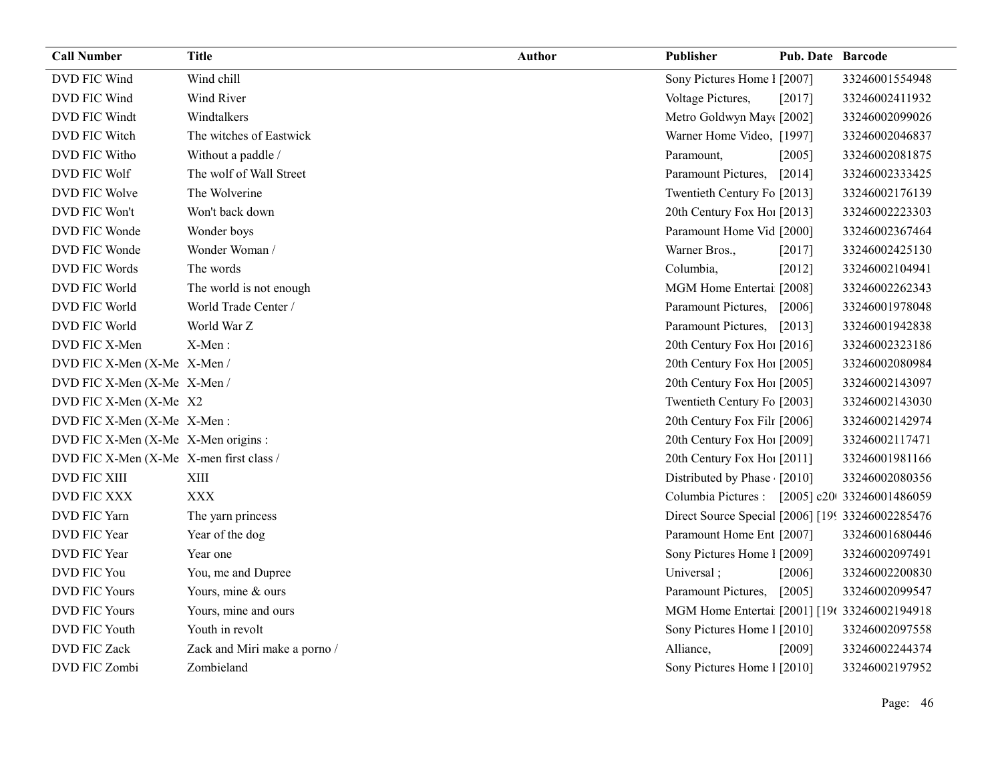| <b>Call Number</b>                      | <b>Title</b>                 | <b>Author</b> | Publisher                                         | <b>Pub. Date Barcode</b> |                |
|-----------------------------------------|------------------------------|---------------|---------------------------------------------------|--------------------------|----------------|
| DVD FIC Wind                            | Wind chill                   |               | Sony Pictures Home 1 [2007]                       |                          | 33246001554948 |
| DVD FIC Wind                            | Wind River                   |               | Voltage Pictures,                                 | [2017]                   | 33246002411932 |
| DVD FIC Windt                           | Windtalkers                  |               | Metro Goldwyn May([2002]                          |                          | 33246002099026 |
| DVD FIC Witch                           | The witches of Eastwick      |               | Warner Home Video, [1997]                         |                          | 33246002046837 |
| DVD FIC Witho                           | Without a paddle /           |               | Paramount,                                        | [2005]                   | 33246002081875 |
| DVD FIC Wolf                            | The wolf of Wall Street      |               | Paramount Pictures,                               | [2014]                   | 33246002333425 |
| DVD FIC Wolve                           | The Wolverine                |               | Twentieth Century Fo [2013]                       |                          | 33246002176139 |
| DVD FIC Won't                           | Won't back down              |               | 20th Century Fox Ho! [2013]                       |                          | 33246002223303 |
| DVD FIC Wonde                           | Wonder boys                  |               | Paramount Home Vid [2000]                         |                          | 33246002367464 |
| DVD FIC Wonde                           | Wonder Woman /               |               | Warner Bros.,                                     | [2017]                   | 33246002425130 |
| DVD FIC Words                           | The words                    |               | Columbia,                                         | [2012]                   | 33246002104941 |
| DVD FIC World                           | The world is not enough      |               | MGM Home Entertai [2008]                          |                          | 33246002262343 |
| DVD FIC World                           | World Trade Center /         |               | Paramount Pictures,                               | [2006]                   | 33246001978048 |
| DVD FIC World                           | World War Z                  |               | Paramount Pictures,                               | [2013]                   | 33246001942838 |
| DVD FIC X-Men                           | X-Men:                       |               | 20th Century Fox Ho! [2016]                       |                          | 33246002323186 |
| DVD FIC X-Men (X-Me X-Men /             |                              |               | 20th Century Fox Ho! [2005]                       |                          | 33246002080984 |
| DVD FIC X-Men (X-Me X-Men /             |                              |               | 20th Century Fox Ho! [2005]                       |                          | 33246002143097 |
| DVD FIC X-Men (X-Me X2                  |                              |               | Twentieth Century Fo [2003]                       |                          | 33246002143030 |
| DVD FIC X-Men (X-Me X-Men:              |                              |               | 20th Century Fox Fil1 [2006]                      |                          | 33246002142974 |
| DVD FIC X-Men (X-Me X-Men origins :     |                              |               | 20th Century Fox Ho! [2009]                       |                          | 33246002117471 |
| DVD FIC X-Men (X-Me X-men first class / |                              |               | 20th Century Fox Ho! [2011]                       |                          | 33246001981166 |
| <b>DVD FIC XIII</b>                     | XIII                         |               | Distributed by Phase [2010]                       |                          | 33246002080356 |
| <b>DVD FIC XXX</b>                      | <b>XXX</b>                   |               | Columbia Pictures : [2005] c20 33246001486059     |                          |                |
| DVD FIC Yarn                            | The yarn princess            |               | Direct Source Special [2006] [199 33246002285476] |                          |                |
| DVD FIC Year                            | Year of the dog              |               | Paramount Home Ent [2007]                         |                          | 33246001680446 |
| DVD FIC Year                            | Year one                     |               | Sony Pictures Home 1 [2009]                       |                          | 33246002097491 |
| DVD FIC You                             | You, me and Dupree           |               | Universal;                                        | [2006]                   | 33246002200830 |
| <b>DVD FIC Yours</b>                    | Yours, mine & ours           |               | Paramount Pictures,                               | [2005]                   | 33246002099547 |
| <b>DVD FIC Yours</b>                    | Yours, mine and ours         |               | MGM Home Entertai [2001] [19( 33246002194918      |                          |                |
| DVD FIC Youth                           | Youth in revolt              |               | Sony Pictures Home 1 [2010]                       |                          | 33246002097558 |
| DVD FIC Zack                            | Zack and Miri make a porno / |               | Alliance,                                         | [2009]                   | 33246002244374 |
| DVD FIC Zombi                           | Zombieland                   |               | Sony Pictures Home 1 [2010]                       |                          | 33246002197952 |